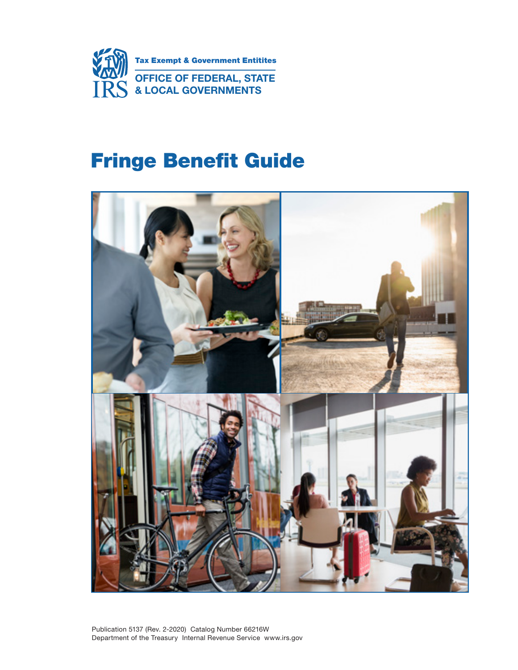

# Fringe Benefit Guide

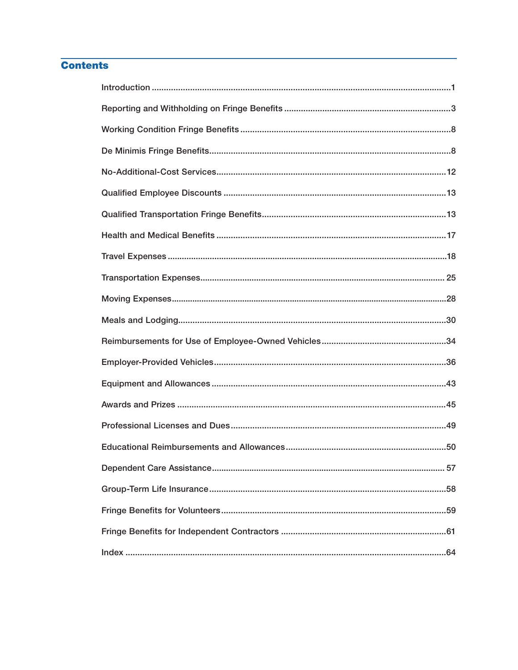## **Contents**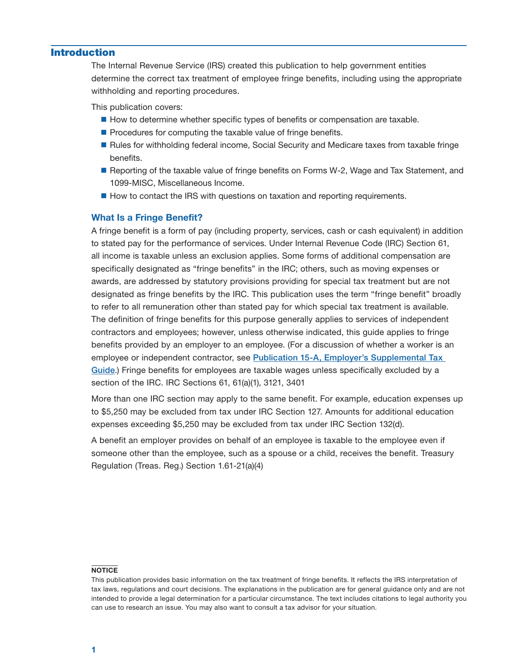## <span id="page-2-0"></span>Introduction

The Internal Revenue Service (IRS) created this publication to help government entities determine the correct tax treatment of employee fringe benefits, including using the appropriate withholding and reporting procedures.

This publication covers:

- How to determine whether specific types of benefits or compensation are taxable.
- $\blacksquare$  Procedures for computing the taxable value of fringe benefits.
- **Rules for withholding federal income, Social Security and Medicare taxes from taxable fringe** benefits.
- **Reporting of the taxable value of fringe benefits on Forms W-2, Wage and Tax Statement, and** 1099-MISC, Miscellaneous Income.
- How to contact the IRS with questions on taxation and reporting requirements.

### What Is a Fringe Benefit?

 A fringe benefit is a form of pay (including property, services, cash or cash equivalent) in addition to stated pay for the performance of services. Under Internal Revenue Code (IRC) Section 61, specifically designated as "fringe benefits" in the IRC; others, such as moving expenses or awards, are addressed by statutory provisions providing for special tax treatment but are not all income is taxable unless an exclusion applies. Some forms of additional compensation are designated as fringe benefits by the IRC. This publication uses the term "fringe benefit" broadly to refer to all remuneration other than stated pay for which special tax treatment is available. The definition of fringe benefits for this purpose generally applies to services of independent contractors and employees; however, unless otherwise indicated, this guide applies to fringe benefits provided by an employer to an employee. (For a discussion of whether a worker is an employee or independent contractor, see [Publication 15-A, Employer's Supplemental Tax](https://www.irs.gov/publications/p15a)  Guide.) Fringe benefits for employees are taxable wages unless specifically excluded by a section of the IRC. IRC Sections 61, 61(a)(1), 3121, 3401

More than one IRC section may apply to the same benefit. For example, education expenses up to \$5,250 may be excluded from tax under IRC Section 127. Amounts for additional education expenses exceeding \$5,250 may be excluded from tax under IRC Section 132(d).

A benefit an employer provides on behalf of an employee is taxable to the employee even if someone other than the employee, such as a spouse or a child, receives the benefit. Treasury Regulation (Treas. Reg.) Section 1.61-21(a)(4)

#### **NOTICE**

This publication provides basic information on the tax treatment of fringe benefits. It reflects the IRS interpretation of tax laws, regulations and court decisions. The explanations in the publication are for general guidance only and are not intended to provide a legal determination for a particular circumstance. The text includes citations to legal authority you can use to research an issue. You may also want to consult a tax advisor for your situation.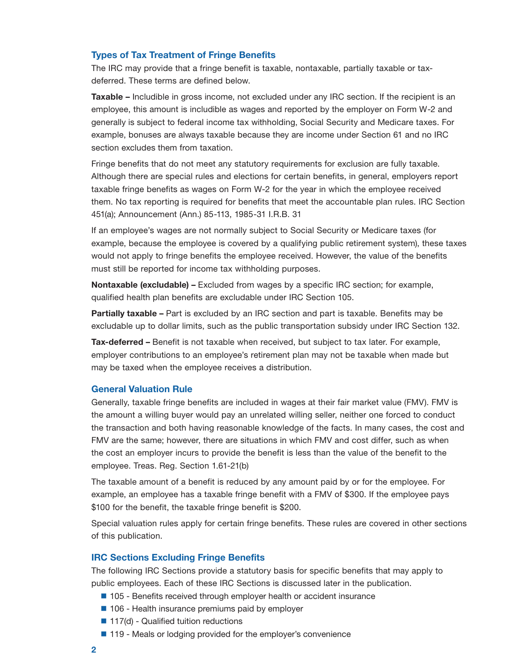## <span id="page-3-0"></span>Types of Tax Treatment of Fringe Benefits

The IRC may provide that a fringe benefit is taxable, nontaxable, partially taxable or taxdeferred. These terms are defined below.

 generally is subject to federal income tax withholding, Social Security and Medicare taxes. For Taxable – Includible in gross income, not excluded under any IRC section. If the recipient is an employee, this amount is includible as wages and reported by the employer on Form W-2 and example, bonuses are always taxable because they are income under Section 61 and no IRC section excludes them from taxation.

Fringe benefits that do not meet any statutory requirements for exclusion are fully taxable. Although there are special rules and elections for certain benefits, in general, employers report taxable fringe benefits as wages on Form W-2 for the year in which the employee received them. No tax reporting is required for benefits that meet the accountable plan rules. IRC Section 451(a); Announcement (Ann.) 85-113, 1985-31 I.R.B. 31

If an employee's wages are not normally subject to Social Security or Medicare taxes (for example, because the employee is covered by a qualifying public retirement system), these taxes would not apply to fringe benefits the employee received. However, the value of the benefits must still be reported for income tax withholding purposes.

Nontaxable (excludable) – Excluded from wages by a specific IRC section; for example, qualified health plan benefits are excludable under IRC Section 105.

Partially taxable – Part is excluded by an IRC section and part is taxable. Benefits may be excludable up to dollar limits, such as the public transportation subsidy under IRC Section 132.

Tax-deferred – Benefit is not taxable when received, but subject to tax later. For example, employer contributions to an employee's retirement plan may not be taxable when made but may be taxed when the employee receives a distribution.

## General Valuation Rule

Generally, taxable fringe benefits are included in wages at their fair market value (FMV). FMV is the amount a willing buyer would pay an unrelated willing seller, neither one forced to conduct the transaction and both having reasonable knowledge of the facts. In many cases, the cost and FMV are the same; however, there are situations in which FMV and cost differ, such as when the cost an employer incurs to provide the benefit is less than the value of the benefit to the employee. Treas. Reg. Section 1.61-21(b)

The taxable amount of a benefit is reduced by any amount paid by or for the employee. For example, an employee has a taxable fringe benefit with a FMV of \$300. If the employee pays \$100 for the benefit, the taxable fringe benefit is \$200.

Special valuation rules apply for certain fringe benefits. These rules are covered in other sections of this publication.

## IRC Sections Excluding Fringe Benefits

The following IRC Sections provide a statutory basis for specific benefits that may apply to public employees. Each of these IRC Sections is discussed later in the publication.

- 105 Benefits received through employer health or accident insurance
- 106 Health insurance premiums paid by employer
- $\blacksquare$  117(d) Qualified tuition reductions
- 119 Meals or lodging provided for the employer's convenience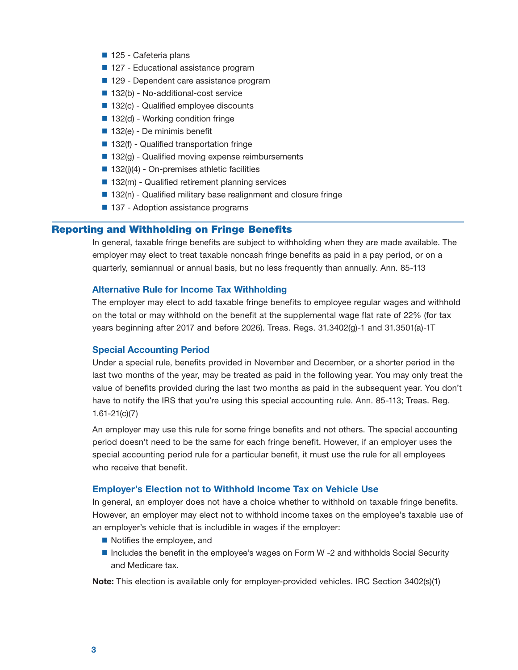- <span id="page-4-0"></span>■ 125 - Cafeteria plans
- 127 Educational assistance program
- 129 Dependent care assistance program
- 132(b) No-additional-cost service
- 132(c) Qualified employee discounts
- 132(d) Working condition fringe
- $\blacksquare$  132(e) De minimis benefit
- 132(f) Qualified transportation fringe
- $\blacksquare$  132(g) Qualified moving expense reimbursements
- $\blacksquare$  132(j)(4) On-premises athletic facilities
- $\blacksquare$  132(m) Qualified retirement planning services
- 132(n) Qualified military base realignment and closure fringe
- 137 Adoption assistance programs

## Reporting and Withholding on Fringe Benefits

In general, taxable fringe benefits are subject to withholding when they are made available. The employer may elect to treat taxable noncash fringe benefits as paid in a pay period, or on a quarterly, semiannual or annual basis, but no less frequently than annually. Ann. 85-113

### Alternative Rule for Income Tax Withholding

The employer may elect to add taxable fringe benefits to employee regular wages and withhold on the total or may withhold on the benefit at the supplemental wage flat rate of 22% (for tax years beginning after 2017 and before 2026). Treas. Regs. 31.3402(g)-1 and 31.3501(a)-1T

## Special Accounting Period

Under a special rule, benefits provided in November and December, or a shorter period in the last two months of the year, may be treated as paid in the following year. You may only treat the value of benefits provided during the last two months as paid in the subsequent year. You don't have to notify the IRS that you're using this special accounting rule. Ann. 85-113; Treas. Reg. 1.61-21(c)(7)

An employer may use this rule for some fringe benefits and not others. The special accounting period doesn't need to be the same for each fringe benefit. However, if an employer uses the special accounting period rule for a particular benefit, it must use the rule for all employees who receive that benefit.

### Employer's Election not to Withhold Income Tax on Vehicle Use

In general, an employer does not have a choice whether to withhold on taxable fringe benefits. However, an employer may elect not to withhold income taxes on the employee's taxable use of an employer's vehicle that is includible in wages if the employer:

- Notifies the employee, and
- Includes the benefit in the employee's wages on Form W -2 and withholds Social Security and Medicare tax.

Note: This election is available only for employer-provided vehicles. IRC Section 3402(s)(1)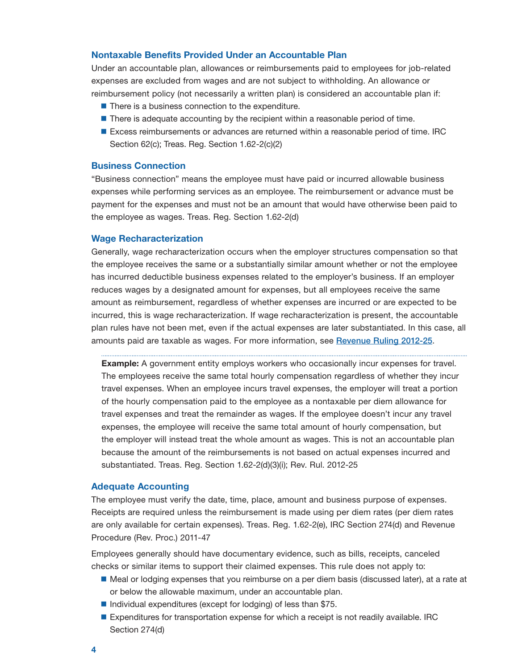## <span id="page-5-0"></span>Nontaxable Benefits Provided Under an Accountable Plan

Under an accountable plan, allowances or reimbursements paid to employees for job-related expenses are excluded from wages and are not subject to withholding. An allowance or reimbursement policy (not necessarily a written plan) is considered an accountable plan if:

- $\blacksquare$  There is a business connection to the expenditure.
- $\blacksquare$  There is adequate accounting by the recipient within a reasonable period of time.
- **Excess reimbursements or advances are returned within a reasonable period of time. IRC** Section 62(c); Treas. Reg. Section 1.62-2(c)(2)

#### Business Connection

"Business connection" means the employee must have paid or incurred allowable business expenses while performing services as an employee. The reimbursement or advance must be payment for the expenses and must not be an amount that would have otherwise been paid to the employee as wages. Treas. Reg. Section 1.62-2(d)

#### Wage Recharacterization

Generally, wage recharacterization occurs when the employer structures compensation so that the employee receives the same or a substantially similar amount whether or not the employee has incurred deductible business expenses related to the employer's business. If an employer reduces wages by a designated amount for expenses, but all employees receive the same amount as reimbursement, regardless of whether expenses are incurred or are expected to be incurred, this is wage recharacterization. If wage recharacterization is present, the accountable plan rules have not been met, even if the actual expenses are later substantiated. In this case, all amounts paid are taxable as wages. For more information, see [Revenue Ruling 2012-25](http://www.irs.gov/irb/2012-37_IRB/ar05.html).

**Example:** A government entity employs workers who occasionally incur expenses for travel. The employees receive the same total hourly compensation regardless of whether they incur travel expenses. When an employee incurs travel expenses, the employer will treat a portion of the hourly compensation paid to the employee as a nontaxable per diem allowance for travel expenses and treat the remainder as wages. If the employee doesn't incur any travel expenses, the employee will receive the same total amount of hourly compensation, but the employer will instead treat the whole amount as wages. This is not an accountable plan because the amount of the reimbursements is not based on actual expenses incurred and substantiated. Treas. Reg. Section 1.62-2(d)(3)(i); Rev. Rul. 2012-25

#### Adequate Accounting

The employee must verify the date, time, place, amount and business purpose of expenses. Receipts are required unless the reimbursement is made using per diem rates (per diem rates are only available for certain expenses). Treas. Reg. 1.62-2(e), IRC Section 274(d) and Revenue Procedure (Rev. Proc.) 2011-47

Employees generally should have documentary evidence, such as bills, receipts, canceled checks or similar items to support their claimed expenses. This rule does not apply to:

- Meal or lodging expenses that you reimburse on a per diem basis (discussed later), at a rate at or below the allowable maximum, under an accountable plan.
- Individual expenditures (except for lodging) of less than  $$75$ .
- **Expenditures for transportation expense for which a receipt is not readily available. IRC** Section 274(d)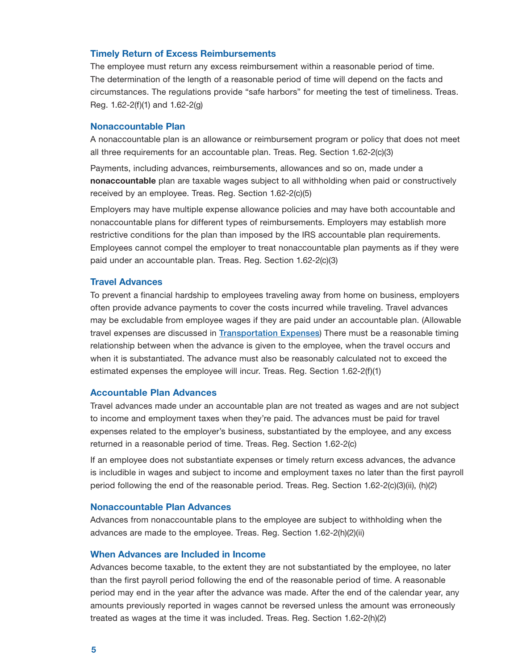## <span id="page-6-0"></span>Timely Return of Excess Reimbursements

The employee must return any excess reimbursement within a reasonable period of time. The determination of the length of a reasonable period of time will depend on the facts and circumstances. The regulations provide "safe harbors" for meeting the test of timeliness. Treas. Reg. 1.62-2(f)(1) and 1.62-2(g)

## Nonaccountable Plan

A nonaccountable plan is an allowance or reimbursement program or policy that does not meet all three requirements for an accountable plan. Treas. Reg. Section 1.62-2(c)(3)

Payments, including advances, reimbursements, allowances and so on, made under a nonaccountable plan are taxable wages subject to all withholding when paid or constructively received by an employee. Treas. Reg. Section 1.62-2(c)(5)

Employers may have multiple expense allowance policies and may have both accountable and nonaccountable plans for different types of reimbursements. Employers may establish more restrictive conditions for the plan than imposed by the IRS accountable plan requirements. Employees cannot compel the employer to treat nonaccountable plan payments as if they were paid under an accountable plan. Treas. Reg. Section 1.62-2(c)(3)

#### Travel Advances

To prevent a financial hardship to employees traveling away from home on business, employers often provide advance payments to cover the costs incurred while traveling. Travel advances may be excludable from employee wages if they are paid under an accountable plan. (Allowable travel expenses are discussed in [Transportation Expenses](#page-26-0)) There must be a reasonable timing relationship between when the advance is given to the employee, when the travel occurs and when it is substantiated. The advance must also be reasonably calculated not to exceed the estimated expenses the employee will incur. Treas. Reg. Section 1.62-2(f)(1)

## Accountable Plan Advances

Travel advances made under an accountable plan are not treated as wages and are not subject to income and employment taxes when they're paid. The advances must be paid for travel expenses related to the employer's business, substantiated by the employee, and any excess returned in a reasonable period of time. Treas. Reg. Section 1.62-2(c)

If an employee does not substantiate expenses or timely return excess advances, the advance is includible in wages and subject to income and employment taxes no later than the first payroll period following the end of the reasonable period. Treas. Reg. Section 1.62-2(c)(3)(ii), (h)(2)

## Nonaccountable Plan Advances

Advances from nonaccountable plans to the employee are subject to withholding when the advances are made to the employee. Treas. Reg. Section 1.62-2(h)(2)(ii)

## When Advances are Included in Income

Advances become taxable, to the extent they are not substantiated by the employee, no later than the first payroll period following the end of the reasonable period of time. A reasonable period may end in the year after the advance was made. After the end of the calendar year, any amounts previously reported in wages cannot be reversed unless the amount was erroneously treated as wages at the time it was included. Treas. Reg. Section 1.62-2(h)(2)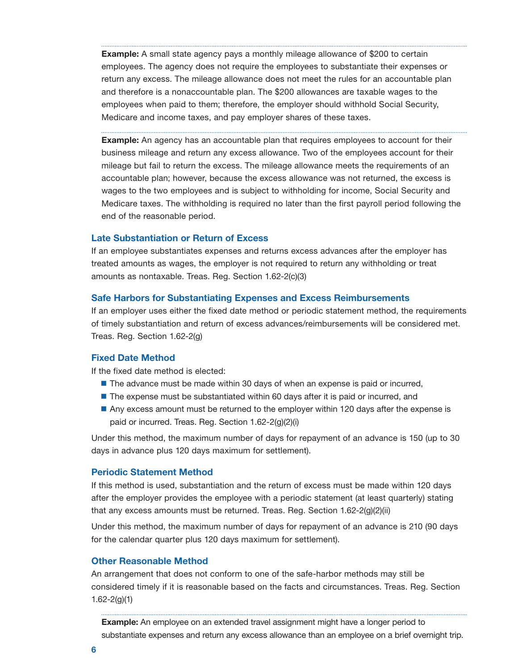**Example:** A small state agency pays a monthly mileage allowance of \$200 to certain employees. The agency does not require the employees to substantiate their expenses or return any excess. The mileage allowance does not meet the rules for an accountable plan and therefore is a nonaccountable plan. The \$200 allowances are taxable wages to the employees when paid to them; therefore, the employer should withhold Social Security, Medicare and income taxes, and pay employer shares of these taxes.

**Example:** An agency has an accountable plan that requires employees to account for their business mileage and return any excess allowance. Two of the employees account for their mileage but fail to return the excess. The mileage allowance meets the requirements of an accountable plan; however, because the excess allowance was not returned, the excess is wages to the two employees and is subject to withholding for income, Social Security and Medicare taxes. The withholding is required no later than the first payroll period following the end of the reasonable period.

## Late Substantiation or Return of Excess

If an employee substantiates expenses and returns excess advances after the employer has treated amounts as wages, the employer is not required to return any withholding or treat amounts as nontaxable. Treas. Reg. Section 1.62-2(c)(3)

#### Safe Harbors for Substantiating Expenses and Excess Reimbursements

If an employer uses either the fixed date method or periodic statement method, the requirements of timely substantiation and return of excess advances/reimbursements will be considered met. Treas. Reg. Section 1.62-2(g)

## Fixed Date Method

If the fixed date method is elected:

- **The advance must be made within 30 days of when an expense is paid or incurred,**
- The expense must be substantiated within 60 days after it is paid or incurred, and
- Any excess amount must be returned to the employer within 120 days after the expense is paid or incurred. Treas. Reg. Section 1.62-2(g)(2)(i)

Under this method, the maximum number of days for repayment of an advance is 150 (up to 30 days in advance plus 120 days maximum for settlement).

## Periodic Statement Method

If this method is used, substantiation and the return of excess must be made within 120 days after the employer provides the employee with a periodic statement (at least quarterly) stating that any excess amounts must be returned. Treas. Reg. Section 1.62-2(g)(2)(ii)

Under this method, the maximum number of days for repayment of an advance is 210 (90 days for the calendar quarter plus 120 days maximum for settlement).

## Other Reasonable Method

An arrangement that does not conform to one of the safe-harbor methods may still be considered timely if it is reasonable based on the facts and circumstances. Treas. Reg. Section 1.62-2(g)(1)

**Example:** An employee on an extended travel assignment might have a longer period to substantiate expenses and return any excess allowance than an employee on a brief overnight trip.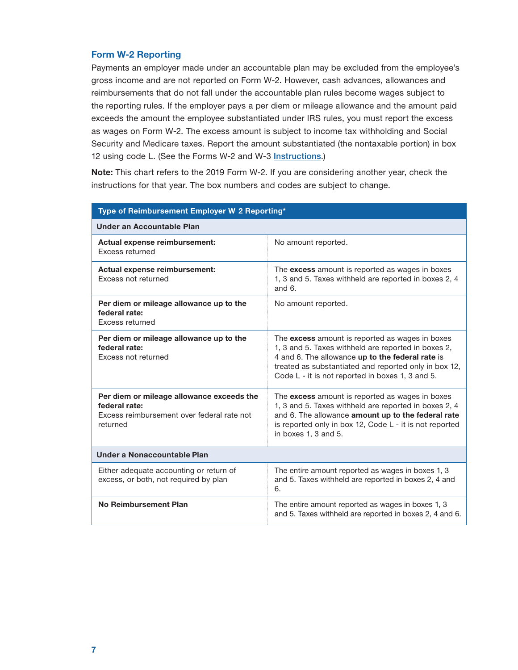## Form W-2 Reporting

Payments an employer made under an accountable plan may be excluded from the employee's gross income and are not reported on Form W-2. However, cash advances, allowances and reimbursements that do not fall under the accountable plan rules become wages subject to the reporting rules. If the employer pays a per diem or mileage allowance and the amount paid exceeds the amount the employee substantiated under IRS rules, you must report the excess as wages on Form W-2. The excess amount is subject to income tax withholding and Social Security and Medicare taxes. Report the amount substantiated (the nontaxable portion) in box 12 using code L. (See the Forms W-2 and W-3 [Instructions](https://www.irs.gov/pub/irs-pdf/iw2w3.pdf).)

Note: This chart refers to the 2019 Form W-2. If you are considering another year, check the instructions for that year. The box numbers and codes are subject to change.

| Type of Reimbursement Employer W 2 Reporting*                                                                        |                                                                                                                                                                                                                                                                         |  |
|----------------------------------------------------------------------------------------------------------------------|-------------------------------------------------------------------------------------------------------------------------------------------------------------------------------------------------------------------------------------------------------------------------|--|
| Under an Accountable Plan                                                                                            |                                                                                                                                                                                                                                                                         |  |
| Actual expense reimbursement:<br>Excess returned                                                                     | No amount reported.                                                                                                                                                                                                                                                     |  |
| Actual expense reimbursement:<br>Excess not returned                                                                 | The excess amount is reported as wages in boxes<br>1, 3 and 5. Taxes withheld are reported in boxes 2, 4<br>and $6.$                                                                                                                                                    |  |
| Per diem or mileage allowance up to the<br>federal rate:<br>Excess returned                                          | No amount reported.                                                                                                                                                                                                                                                     |  |
| Per diem or mileage allowance up to the<br>federal rate:<br>Excess not returned                                      | The excess amount is reported as wages in boxes<br>1, 3 and 5. Taxes withheld are reported in boxes 2,<br>4 and 6. The allowance up to the federal rate is<br>treated as substantiated and reported only in box 12,<br>Code L - it is not reported in boxes 1, 3 and 5. |  |
| Per diem or mileage allowance exceeds the<br>federal rate:<br>Excess reimbursement over federal rate not<br>returned | The excess amount is reported as wages in boxes<br>1, 3 and 5. Taxes withheld are reported in boxes 2, 4<br>and 6. The allowance amount up to the federal rate<br>is reported only in box 12, Code L - it is not reported<br>in boxes 1, 3 and 5.                       |  |
| Under a Nonaccountable Plan                                                                                          |                                                                                                                                                                                                                                                                         |  |
| Either adequate accounting or return of<br>excess, or both, not required by plan                                     | The entire amount reported as wages in boxes 1, 3<br>and 5. Taxes withheld are reported in boxes 2, 4 and<br>6.                                                                                                                                                         |  |
| No Reimbursement Plan                                                                                                | The entire amount reported as wages in boxes 1, 3<br>and 5. Taxes withheld are reported in boxes 2, 4 and 6.                                                                                                                                                            |  |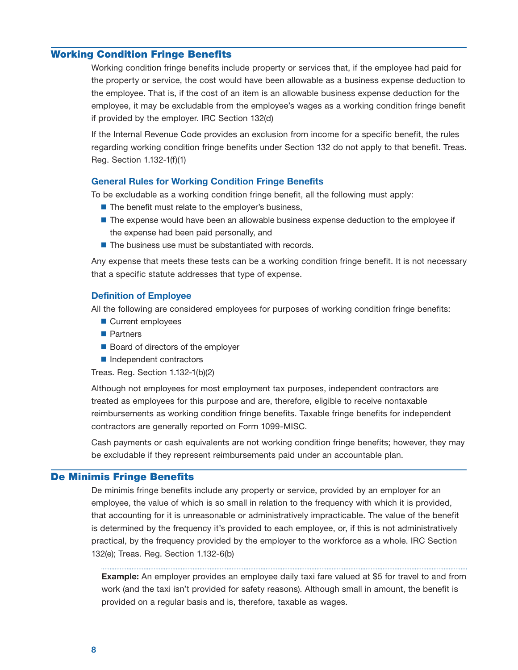## <span id="page-9-0"></span>Working Condition Fringe Benefits

Working condition fringe benefits include property or services that, if the employee had paid for the property or service, the cost would have been allowable as a business expense deduction to the employee. That is, if the cost of an item is an allowable business expense deduction for the employee, it may be excludable from the employee's wages as a working condition fringe benefit if provided by the employer. IRC Section 132(d)

If the Internal Revenue Code provides an exclusion from income for a specific benefit, the rules regarding working condition fringe benefits under Section 132 do not apply to that benefit. Treas. Reg. Section 1.132-1(f)(1)

## General Rules for Working Condition Fringe Benefits

To be excludable as a working condition fringe benefit, all the following must apply:

- The benefit must relate to the employer's business,
- **The expense would have been an allowable business expense deduction to the employee if** the expense had been paid personally, and
- $\blacksquare$  The business use must be substantiated with records.

Any expense that meets these tests can be a working condition fringe benefit. It is not necessary that a specific statute addresses that type of expense.

## Definition of Employee

All the following are considered employees for purposes of working condition fringe benefits:

- Current employees
- **Partners**
- Board of directors of the employer
- Independent contractors

Treas. Reg. Section 1.132-1(b)(2)

Although not employees for most employment tax purposes, independent contractors are treated as employees for this purpose and are, therefore, eligible to receive nontaxable reimbursements as working condition fringe benefits. Taxable fringe benefits for independent contractors are generally reported on Form 1099-MISC.

Cash payments or cash equivalents are not working condition fringe benefits; however, they may be excludable if they represent reimbursements paid under an accountable plan.

## De Minimis Fringe Benefits

De minimis fringe benefits include any property or service, provided by an employer for an employee, the value of which is so small in relation to the frequency with which it is provided, that accounting for it is unreasonable or administratively impracticable. The value of the benefit is determined by the frequency it's provided to each employee, or, if this is not administratively practical, by the frequency provided by the employer to the workforce as a whole. IRC Section 132(e); Treas. Reg. Section 1.132-6(b)

**Example:** An employer provides an employee daily taxi fare valued at \$5 for travel to and from work (and the taxi isn't provided for safety reasons). Although small in amount, the benefit is provided on a regular basis and is, therefore, taxable as wages.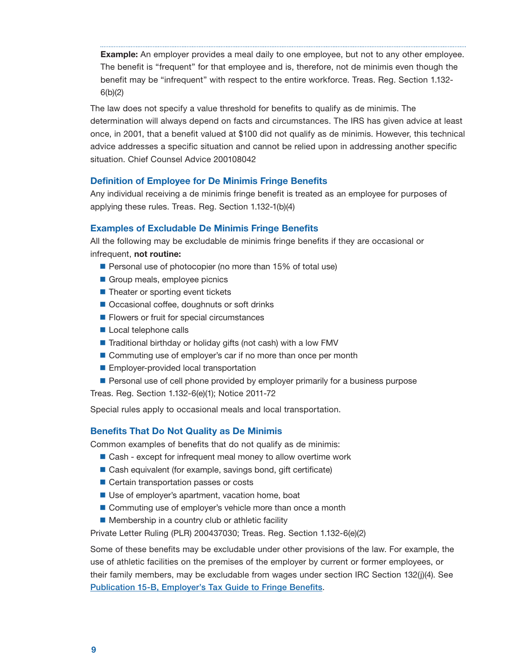<span id="page-10-0"></span>**Example:** An employer provides a meal daily to one employee, but not to any other employee. The benefit is "frequent" for that employee and is, therefore, not de minimis even though the benefit may be "infrequent" with respect to the entire workforce. Treas. Reg. Section 1.132 6(b)(2)

The law does not specify a value threshold for benefits to qualify as de minimis. The determination will always depend on facts and circumstances. The IRS has given advice at least once, in 2001, that a benefit valued at \$100 did not qualify as de minimis. However, this technical advice addresses a specific situation and cannot be relied upon in addressing another specific situation. Chief Counsel Advice 200108042

## Definition of Employee for De Minimis Fringe Benefits

 Any individual receiving a de minimis fringe benefit is treated as an employee for purposes of applying these rules. Treas. Reg. Section 1.132-1(b)(4)

## Examples of Excludable De Minimis Fringe Benefits

All the following may be excludable de minimis fringe benefits if they are occasional or infrequent, not routine:

- Personal use of photocopier (no more than 15% of total use)
- Group meals, employee picnics
- Theater or sporting event tickets
- Occasional coffee, doughnuts or soft drinks
- **Filowers or fruit for special circumstances**
- Local telephone calls
- Traditional birthday or holiday gifts (not cash) with a low FMV
- Commuting use of employer's car if no more than once per month
- **Employer-provided local transportation**
- Personal use of cell phone provided by employer primarily for a business purpose

Treas. Reg. Section 1.132-6(e)(1); Notice 2011-72

Special rules apply to occasional meals and local transportation.

## Benefits That Do Not Quality as De Minimis

Common examples of benefits that do not qualify as de minimis:

- Cash except for infrequent meal money to allow overtime work
- Cash equivalent (for example, savings bond, gift certificate)
- Certain transportation passes or costs
- Use of employer's apartment, vacation home, boat
- Commuting use of employer's vehicle more than once a month
- **Membership in a country club or athletic facility**

Private Letter Ruling (PLR) 200437030; Treas. Reg. Section 1.132-6(e)(2)

 their family members, may be excludable from wages under section IRC Section 132(j)(4). See Some of these benefits may be excludable under other provisions of the law. For example, the use of athletic facilities on the premises of the employer by current or former employees, or [Publication 15-B, Employer's Tax Guide to Fringe Benefits](https://www.irs.gov/publications/p15b).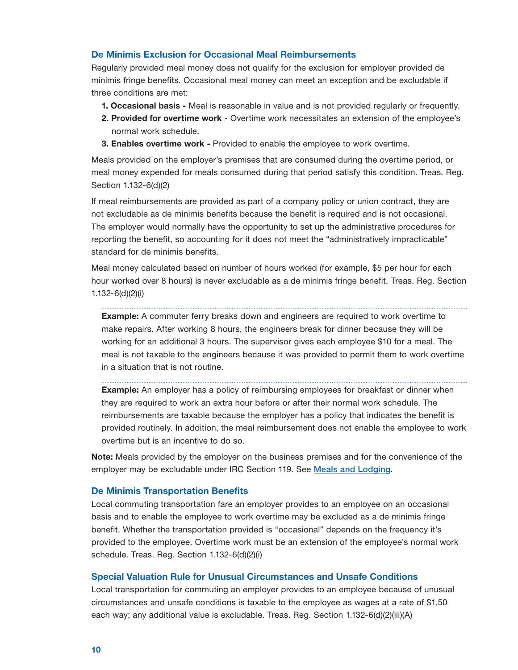## <span id="page-11-0"></span>De Minimis Exclusion for Occasional Meal Reimbursements

Regularly provided meal money does not qualify for the exclusion for employer provided de minimis fringe benefits. Occasional meal money can meet an exception and be excludable if three conditions are met:

- 1. Occasional basis Meal is reasonable in value and is not provided regularly or frequently.
- 2. Provided for overtime work Overtime work necessitates an extension of the employee's normal work schedule.
- 3. Enables overtime work Provided to enable the employee to work overtime.

Meals provided on the employer's premises that are consumed during the overtime period, or meal money expended for meals consumed during that period satisfy this condition. Treas. Reg. Section 1.132-6(d)(2)

If meal reimbursements are provided as part of a company policy or union contract, they are not excludable as de minimis benefits because the benefit is required and is not occasional. The employer would normally have the opportunity to set up the administrative procedures for reporting the benefit, so accounting for it does not meet the "administratively impracticable" standard for de minimis benefits.

Meal money calculated based on number of hours worked (for example, \$5 per hour for each hour worked over 8 hours) is never excludable as a de minimis fringe benefit. Treas. Reg. Section 1.132-6(d)(2)(i)

**Example:** A commuter ferry breaks down and engineers are required to work overtime to make repairs. After working 8 hours, the engineers break for dinner because they will be working for an additional 3 hours. The supervisor gives each employee \$10 for a meal. The meal is not taxable to the engineers because it was provided to permit them to work overtime in a situation that is not routine.

**Example:** An employer has a policy of reimbursing employees for breakfast or dinner when they are required to work an extra hour before or after their normal work schedule. The reimbursements are taxable because the employer has a policy that indicates the benefit is provided routinely. In addition, the meal reimbursement does not enable the employee to work overtime but is an incentive to do so.

**Note:** Meals provided by the employer on the business premises and for the convenience of the employer may be excludable under IRC Section 119. See [Meals and Lodging](#page-31-0).

#### De Minimis Transportation Benefits

Local commuting transportation fare an employer provides to an employee on an occasional basis and to enable the employee to work overtime may be excluded as a de minimis fringe benefit. Whether the transportation provided is "occasional" depends on the frequency it's provided to the employee. Overtime work must be an extension of the employee's normal work schedule. Treas. Reg. Section 1.132-6(d)(2)(i)

## Special Valuation Rule for Unusual Circumstances and Unsafe Conditions

Local transportation for commuting an employer provides to an employee because of unusual circumstances and unsafe conditions is taxable to the employee as wages at a rate of \$1.50 each way; any additional value is excludable. Treas. Reg. Section 1.132-6(d)(2)(iii)(A)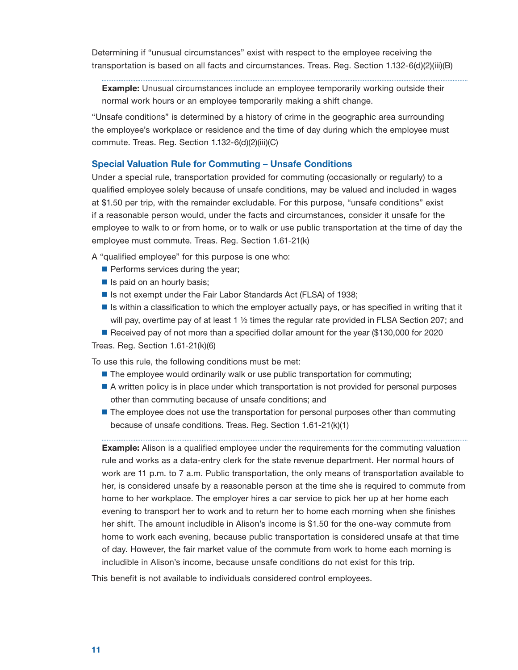<span id="page-12-0"></span>Determining if "unusual circumstances" exist with respect to the employee receiving the transportation is based on all facts and circumstances. Treas. Reg. Section 1.132-6(d)(2)(iii)(B)

Example: Unusual circumstances include an employee temporarily working outside their normal work hours or an employee temporarily making a shift change.

"Unsafe conditions" is determined by a history of crime in the geographic area surrounding the employee's workplace or residence and the time of day during which the employee must commute. Treas. Reg. Section 1.132-6(d)(2)(iii)(C)

## Special Valuation Rule for Commuting – Unsafe Conditions

Under a special rule, transportation provided for commuting (occasionally or regularly) to a qualified employee solely because of unsafe conditions, may be valued and included in wages at \$1.50 per trip, with the remainder excludable. For this purpose, "unsafe conditions" exist if a reasonable person would, under the facts and circumstances, consider it unsafe for the employee to walk to or from home, or to walk or use public transportation at the time of day the employee must commute. Treas. Reg. Section 1.61-21(k)

A "qualified employee" for this purpose is one who:

- $\blacksquare$  Performs services during the year;
- $\blacksquare$  Is paid on an hourly basis;
- Is not exempt under the Fair Labor Standards Act (FLSA) of 1938;
- Is within a classification to which the employer actually pays, or has specified in writing that it will pay, overtime pay of at least 1  $\frac{1}{2}$  times the regular rate provided in FLSA Section 207; and

Received pay of not more than a specified dollar amount for the year (\$130,000 for 2020 Treas. Reg. Section 1.61-21(k)(6)

To use this rule, the following conditions must be met:

- **The employee would ordinarily walk or use public transportation for commuting;**
- A written policy is in place under which transportation is not provided for personal purposes other than commuting because of unsafe conditions; and
- **The employee does not use the transportation for personal purposes other than commuting** because of unsafe conditions. Treas. Reg. Section 1.61-21(k)(1)

**Example:** Alison is a qualified employee under the requirements for the commuting valuation rule and works as a data-entry clerk for the state revenue department. Her normal hours of work are 11 p.m. to 7 a.m. Public transportation, the only means of transportation available to her, is considered unsafe by a reasonable person at the time she is required to commute from home to her workplace. The employer hires a car service to pick her up at her home each evening to transport her to work and to return her to home each morning when she finishes her shift. The amount includible in Alison's income is \$1.50 for the one-way commute from home to work each evening, because public transportation is considered unsafe at that time of day. However, the fair market value of the commute from work to home each morning is includible in Alison's income, because unsafe conditions do not exist for this trip.

This benefit is not available to individuals considered control employees.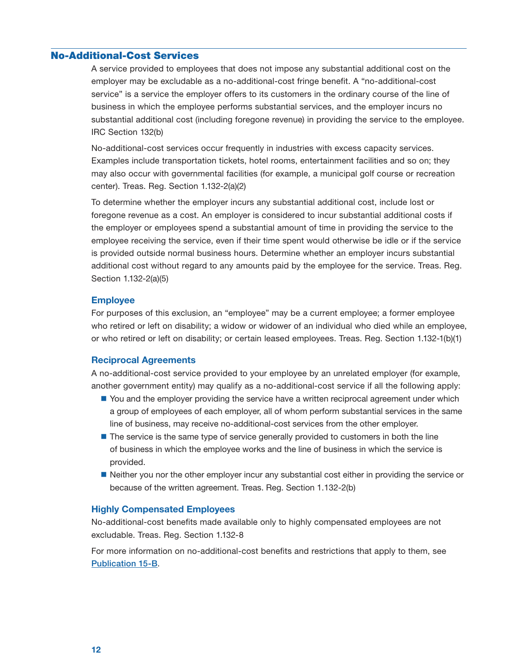## <span id="page-13-0"></span>No-Additional-Cost Services

A service provided to employees that does not impose any substantial additional cost on the employer may be excludable as a no-additional-cost fringe benefit. A "no-additional-cost service" is a service the employer offers to its customers in the ordinary course of the line of business in which the employee performs substantial services, and the employer incurs no substantial additional cost (including foregone revenue) in providing the service to the employee. IRC Section 132(b)

No-additional-cost services occur frequently in industries with excess capacity services. Examples include transportation tickets, hotel rooms, entertainment facilities and so on; they may also occur with governmental facilities (for example, a municipal golf course or recreation center). Treas. Reg. Section 1.132-2(a)(2)

To determine whether the employer incurs any substantial additional cost, include lost or foregone revenue as a cost. An employer is considered to incur substantial additional costs if the employer or employees spend a substantial amount of time in providing the service to the employee receiving the service, even if their time spent would otherwise be idle or if the service is provided outside normal business hours. Determine whether an employer incurs substantial additional cost without regard to any amounts paid by the employee for the service. Treas. Reg. Section 1.132-2(a)(5)

### Employee

For purposes of this exclusion, an "employee" may be a current employee; a former employee who retired or left on disability; a widow or widower of an individual who died while an employee, or who retired or left on disability; or certain leased employees. Treas. Reg. Section 1.132-1(b)(1)

## Reciprocal Agreements

A no-additional-cost service provided to your employee by an unrelated employer (for example, another government entity) may qualify as a no-additional-cost service if all the following apply:

- $\blacksquare$  You and the employer providing the service have a written reciprocal agreement under which a group of employees of each employer, all of whom perform substantial services in the same line of business, may receive no-additional-cost services from the other employer.
- **The service is the same type of service generally provided to customers in both the line** of business in which the employee works and the line of business in which the service is provided.
- Neither you nor the other employer incur any substantial cost either in providing the service or because of the written agreement. Treas. Reg. Section 1.132-2(b)

## Highly Compensated Employees

No-additional-cost benefits made available only to highly compensated employees are not excludable. Treas. Reg. Section 1.132-8

For more information on no-additional-cost benefits and restrictions that apply to them, see [Publication 15-B](https://www.irs.gov/publications/p15b).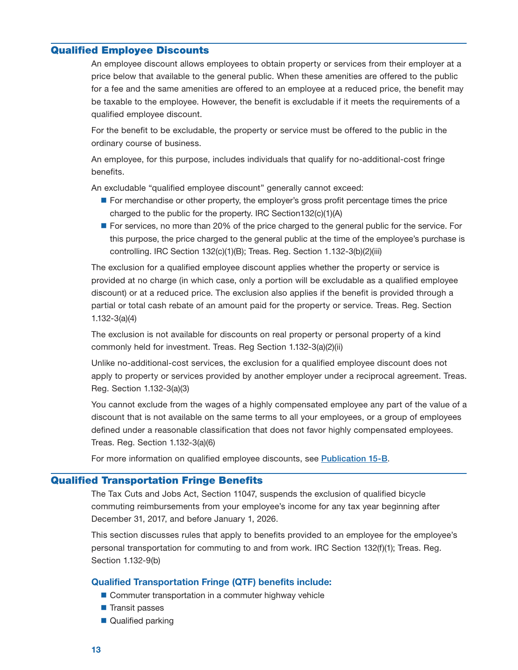## <span id="page-14-0"></span>Qualified Employee Discounts

An employee discount allows employees to obtain property or services from their employer at a price below that available to the general public. When these amenities are offered to the public for a fee and the same amenities are offered to an employee at a reduced price, the benefit may be taxable to the employee. However, the benefit is excludable if it meets the requirements of a qualified employee discount.

For the benefit to be excludable, the property or service must be offered to the public in the ordinary course of business.

An employee, for this purpose, includes individuals that qualify for no-additional-cost fringe benefits.

An excludable "qualified employee discount" generally cannot exceed:

- **For merchandise or other property, the employer's gross profit percentage times the price** charged to the public for the property. IRC Section132(c)(1)(A)
- **For services, no more than 20% of the price charged to the general public for the service. For** this purpose, the price charged to the general public at the time of the employee's purchase is controlling. IRC Section 132(c)(1)(B); Treas. Reg. Section 1.132-3(b)(2)(iii)

The exclusion for a qualified employee discount applies whether the property or service is provided at no charge (in which case, only a portion will be excludable as a qualified employee discount) or at a reduced price. The exclusion also applies if the benefit is provided through a partial or total cash rebate of an amount paid for the property or service. Treas. Reg. Section 1.132-3(a)(4)

The exclusion is not available for discounts on real property or personal property of a kind commonly held for investment. Treas. Reg Section 1.132-3(a)(2)(ii)

Unlike no-additional-cost services, the exclusion for a qualified employee discount does not apply to property or services provided by another employer under a reciprocal agreement. Treas. Reg. Section 1.132-3(a)(3)

You cannot exclude from the wages of a highly compensated employee any part of the value of a discount that is not available on the same terms to all your employees, or a group of employees defined under a reasonable classification that does not favor highly compensated employees. Treas. Reg. Section 1.132-3(a)(6)

For more information on qualified employee discounts, see [Publication 15-B](https://www.irs.gov/publications/p15b).

## Qualified Transportation Fringe Benefits

The Tax Cuts and Jobs Act, Section 11047, suspends the exclusion of qualified bicycle commuting reimbursements from your employee's income for any tax year beginning after December 31, 2017, and before January 1, 2026.

This section discusses rules that apply to benefits provided to an employee for the employee's personal transportation for commuting to and from work. IRC Section 132(f)(1); Treas. Reg. Section 1.132-9(b)

## Qualified Transportation Fringe (QTF) benefits include:

- Commuter transportation in a commuter highway vehicle
- **Transit passes**
- Qualified parking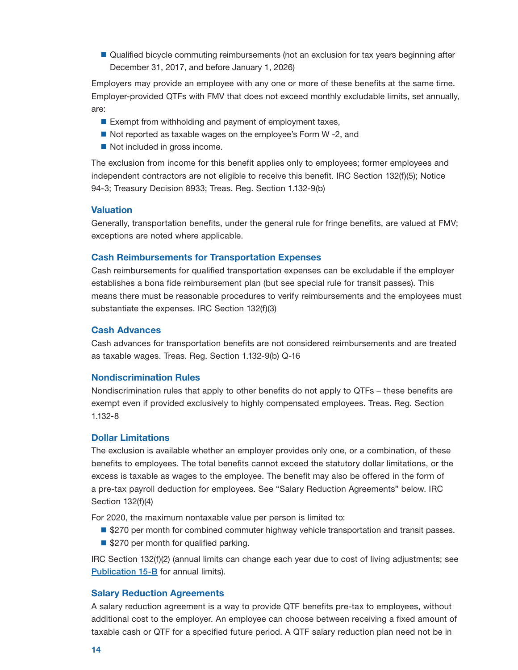<span id="page-15-0"></span>**Qualified bicycle commuting reimbursements (not an exclusion for tax years beginning after** December 31, 2017, and before January 1, 2026)

Employers may provide an employee with any one or more of these benefits at the same time. Employer-provided QTFs with FMV that does not exceed monthly excludable limits, set annually, are:

- Exempt from withholding and payment of employment taxes,
- Not reported as taxable wages on the employee's Form W -2, and
- Not included in gross income.

The exclusion from income for this benefit applies only to employees; former employees and independent contractors are not eligible to receive this benefit. IRC Section 132(f)(5); Notice 94-3; Treasury Decision 8933; Treas. Reg. Section 1.132-9(b)

#### **Valuation**

Generally, transportation benefits, under the general rule for fringe benefits, are valued at FMV; exceptions are noted where applicable.

## Cash Reimbursements for Transportation Expenses

Cash reimbursements for qualified transportation expenses can be excludable if the employer establishes a bona fide reimbursement plan (but see special rule for transit passes). This means there must be reasonable procedures to verify reimbursements and the employees must substantiate the expenses. IRC Section 132(f)(3)

## Cash Advances

Cash advances for transportation benefits are not considered reimbursements and are treated as taxable wages. Treas. Reg. Section 1.132-9(b) Q-16

#### Nondiscrimination Rules

Nondiscrimination rules that apply to other benefits do not apply to QTFs – these benefits are exempt even if provided exclusively to highly compensated employees. Treas. Reg. Section 1.132-8

## Dollar Limitations

The exclusion is available whether an employer provides only one, or a combination, of these benefits to employees. The total benefits cannot exceed the statutory dollar limitations, or the excess is taxable as wages to the employee. The benefit may also be offered in the form of a pre-tax payroll deduction for employees. See "Salary Reduction Agreements" below. IRC Section 132(f)(4)

For 2020, the maximum nontaxable value per person is limited to:

- $\blacksquare$  **\$270 per month for combined commuter highway vehicle transportation and transit passes.**
- \$270 per month for qualified parking.

IRC Section 132(f)(2) (annual limits can change each year due to cost of living adjustments; see [Publication 15-B](https://www.irs.gov/publications/p15b) for annual limits).

#### Salary Reduction Agreements

A salary reduction agreement is a way to provide QTF benefits pre-tax to employees, without additional cost to the employer. An employee can choose between receiving a fixed amount of taxable cash or QTF for a specified future period. A QTF salary reduction plan need not be in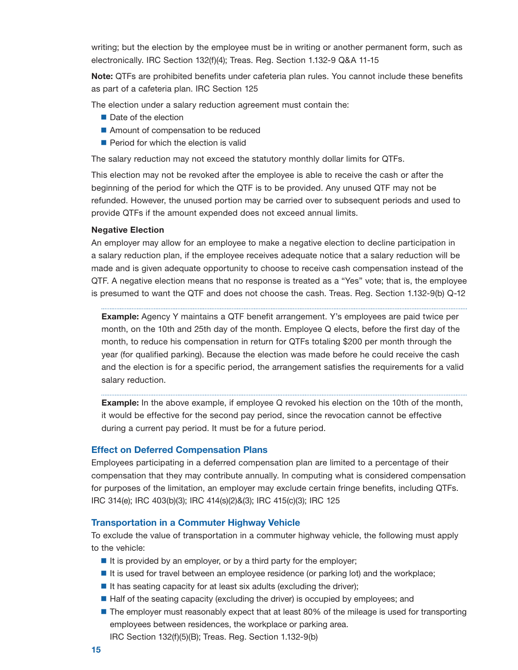writing; but the election by the employee must be in writing or another permanent form, such as electronically. IRC Section 132(f)(4); Treas. Reg. Section 1.132-9 Q&A 11-15

Note: QTFs are prohibited benefits under cafeteria plan rules. You cannot include these benefits as part of a cafeteria plan. IRC Section 125

The election under a salary reduction agreement must contain the:

- Date of the election
- Amount of compensation to be reduced
- Period for which the election is valid

The salary reduction may not exceed the statutory monthly dollar limits for QTFs.

This election may not be revoked after the employee is able to receive the cash or after the beginning of the period for which the QTF is to be provided. Any unused QTF may not be refunded. However, the unused portion may be carried over to subsequent periods and used to provide QTFs if the amount expended does not exceed annual limits.

#### Negative Election

An employer may allow for an employee to make a negative election to decline participation in a salary reduction plan, if the employee receives adequate notice that a salary reduction will be made and is given adequate opportunity to choose to receive cash compensation instead of the QTF. A negative election means that no response is treated as a "Yes" vote; that is, the employee is presumed to want the QTF and does not choose the cash. Treas. Reg. Section 1.132-9(b) Q-12

Example: Agency Y maintains a QTF benefit arrangement. Y's employees are paid twice per month, on the 10th and 25th day of the month. Employee Q elects, before the first day of the month, to reduce his compensation in return for QTFs totaling \$200 per month through the year (for qualified parking). Because the election was made before he could receive the cash and the election is for a specific period, the arrangement satisfies the requirements for a valid salary reduction.

**Example:** In the above example, if employee Q revoked his election on the 10th of the month, it would be effective for the second pay period, since the revocation cannot be effective during a current pay period. It must be for a future period.

#### Effect on Deferred Compensation Plans

Employees participating in a deferred compensation plan are limited to a percentage of their compensation that they may contribute annually. In computing what is considered compensation for purposes of the limitation, an employer may exclude certain fringe benefits, including QTFs. IRC 314(e); IRC 403(b)(3); IRC 414(s)(2)&(3); IRC 415(c)(3); IRC 125

## Transportation in a Commuter Highway Vehicle

To exclude the value of transportation in a commuter highway vehicle, the following must apply to the vehicle:

- $\blacksquare$  It is provided by an employer, or by a third party for the employer;
- It is used for travel between an employee residence (or parking lot) and the workplace;
- $\blacksquare$  It has seating capacity for at least six adults (excluding the driver);
- Half of the seating capacity (excluding the driver) is occupied by employees; and
- **The employer must reasonably expect that at least 80% of the mileage is used for transporting** employees between residences, the workplace or parking area. IRC Section 132(f)(5)(B); Treas. Reg. Section 1.132-9(b)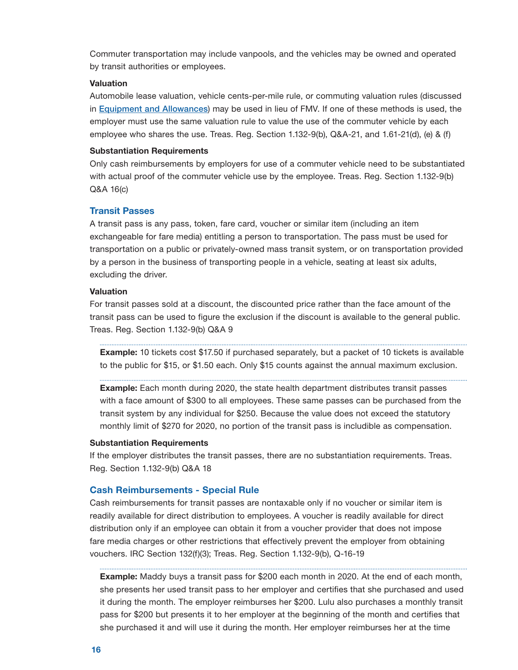<span id="page-17-0"></span>Commuter transportation may include vanpools, and the vehicles may be owned and operated by transit authorities or employees.

## **Valuation**

Automobile lease valuation, vehicle cents-per-mile rule, or commuting valuation rules (discussed in [Equipment and Allowances](#page-44-0)) may be used in lieu of FMV. If one of these methods is used, the employer must use the same valuation rule to value the use of the commuter vehicle by each employee who shares the use. Treas. Reg. Section 1.132-9(b), Q&A-21, and 1.61-21(d), (e) & (f)

#### Substantiation Requirements

Only cash reimbursements by employers for use of a commuter vehicle need to be substantiated with actual proof of the commuter vehicle use by the employee. Treas. Reg. Section 1.132-9(b) Q&A 16(c)

## Transit Passes

A transit pass is any pass, token, fare card, voucher or similar item (including an item exchangeable for fare media) entitling a person to transportation. The pass must be used for transportation on a public or privately-owned mass transit system, or on transportation provided by a person in the business of transporting people in a vehicle, seating at least six adults, excluding the driver.

### Valuation

For transit passes sold at a discount, the discounted price rather than the face amount of the transit pass can be used to figure the exclusion if the discount is available to the general public. Treas. Reg. Section 1.132-9(b) Q&A 9

**Example:** 10 tickets cost \$17.50 if purchased separately, but a packet of 10 tickets is available to the public for \$15, or \$1.50 each. Only \$15 counts against the annual maximum exclusion.

**Example:** Each month during 2020, the state health department distributes transit passes with a face amount of \$300 to all employees. These same passes can be purchased from the transit system by any individual for \$250. Because the value does not exceed the statutory monthly limit of \$270 for 2020, no portion of the transit pass is includible as compensation.

## Substantiation Requirements

If the employer distributes the transit passes, there are no substantiation requirements. Treas. Reg. Section 1.132-9(b) Q&A 18

## Cash Reimbursements - Special Rule

Cash reimbursements for transit passes are nontaxable only if no voucher or similar item is readily available for direct distribution to employees. A voucher is readily available for direct distribution only if an employee can obtain it from a voucher provider that does not impose fare media charges or other restrictions that effectively prevent the employer from obtaining vouchers. IRC Section 132(f)(3); Treas. Reg. Section 1.132-9(b), Q-16-19

Example: Maddy buys a transit pass for \$200 each month in 2020. At the end of each month, she presents her used transit pass to her employer and certifies that she purchased and used it during the month. The employer reimburses her \$200. Lulu also purchases a monthly transit pass for \$200 but presents it to her employer at the beginning of the month and certifies that she purchased it and will use it during the month. Her employer reimburses her at the time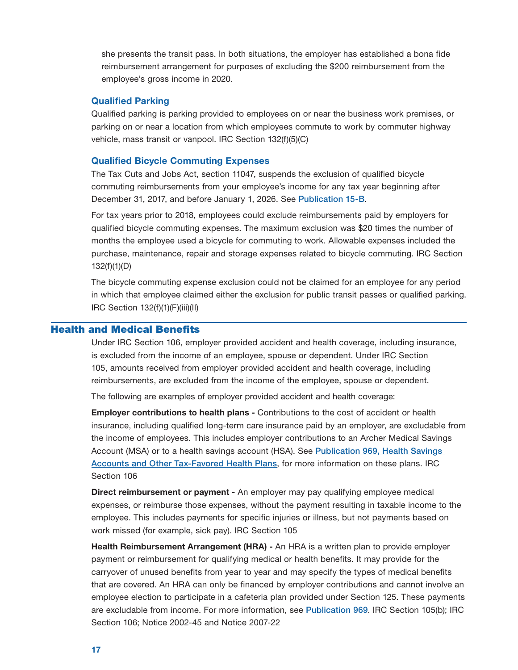<span id="page-18-0"></span>she presents the transit pass. In both situations, the employer has established a bona fide reimbursement arrangement for purposes of excluding the \$200 reimbursement from the employee's gross income in 2020.

### Qualified Parking

Qualified parking is parking provided to employees on or near the business work premises, or parking on or near a location from which employees commute to work by commuter highway vehicle, mass transit or vanpool. IRC Section 132(f)(5)(C)

### Qualified Bicycle Commuting Expenses

The Tax Cuts and Jobs Act, section 11047, suspends the exclusion of qualified bicycle commuting reimbursements from your employee's income for any tax year beginning after December 31, 2017, and before January 1, 2026. See [Publication 15-B](https://www.irs.gov/publications/p15b).

For tax years prior to 2018, employees could exclude reimbursements paid by employers for qualified bicycle commuting expenses. The maximum exclusion was \$20 times the number of months the employee used a bicycle for commuting to work. Allowable expenses included the purchase, maintenance, repair and storage expenses related to bicycle commuting. IRC Section 132(f)(1)(D)

The bicycle commuting expense exclusion could not be claimed for an employee for any period in which that employee claimed either the exclusion for public transit passes or qualified parking. IRC Section 132(f)(1)(F)(iii)(II)

## Health and Medical Benefits

reimbursements, are excluded from the income of the employee, spouse or dependent.<br>The following are examples of employer provided accident and health coverage: Under IRC Section 106, employer provided accident and health coverage, including insurance, is excluded from the income of an employee, spouse or dependent. Under IRC Section 105, amounts received from employer provided accident and health coverage, including

**Employer contributions to health plans -** Contributions to the cost of accident or health insurance, including qualified long-term care insurance paid by an employer, are excludable from the income of employees. This includes employer contributions to an Archer Medical Savings Account (MSA) or to a health savings account (HSA). See [Publication 969, Health Savings](https://www.irs.gov/publications/p969)  Accounts and Other Tax-Favored Health Plans, for more information on these plans. IRC Section 106

Direct reimbursement or payment - An employer may pay qualifying employee medical expenses, or reimburse those expenses, without the payment resulting in taxable income to the employee. This includes payments for specific injuries or illness, but not payments based on work missed (for example, sick pay). IRC Section 105

**Health Reimbursement Arrangement (HRA)** - An HRA is a written plan to provide employer payment or reimbursement for qualifying medical or health benefits. It may provide for the carryover of unused benefits from year to year and may specify the types of medical benefits that are covered. An HRA can only be financed by employer contributions and cannot involve an employee election to participate in a cafeteria plan provided under Section 125. These payments are excludable from income. For more information, see [Publication 969](https://www.irs.gov/publications/p969). IRC Section 105(b); IRC Section 106; Notice 2002-45 and Notice 2007-22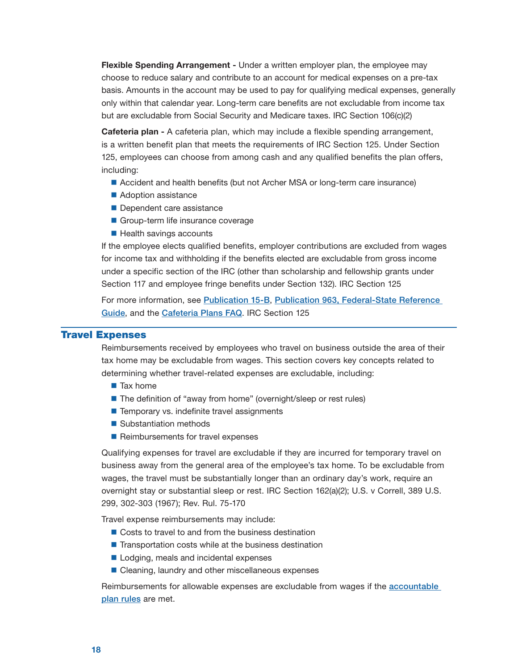<span id="page-19-0"></span>Flexible Spending Arrangement - Under a written employer plan, the employee may choose to reduce salary and contribute to an account for medical expenses on a pre-tax basis. Amounts in the account may be used to pay for qualifying medical expenses, generally only within that calendar year. Long-term care benefits are not excludable from income tax but are excludable from Social Security and Medicare taxes. IRC Section 106(c)(2)

Cafeteria plan - A cafeteria plan, which may include a flexible spending arrangement, is a written benefit plan that meets the requirements of IRC Section 125. Under Section 125, employees can choose from among cash and any qualified benefits the plan offers, including:

- Accident and health benefits (but not Archer MSA or long-term care insurance)
- Adoption assistance
- Dependent care assistance
- Group-term life insurance coverage
- $\blacksquare$  Health savings accounts

 If the employee elects qualified benefits, employer contributions are excluded from wages for income tax and withholding if the benefits elected are excludable from gross income under a specific section of the IRC (other than scholarship and fellowship grants under Section 117 and employee fringe benefits under Section 132). IRC Section 125

For more information, see Publication 15-B, [Publication 963, Federal-State Reference](https://www.irs.gov/publications/p15b)  Guide, and the [Cafeteria Plans FAQ](https://www.irs.gov/government-entities/federal-state-local-governments/faqs-for-government-entities-regarding-cafeteria-plans). IRC Section 125

## Travel Expenses

Reimbursements received by employees who travel on business outside the area of their tax home may be excludable from wages. This section covers key concepts related to determining whether travel-related expenses are excludable, including:

- Tax home
- The definition of "away from home" (overnight/sleep or rest rules)
- $\blacksquare$  Temporary vs. indefinite travel assignments
- Substantiation methods
- Reimbursements for travel expenses

Qualifying expenses for travel are excludable if they are incurred for temporary travel on business away from the general area of the employee's tax home. To be excludable from wages, the travel must be substantially longer than an ordinary day's work, require an overnight stay or substantial sleep or rest. IRC Section 162(a)(2); U.S. v Correll, 389 U.S. 299, 302-303 (1967); Rev. Rul. 75-170

Travel expense reimbursements may include:

- Costs to travel to and from the business destination
- $\blacksquare$  Transportation costs while at the business destination
- Lodging, meals and incidental expenses
- Cleaning, laundry and other miscellaneous expenses

Reimbursements for allowable expenses are excludable from wages if the **accountable** plan rules are met.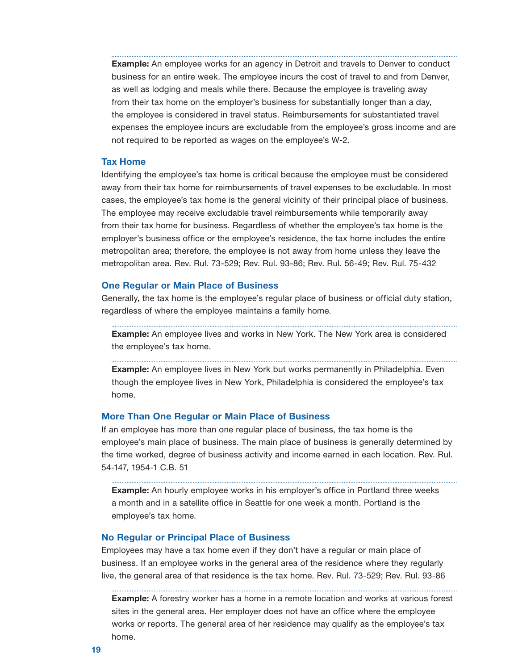<span id="page-20-0"></span>**Example:** An employee works for an agency in Detroit and travels to Denver to conduct business for an entire week. The employee incurs the cost of travel to and from Denver, as well as lodging and meals while there. Because the employee is traveling away from their tax home on the employer's business for substantially longer than a day, the employee is considered in travel status. Reimbursements for substantiated travel expenses the employee incurs are excludable from the employee's gross income and are not required to be reported as wages on the employee's W-2.

## Tax Home

Identifying the employee's tax home is critical because the employee must be considered away from their tax home for reimbursements of travel expenses to be excludable. In most cases, the employee's tax home is the general vicinity of their principal place of business. The employee may receive excludable travel reimbursements while temporarily away from their tax home for business. Regardless of whether the employee's tax home is the employer's business office or the employee's residence, the tax home includes the entire metropolitan area; therefore, the employee is not away from home unless they leave the metropolitan area. Rev. Rul. 73-529; Rev. Rul. 93-86; Rev. Rul. 56-49; Rev. Rul. 75-432

#### One Regular or Main Place of Business

Generally, the tax home is the employee's regular place of business or official duty station, regardless of where the employee maintains a family home.

Example: An employee lives and works in New York. The New York area is considered the employee's tax home.

Example: An employee lives in New York but works permanently in Philadelphia. Even though the employee lives in New York, Philadelphia is considered the employee's tax home.

#### More Than One Regular or Main Place of Business

If an employee has more than one regular place of business, the tax home is the employee's main place of business. The main place of business is generally determined by the time worked, degree of business activity and income earned in each location. Rev. Rul. 54-147, 1954-1 C.B. 51

**Example:** An hourly employee works in his employer's office in Portland three weeks a month and in a satellite office in Seattle for one week a month. Portland is the employee's tax home.

### No Regular or Principal Place of Business

Employees may have a tax home even if they don't have a regular or main place of business. If an employee works in the general area of the residence where they regularly live, the general area of that residence is the tax home. Rev. Rul. 73-529; Rev. Rul. 93-86

**Example:** A forestry worker has a home in a remote location and works at various forest sites in the general area. Her employer does not have an office where the employee works or reports. The general area of her residence may qualify as the employee's tax home.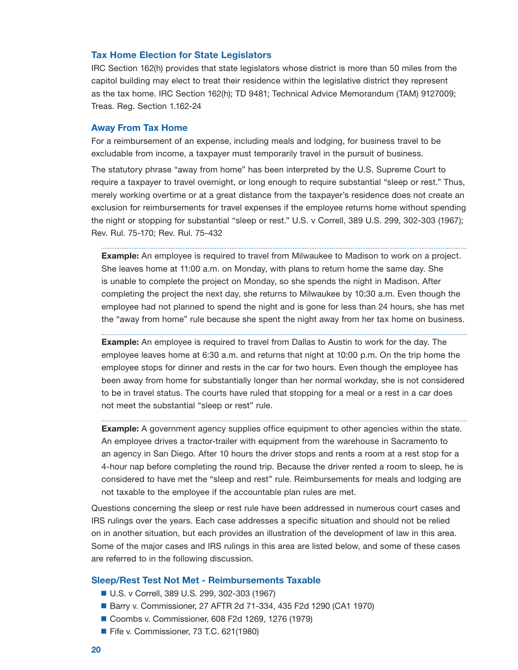## <span id="page-21-0"></span>Tax Home Election for State Legislators

IRC Section 162(h) provides that state legislators whose district is more than 50 miles from the capitol building may elect to treat their residence within the legislative district they represent as the tax home. IRC Section 162(h); TD 9481; Technical Advice Memorandum (TAM) 9127009; Treas. Reg. Section 1.162-24

#### Away From Tax Home

For a reimbursement of an expense, including meals and lodging, for business travel to be excludable from income, a taxpayer must temporarily travel in the pursuit of business.

The statutory phrase "away from home" has been interpreted by the U.S. Supreme Court to require a taxpayer to travel overnight, or long enough to require substantial "sleep or rest." Thus, merely working overtime or at a great distance from the taxpayer's residence does not create an exclusion for reimbursements for travel expenses if the employee returns home without spending the night or stopping for substantial "sleep or rest." U.S. v Correll, 389 U.S. 299, 302-303 (1967); Rev. Rul. 75-170; Rev. Rul. 75-432

**Example:** An employee is required to travel from Milwaukee to Madison to work on a project. She leaves home at 11:00 a.m. on Monday, with plans to return home the same day. She is unable to complete the project on Monday, so she spends the night in Madison. After completing the project the next day, she returns to Milwaukee by 10:30 a.m. Even though the employee had not planned to spend the night and is gone for less than 24 hours, she has met the "away from home" rule because she spent the night away from her tax home on business.

**Example:** An employee is required to travel from Dallas to Austin to work for the day. The employee leaves home at 6:30 a.m. and returns that night at 10:00 p.m. On the trip home the employee stops for dinner and rests in the car for two hours. Even though the employee has been away from home for substantially longer than her normal workday, she is not considered to be in travel status. The courts have ruled that stopping for a meal or a rest in a car does not meet the substantial "sleep or rest" rule.

**Example:** A government agency supplies office equipment to other agencies within the state. An employee drives a tractor-trailer with equipment from the warehouse in Sacramento to an agency in San Diego. After 10 hours the driver stops and rents a room at a rest stop for a 4-hour nap before completing the round trip. Because the driver rented a room to sleep, he is considered to have met the "sleep and rest" rule. Reimbursements for meals and lodging are not taxable to the employee if the accountable plan rules are met.

Questions concerning the sleep or rest rule have been addressed in numerous court cases and IRS rulings over the years. Each case addresses a specific situation and should not be relied on in another situation, but each provides an illustration of the development of law in this area. Some of the major cases and IRS rulings in this area are listed below, and some of these cases are referred to in the following discussion.

#### Sleep/Rest Test Not Met - Reimbursements Taxable

- U.S. v Correll, 389 U.S. 299, 302-303 (1967)
- Barry v. Commissioner, 27 AFTR 2d 71-334, 435 F2d 1290 (CA1 1970)
- Coombs v. Commissioner, 608 F2d 1269, 1276 (1979)
- Fife v. Commissioner, 73 T.C. 621(1980)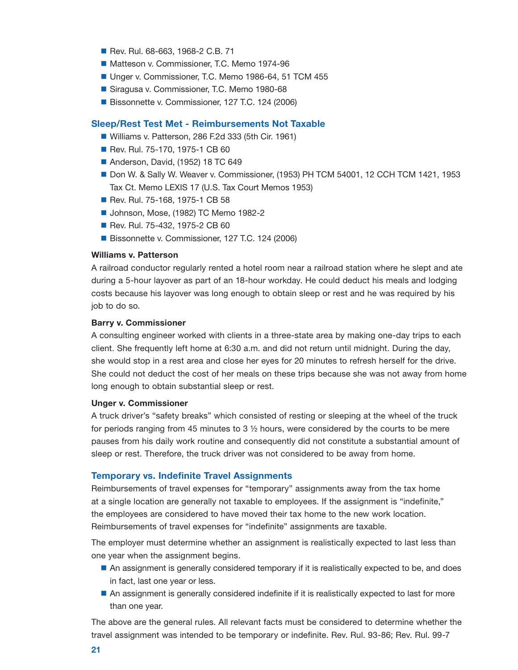- Rev. Rul. 68-663, 1968-2 C.B. 71
- Matteson v. Commissioner, T.C. Memo 1974-96
- Unger v. Commissioner, T.C. Memo 1986-64, 51 TCM 455
- Siragusa v. Commissioner, T.C. Memo 1980-68
- Bissonnette v. Commissioner, 127 T.C. 124 (2006)

### Sleep/Rest Test Met - Reimbursements Not Taxable

- Williams v. Patterson, 286 F.2d 333 (5th Cir. 1961)
- Rev. Rul. 75-170, 1975-1 CB 60
- Anderson, David, (1952) 18 TC 649
- Don W. & Sally W. Weaver v. Commissioner, (1953) PH TCM 54001, 12 CCH TCM 1421, 1953 Tax Ct. Memo LEXIS 17 (U.S. Tax Court Memos 1953)
- Rev. Rul. 75-168, 1975-1 CB 58
- Johnson, Mose, (1982) TC Memo 1982-2
- Rev. Rul. 75-432, 1975-2 CB 60
- Bissonnette v. Commissioner, 127 T.C. 124 (2006)

## Williams v. Patterson

A railroad conductor regularly rented a hotel room near a railroad station where he slept and ate during a 5-hour layover as part of an 18-hour workday. He could deduct his meals and lodging costs because his layover was long enough to obtain sleep or rest and he was required by his job to do so.

#### Barry v. Commissioner

A consulting engineer worked with clients in a three-state area by making one-day trips to each client. She frequently left home at 6:30 a.m. and did not return until midnight. During the day, she would stop in a rest area and close her eyes for 20 minutes to refresh herself for the drive. She could not deduct the cost of her meals on these trips because she was not away from home long enough to obtain substantial sleep or rest.

#### Unger v. Commissioner

A truck driver's "safety breaks" which consisted of resting or sleeping at the wheel of the truck for periods ranging from 45 minutes to 3 ½ hours, were considered by the courts to be mere pauses from his daily work routine and consequently did not constitute a substantial amount of sleep or rest. Therefore, the truck driver was not considered to be away from home.

### Temporary vs. Indefinite Travel Assignments

Reimbursements of travel expenses for "temporary" assignments away from the tax home at a single location are generally not taxable to employees. If the assignment is "indefinite," the employees are considered to have moved their tax home to the new work location. Reimbursements of travel expenses for "indefinite" assignments are taxable.

The employer must determine whether an assignment is realistically expected to last less than one year when the assignment begins.

- An assignment is generally considered temporary if it is realistically expected to be, and does in fact, last one year or less.
- An assignment is generally considered indefinite if it is realistically expected to last for more than one year.

The above are the general rules. All relevant facts must be considered to determine whether the travel assignment was intended to be temporary or indefinite. Rev. Rul. 93-86; Rev. Rul. 99-7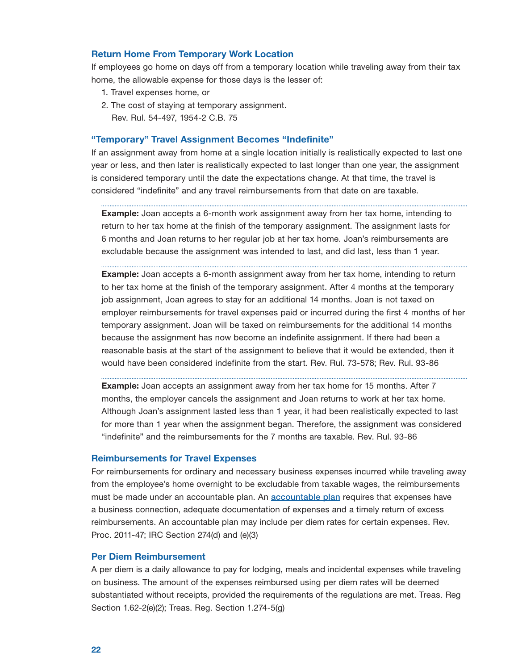## <span id="page-23-0"></span>Return Home From Temporary Work Location

If employees go home on days off from a temporary location while traveling away from their tax home, the allowable expense for those days is the lesser of:

- 1. Travel expenses home, or
- 2. The cost of staying at temporary assignment. Rev. Rul. 54-497, 1954-2 C.B. 75

#### "Temporary" Travel Assignment Becomes "Indefinite"

If an assignment away from home at a single location initially is realistically expected to last one year or less, and then later is realistically expected to last longer than one year, the assignment is considered temporary until the date the expectations change. At that time, the travel is considered "indefinite" and any travel reimbursements from that date on are taxable.

Example: Joan accepts a 6-month work assignment away from her tax home, intending to return to her tax home at the finish of the temporary assignment. The assignment lasts for 6 months and Joan returns to her regular job at her tax home. Joan's reimbursements are excludable because the assignment was intended to last, and did last, less than 1 year.

**Example:** Joan accepts a 6-month assignment away from her tax home, intending to return to her tax home at the finish of the temporary assignment. After 4 months at the temporary job assignment, Joan agrees to stay for an additional 14 months. Joan is not taxed on employer reimbursements for travel expenses paid or incurred during the first 4 months of her temporary assignment. Joan will be taxed on reimbursements for the additional 14 months because the assignment has now become an indefinite assignment. If there had been a reasonable basis at the start of the assignment to believe that it would be extended, then it would have been considered indefinite from the start. Rev. Rul. 73-578; Rev. Rul. 93-86

**Example:** Joan accepts an assignment away from her tax home for 15 months. After 7 months, the employer cancels the assignment and Joan returns to work at her tax home. Although Joan's assignment lasted less than 1 year, it had been realistically expected to last for more than 1 year when the assignment began. Therefore, the assignment was considered "indefinite" and the reimbursements for the 7 months are taxable. Rev. Rul. 93-86

#### Reimbursements for Travel Expenses

For reimbursements for ordinary and necessary business expenses incurred while traveling away from the employee's home overnight to be excludable from taxable wages, the reimbursements must be made under an [accountable plan](#page-5-0). An **accountable plan** requires that expenses have a business connection, adequate documentation of expenses and a timely return of excess reimbursements. An accountable plan may include per diem rates for certain expenses. Rev. Proc. 2011-47; IRC Section 274(d) and (e)(3)

#### Per Diem Reimbursement

 on business. The amount of the expenses reimbursed using per diem rates will be deemed substantiated without receipts, provided the requirements of the regulations are met. Treas. Reg A per diem is a daily allowance to pay for lodging, meals and incidental expenses while traveling Section 1.62-2(e)(2); Treas. Reg. Section 1.274-5(g)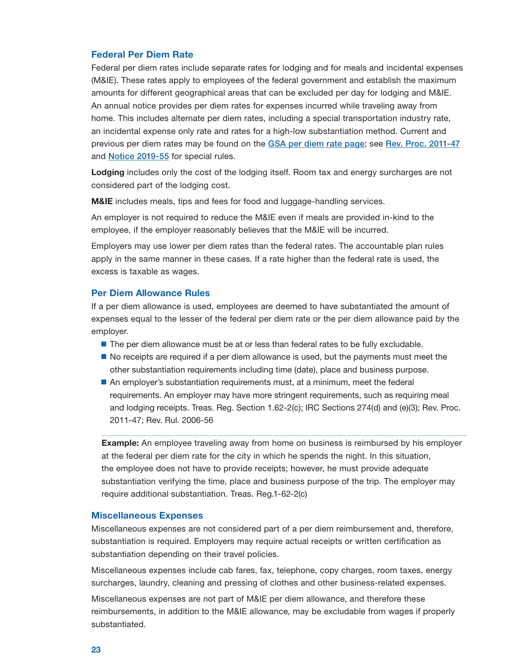## <span id="page-24-0"></span>Federal Per Diem Rate

Federal per diem rates include separate rates for lodging and for meals and incidental expenses (M&IE). These rates apply to employees of the federal government and establish the maximum amounts for different geographical areas that can be excluded per day for lodging and M&IE. An annual notice provides per diem rates for expenses incurred while traveling away from home. This includes alternate per diem rates, including a special transportation industry rate, an incidental expense only rate and rates for a high-low substantiation method. Current and previous per diem rates may be found on the [GSA per diem rate page](https://www.gsa.gov/travel/plan-book/per-diem-rates); see Rev. Proc. 2011-47 and [Notice 2019-55](https://www.irs.gov/irb/2019-42_IRB#Notice-2019-55) for special rules.

Lodging includes only the cost of the lodging itself. Room tax and energy surcharges are not considered part of the lodging cost.

**M&IE** includes meals, tips and fees for food and luggage-handling services.

An employer is not required to reduce the M&IE even if meals are provided in-kind to the employee, if the employer reasonably believes that the M&IE will be incurred.

Employers may use lower per diem rates than the federal rates. The accountable plan rules apply in the same manner in these cases. If a rate higher than the federal rate is used, the excess is taxable as wages.

## Per Diem Allowance Rules

If a per diem allowance is used, employees are deemed to have substantiated the amount of expenses equal to the lesser of the federal per diem rate or the per diem allowance paid by the employer.

- The per diem allowance must be at or less than federal rates to be fully excludable.
- $\blacksquare$  No receipts are required if a per diem allowance is used, but the payments must meet the other substantiation requirements including time (date), place and business purpose.
- An employer's substantiation requirements must, at a minimum, meet the federal requirements. An employer may have more stringent requirements, such as requiring meal and lodging receipts. Treas. Reg. Section 1.62-2(c); IRC Sections 274(d) and (e)(3); Rev. Proc. 2011-47; Rev. Rul. 2006-56

**Example:** An employee traveling away from home on business is reimbursed by his employer at the federal per diem rate for the city in which he spends the night. In this situation, the employee does not have to provide receipts; however, he must provide adequate substantiation verifying the time, place and business purpose of the trip. The employer may require additional substantiation. Treas. Reg.1-62-2(c)

### Miscellaneous Expenses

Miscellaneous expenses are not considered part of a per diem reimbursement and, therefore, substantiation is required. Employers may require actual receipts or written certification as substantiation depending on their travel policies.

Miscellaneous expenses include cab fares, fax, telephone, copy charges, room taxes, energy surcharges, laundry, cleaning and pressing of clothes and other business-related expenses.

Miscellaneous expenses are not part of M&IE per diem allowance, and therefore these reimbursements, in addition to the M&IE allowance, may be excludable from wages if properly substantiated.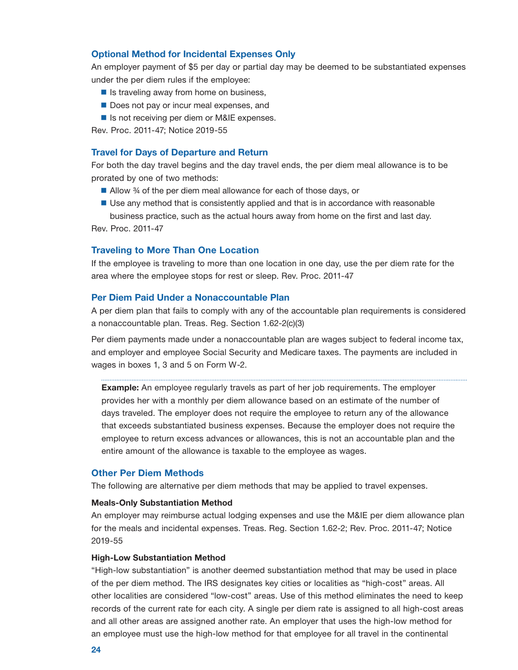## <span id="page-25-0"></span>Optional Method for Incidental Expenses Only

An employer payment of \$5 per day or partial day may be deemed to be substantiated expenses under the per diem rules if the employee:

- $\blacksquare$  Is traveling away from home on business,
- Does not pay or incur meal expenses, and
- Is not receiving per diem or M&IE expenses.

Rev. Proc. 2011-47; Notice 2019-55

#### Travel for Days of Departure and Return

For both the day travel begins and the day travel ends, the per diem meal allowance is to be prorated by one of two methods:

- Allow 3⁄4 of the per diem meal allowance for each of those days, or
- Use any method that is consistently applied and that is in accordance with reasonable business practice, such as the actual hours away from home on the first and last day.

Rev. Proc. 2011-47

## Traveling to More Than One Location

If the employee is traveling to more than one location in one day, use the per diem rate for the area where the employee stops for rest or sleep. Rev. Proc. 2011-47

## Per Diem Paid Under a Nonaccountable Plan

A per diem plan that fails to comply with any of the accountable plan requirements is considered a nonaccountable plan. Treas. Reg. Section 1.62-2(c)(3)

 and employer and employee Social Security and Medicare taxes. The payments are included in Per diem payments made under a nonaccountable plan are wages subject to federal income tax, wages in boxes 1, 3 and 5 on Form W-2.

**Example:** An employee regularly travels as part of her job requirements. The employer provides her with a monthly per diem allowance based on an estimate of the number of days traveled. The employer does not require the employee to return any of the allowance that exceeds substantiated business expenses. Because the employer does not require the employee to return excess advances or allowances, this is not an accountable plan and the entire amount of the allowance is taxable to the employee as wages.

## Other Per Diem Methods

The following are alternative per diem methods that may be applied to travel expenses.

## Meals-Only Substantiation Method

An employer may reimburse actual lodging expenses and use the M&IE per diem allowance plan for the meals and incidental expenses. Treas. Reg. Section 1.62-2; Rev. Proc. 2011-47; Notice 2019-55

#### High-Low Substantiation Method

"High-low substantiation" is another deemed substantiation method that may be used in place of the per diem method. The IRS designates key cities or localities as "high-cost" areas. All other localities are considered "low-cost" areas. Use of this method eliminates the need to keep records of the current rate for each city. A single per diem rate is assigned to all high-cost areas and all other areas are assigned another rate. An employer that uses the high-low method for an employee must use the high-low method for that employee for all travel in the continental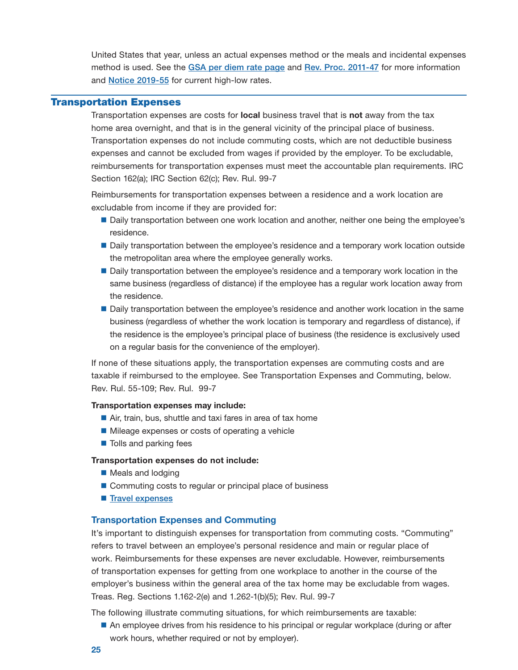<span id="page-26-0"></span>United States that year, unless an actual expenses method or the meals and incidental expenses method is used. See the GSA per diem rate page and [Rev. Proc. 2011-47](https://www.irs.gov/irb/2011-42_IRB#RP-2011-47) for more information and [Notice 2019-55](https://www.irs.gov/irb/2019-42_IRB#Notice-2019-55) for current high-low rates.

## Transportation Expenses

Transportation expenses are costs for **local** business travel that is **not** away from the tax home area overnight, and that is in the general vicinity of the principal place of business. Transportation expenses do not include commuting costs, which are not deductible business expenses and cannot be excluded from wages if provided by the employer. To be excludable, reimbursements for transportation expenses must meet the accountable plan requirements. IRC Section 162(a); IRC Section 62(c); Rev. Rul. 99-7

Reimbursements for transportation expenses between a residence and a work location are excludable from income if they are provided for:

- Daily transportation between one work location and another, neither one being the employee's residence.
- **Daily transportation between the employee's residence and a temporary work location outside** the metropolitan area where the employee generally works.
- Daily transportation between the employee's residence and a temporary work location in the same business (regardless of distance) if the employee has a regular work location away from the residence.
- **Daily transportation between the employee's residence and another work location in the same** business (regardless of whether the work location is temporary and regardless of distance), if the residence is the employee's principal place of business (the residence is exclusively used on a regular basis for the convenience of the employer).

If none of these situations apply, the transportation expenses are commuting costs and are taxable if reimbursed to the employee. See Transportation Expenses and Commuting, below. Rev. Rul. 55-109; Rev. Rul. 99-7

#### Transportation expenses may include:

- Air, train, bus, shuttle and taxi fares in area of tax home
- **Mileage expenses or costs of operating a vehicle**
- Tolls and parking fees

## Transportation expenses do not include:

- Meals and lodging
- Commuting costs to regular or principal place of business
- [Travel expenses](#page-19-0)

## Transportation Expenses and Commuting

It's important to distinguish expenses for transportation from commuting costs. "Commuting" refers to travel between an employee's personal residence and main or regular place of work. Reimbursements for these expenses are never excludable. However, reimbursements of transportation expenses for getting from one workplace to another in the course of the employer's business within the general area of the tax home may be excludable from wages. Treas. Reg. Sections 1.162-2(e) and 1.262-1(b)(5); Rev. Rul. 99-7

The following illustrate commuting situations, for which reimbursements are taxable:

An employee drives from his residence to his principal or regular workplace (during or after work hours, whether required or not by employer).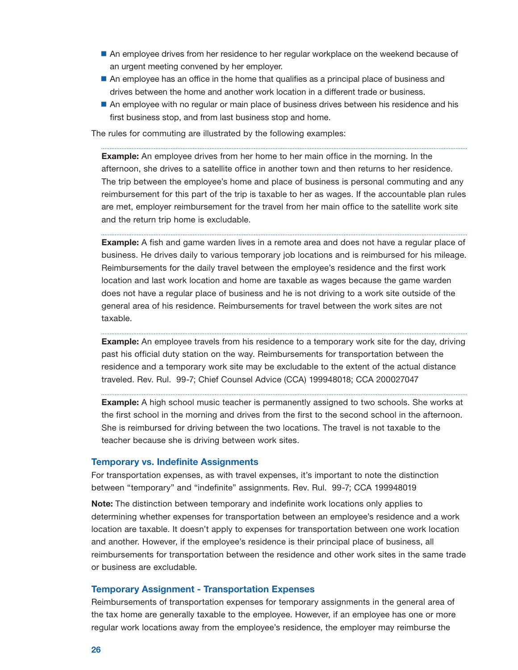- <span id="page-27-0"></span>An employee drives from her residence to her regular workplace on the weekend because of an urgent meeting convened by her employer.
- An employee has an office in the home that qualifies as a principal place of business and drives between the home and another work location in a different trade or business.
- An employee with no regular or main place of business drives between his residence and his first business stop, and from last business stop and home.

The rules for commuting are illustrated by the following examples:

**Example:** An employee drives from her home to her main office in the morning. In the afternoon, she drives to a satellite office in another town and then returns to her residence. The trip between the employee's home and place of business is personal commuting and any reimbursement for this part of the trip is taxable to her as wages. If the accountable plan rules are met, employer reimbursement for the travel from her main office to the satellite work site and the return trip home is excludable.

**Example:** A fish and game warden lives in a remote area and does not have a regular place of business. He drives daily to various temporary job locations and is reimbursed for his mileage. Reimbursements for the daily travel between the employee's residence and the first work location and last work location and home are taxable as wages because the game warden does not have a regular place of business and he is not driving to a work site outside of the general area of his residence. Reimbursements for travel between the work sites are not taxable.

**Example:** An employee travels from his residence to a temporary work site for the day, driving past his official duty station on the way. Reimbursements for transportation between the residence and a temporary work site may be excludable to the extent of the actual distance traveled. Rev. Rul. 99-7; Chief Counsel Advice (CCA) 199948018; CCA 200027047

**Example:** A high school music teacher is permanently assigned to two schools. She works at the first school in the morning and drives from the first to the second school in the afternoon. She is reimbursed for driving between the two locations. The travel is not taxable to the teacher because she is driving between work sites.

#### Temporary vs. Indefinite Assignments

For transportation expenses, as with travel expenses, it's important to note the distinction between "temporary" and "indefinite" assignments. Rev. Rul. 99-7; CCA 199948019

Note: The distinction between temporary and indefinite work locations only applies to determining whether expenses for transportation between an employee's residence and a work location are taxable. It doesn't apply to expenses for transportation between one work location and another. However, if the employee's residence is their principal place of business, all reimbursements for transportation between the residence and other work sites in the same trade or business are excludable.

#### Temporary Assignment - Transportation Expenses

Reimbursements of transportation expenses for temporary assignments in the general area of the tax home are generally taxable to the employee. However, if an employee has one or more regular work locations away from the employee's residence, the employer may reimburse the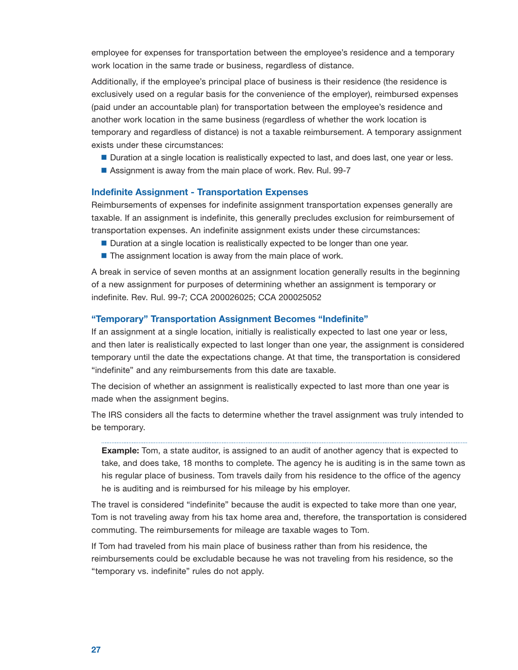work location in the same trade or business, regardless of distance. employee for expenses for transportation between the employee's residence and a temporary

Additionally, if the employee's principal place of business is their residence (the residence is exclusively used on a regular basis for the convenience of the employer), reimbursed expenses (paid under an accountable plan) for transportation between the employee's residence and another work location in the same business (regardless of whether the work location is temporary and regardless of distance) is not a taxable reimbursement. A temporary assignment exists under these circumstances:

- Duration at a single location is realistically expected to last, and does last, one year or less.
- Assignment is away from the main place of work. Rev. Rul. 99-7

## Indefinite Assignment - Transportation Expenses

Reimbursements of expenses for indefinite assignment transportation expenses generally are taxable. If an assignment is indefinite, this generally precludes exclusion for reimbursement of transportation expenses. An indefinite assignment exists under these circumstances:

- Duration at a single location is realistically expected to be longer than one year.
- $\blacksquare$  The assignment location is away from the main place of work.

A break in service of seven months at an assignment location generally results in the beginning of a new assignment for purposes of determining whether an assignment is temporary or indefinite. Rev. Rul. 99-7; CCA 200026025; CCA 200025052

### "Temporary" Transportation Assignment Becomes "Indefinite"

If an assignment at a single location, initially is realistically expected to last one year or less, and then later is realistically expected to last longer than one year, the assignment is considered temporary until the date the expectations change. At that time, the transportation is considered "indefinite" and any reimbursements from this date are taxable.

The decision of whether an assignment is realistically expected to last more than one year is made when the assignment begins.

The IRS considers all the facts to determine whether the travel assignment was truly intended to be temporary.

**Example:** Tom, a state auditor, is assigned to an audit of another agency that is expected to take, and does take, 18 months to complete. The agency he is auditing is in the same town as his regular place of business. Tom travels daily from his residence to the office of the agency he is auditing and is reimbursed for his mileage by his employer.

The travel is considered "indefinite" because the audit is expected to take more than one year, Tom is not traveling away from his tax home area and, therefore, the transportation is considered commuting. The reimbursements for mileage are taxable wages to Tom.

If Tom had traveled from his main place of business rather than from his residence, the reimbursements could be excludable because he was not traveling from his residence, so the "temporary vs. indefinite" rules do not apply.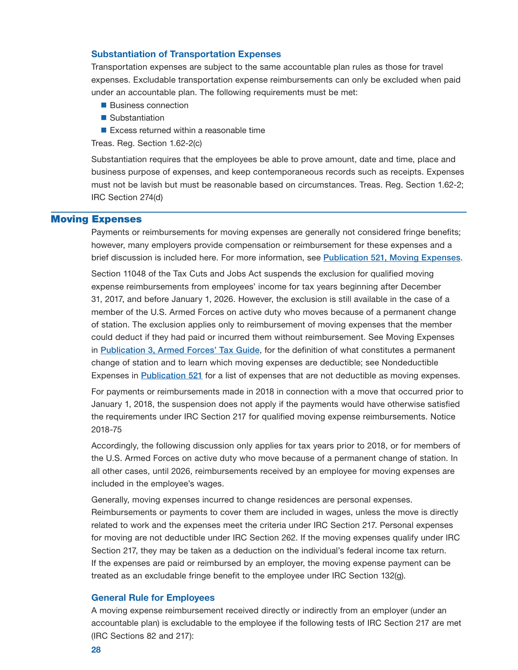## <span id="page-29-0"></span>Substantiation of Transportation Expenses

Transportation expenses are subject to the same accountable plan rules as those for travel expenses. Excludable transportation expense reimbursements can only be excluded when paid under an accountable plan. The following requirements must be met:

- **Business connection**
- Substantiation
- Excess returned within a reasonable time

Treas. Reg. Section 1.62-2(c)

Substantiation requires that the employees be able to prove amount, date and time, place and business purpose of expenses, and keep contemporaneous records such as receipts. Expenses must not be lavish but must be reasonable based on circumstances. Treas. Reg. Section 1.62-2; IRC Section 274(d)

## Moving Expenses

Payments or reimbursements for moving expenses are generally not considered fringe benefits; however, many employers provide compensation or reimbursement for these expenses and a brief discussion is included here. For more information, see [Publication 521, Moving Expenses](https://www.irs.gov/publications/p521).

Section 11048 of the Tax Cuts and Jobs Act suspends the exclusion for qualified moving expense reimbursements from employees' income for tax years beginning after December 31, 2017, and before January 1, 2026. However, the exclusion is still available in the case of a member of the U.S. Armed Forces on active duty who moves because of a permanent change of station. The exclusion applies only to reimbursement of moving expenses that the member could deduct if they had paid or incurred them without reimbursement. See Moving Expenses in [Publication 3, Armed Forces' Tax Guide](https://www.irs.gov/publications/p3), for the definition of what constitutes a permanent change of station and to learn which moving expenses are deductible; see Nondeductible Expenses in [Publication 521](https://www.irs.gov/publications/p521) for a list of expenses that are not deductible as moving expenses.

For payments or reimbursements made in 2018 in connection with a move that occurred prior to January 1, 2018, the suspension does not apply if the payments would have otherwise satisfied the requirements under IRC Section 217 for qualified moving expense reimbursements. Notice 2018-75

Accordingly, the following discussion only applies for tax years prior to 2018, or for members of the U.S. Armed Forces on active duty who move because of a permanent change of station. In all other cases, until 2026, reimbursements received by an employee for moving expenses are included in the employee's wages.

Generally, moving expenses incurred to change residences are personal expenses. Reimbursements or payments to cover them are included in wages, unless the move is directly related to work and the expenses meet the criteria under IRC Section 217. Personal expenses for moving are not deductible under IRC Section 262. If the moving expenses qualify under IRC Section 217, they may be taken as a deduction on the individual's federal income tax return. If the expenses are paid or reimbursed by an employer, the moving expense payment can be treated as an excludable fringe benefit to the employee under IRC Section 132(g).

#### General Rule for Employees

 A moving expense reimbursement received directly or indirectly from an employer (under an accountable plan) is excludable to the employee if the following tests of IRC Section 217 are met (IRC Sections 82 and 217):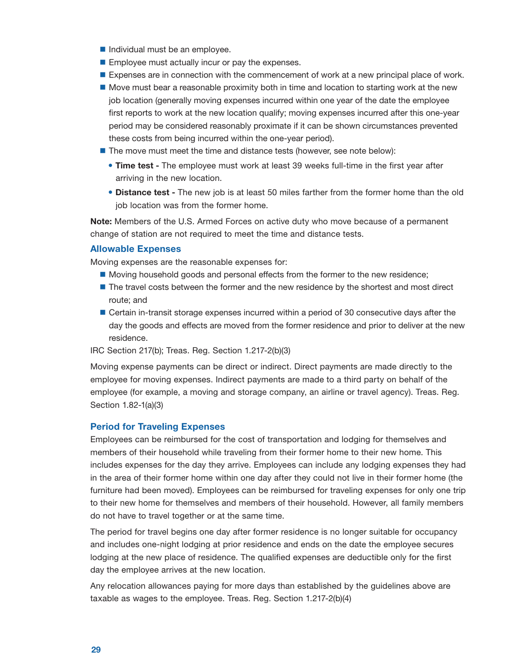- $\blacksquare$  Individual must be an employee.
- **Employee must actually incur or pay the expenses.**
- **Expenses are in connection with the commencement of work at a new principal place of work.**
- Move must bear a reasonable proximity both in time and location to starting work at the new job location (generally moving expenses incurred within one year of the date the employee first reports to work at the new location qualify; moving expenses incurred after this one-year period may be considered reasonably proximate if it can be shown circumstances prevented these costs from being incurred within the one-year period).
- **The move must meet the time and distance tests (however, see note below):** 
	- **Time test -** The employee must work at least 39 weeks full-time in the first year after arriving in the new location.
	- **Distance test -** The new job is at least 50 miles farther from the former home than the old job location was from the former home.

Note: Members of the U.S. Armed Forces on active duty who move because of a permanent change of station are not required to meet the time and distance tests.

## Allowable Expenses

Moving expenses are the reasonable expenses for:

- **Moving household goods and personal effects from the former to the new residence;**
- **The travel costs between the former and the new residence by the shortest and most direct** route; and
- **Certain in-transit storage expenses incurred within a period of 30 consecutive days after the** day the goods and effects are moved from the former residence and prior to deliver at the new residence.

IRC Section 217(b); Treas. Reg. Section 1.217-2(b)(3)

Moving expense payments can be direct or indirect. Direct payments are made directly to the employee for moving expenses. Indirect payments are made to a third party on behalf of the employee (for example, a moving and storage company, an airline or travel agency). Treas. Reg. Section 1.82-1(a)(3)

## Period for Traveling Expenses

Employees can be reimbursed for the cost of transportation and lodging for themselves and members of their household while traveling from their former home to their new home. This includes expenses for the day they arrive. Employees can include any lodging expenses they had in the area of their former home within one day after they could not live in their former home (the furniture had been moved). Employees can be reimbursed for traveling expenses for only one trip to their new home for themselves and members of their household. However, all family members do not have to travel together or at the same time.

The period for travel begins one day after former residence is no longer suitable for occupancy and includes one-night lodging at prior residence and ends on the date the employee secures lodging at the new place of residence. The qualified expenses are deductible only for the first day the employee arrives at the new location.

Any relocation allowances paying for more days than established by the guidelines above are taxable as wages to the employee. Treas. Reg. Section 1.217-2(b)(4)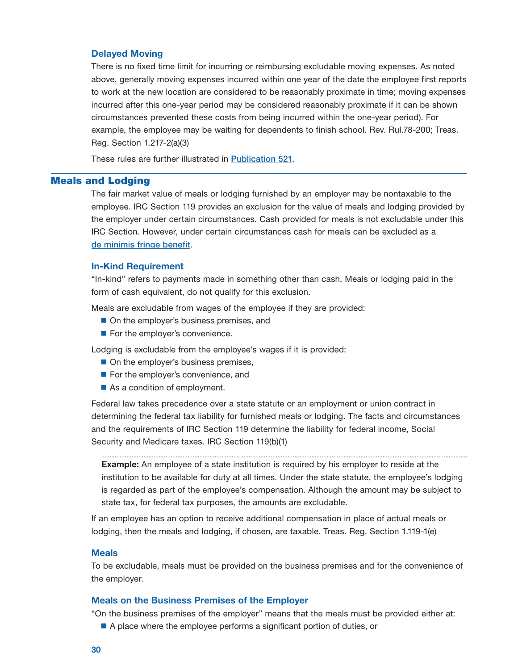## <span id="page-31-0"></span>Delayed Moving

There is no fixed time limit for incurring or reimbursing excludable moving expenses. As noted above, generally moving expenses incurred within one year of the date the employee first reports to work at the new location are considered to be reasonably proximate in time; moving expenses incurred after this one-year period may be considered reasonably proximate if it can be shown circumstances prevented these costs from being incurred within the one-year period). For example, the employee may be waiting for dependents to finish school. Rev. Rul.78-200; Treas. Reg. Section 1.217-2(a)(3)

These rules are further illustrated in [Publication 521](https://www.irs.gov/publications/p521).

## Meals and Lodging

The fair market value of meals or lodging furnished by an employer may be nontaxable to the employee. IRC Section 119 provides an exclusion for the value of meals and lodging provided by the employer under certain circumstances. Cash provided for meals is not excludable under this IRC Section. However, under certain circumstances cash for meals can be excluded as a [de minimis fringe benefit](#page-9-0).

## In-Kind Requirement

"In-kind" refers to payments made in something other than cash. Meals or lodging paid in the form of cash equivalent, do not qualify for this exclusion.

Meals are excludable from wages of the employee if they are provided:

- On the employer's business premises, and
- For the employer's convenience.

Lodging is excludable from the employee's wages if it is provided:

- On the employer's business premises,
- For the employer's convenience, and
- As a condition of employment.

Federal law takes precedence over a state statute or an employment or union contract in determining the federal tax liability for furnished meals or lodging. The facts and circumstances and the requirements of IRC Section 119 determine the liability for federal income, Social Security and Medicare taxes. IRC Section 119(b)(1)

**Example:** An employee of a state institution is required by his employer to reside at the institution to be available for duty at all times. Under the state statute, the employee's lodging is regarded as part of the employee's compensation. Although the amount may be subject to state tax, for federal tax purposes, the amounts are excludable.

If an employee has an option to receive additional compensation in place of actual meals or lodging, then the meals and lodging, if chosen, are taxable. Treas. Reg. Section 1.119-1(e)

## **Meals**

To be excludable, meals must be provided on the business premises and for the convenience of the employer.

### Meals on the Business Premises of the Employer

"On the business premises of the employer" means that the meals must be provided either at:

■ A place where the employee performs a significant portion of duties, or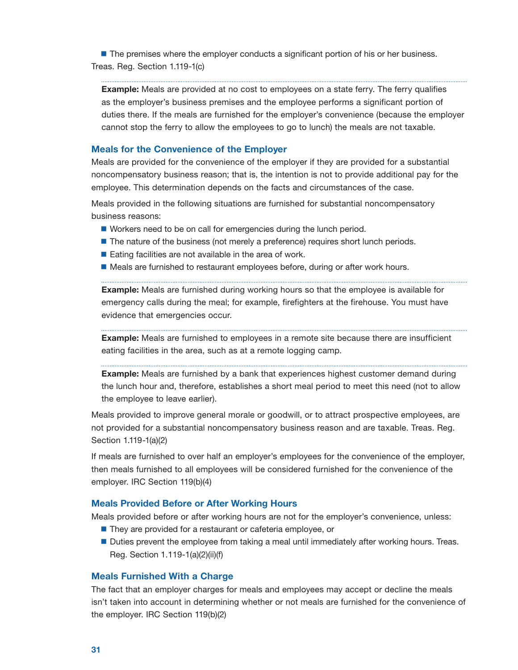<span id="page-32-0"></span>**The premises where the employer conducts a significant portion of his or her business.** Treas. Reg. Section 1.119-1(c)

**Example:** Meals are provided at no cost to employees on a state ferry. The ferry qualifies as the employer's business premises and the employee performs a significant portion of duties there. If the meals are furnished for the employer's convenience (because the employer cannot stop the ferry to allow the employees to go to lunch) the meals are not taxable.

## Meals for the Convenience of the Employer

Meals are provided for the convenience of the employer if they are provided for a substantial noncompensatory business reason; that is, the intention is not to provide additional pay for the employee. This determination depends on the facts and circumstances of the case.

Meals provided in the following situations are furnished for substantial noncompensatory business reasons:

■ Workers need to be on call for emergencies during the lunch period.

- The nature of the business (not merely a preference) requires short lunch periods.
- $\blacksquare$  Eating facilities are not available in the area of work.
- **Meals are furnished to restaurant employees before, during or after work hours.**

**Example:** Meals are furnished during working hours so that the employee is available for emergency calls during the meal; for example, firefighters at the firehouse. You must have evidence that emergencies occur.

**Example:** Meals are furnished to employees in a remote site because there are insufficient eating facilities in the area, such as at a remote logging camp.

**Example:** Meals are furnished by a bank that experiences highest customer demand during the lunch hour and, therefore, establishes a short meal period to meet this need (not to allow the employee to leave earlier).

Meals provided to improve general morale or goodwill, or to attract prospective employees, are not provided for a substantial noncompensatory business reason and are taxable. Treas. Reg. Section 1.119-1(a)(2)

If meals are furnished to over half an employer's employees for the convenience of the employer, then meals furnished to all employees will be considered furnished for the convenience of the employer. IRC Section 119(b)(4)

## Meals Provided Before or After Working Hours

Meals provided before or after working hours are not for the employer's convenience, unless:

- They are provided for a restaurant or cafeteria employee, or
- **Duties prevent the employee from taking a meal until immediately after working hours. Treas.** Reg. Section 1.119-1(a)(2)(ii)(f)

#### Meals Furnished With a Charge

The fact that an employer charges for meals and employees may accept or decline the meals isn't taken into account in determining whether or not meals are furnished for the convenience of the employer. IRC Section 119(b)(2)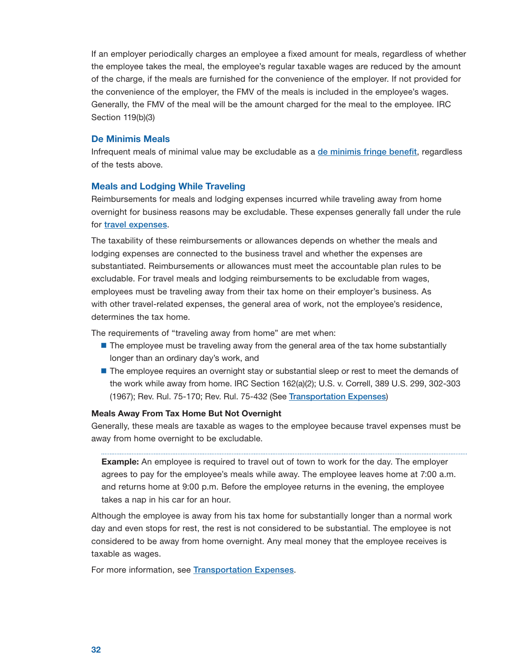<span id="page-33-0"></span>If an employer periodically charges an employee a fixed amount for meals, regardless of whether the employee takes the meal, the employee's regular taxable wages are reduced by the amount of the charge, if the meals are furnished for the convenience of the employer. If not provided for the convenience of the employer, the FMV of the meals is included in the employee's wages. Generally, the FMV of the meal will be the amount charged for the meal to the employee. IRC Section 119(b)(3)

## De Minimis Meals

Infrequent meals of minimal value may be excludable as a [de minimis fringe benefit](#page-9-0), regardless of the tests above.

## Meals and Lodging While Traveling

Reimbursements for meals and lodging expenses incurred while traveling away from home overnight for business reasons may be excludable. These expenses generally fall under the rule for [travel expenses](#page-19-0).

The taxability of these reimbursements or allowances depends on whether the meals and lodging expenses are connected to the business travel and whether the expenses are substantiated. Reimbursements or allowances must meet the accountable plan rules to be excludable. For travel meals and lodging reimbursements to be excludable from wages, employees must be traveling away from their tax home on their employer's business. As with other travel-related expenses, the general area of work, not the employee's residence, determines the tax home.

The requirements of "traveling away from home" are met when:

- **The employee must be traveling away from the general area of the tax home substantially** longer than an ordinary day's work, and
- **The employee requires an overnight stay or substantial sleep or rest to meet the demands of** the work while away from home. IRC Section 162(a)(2); U.S. v. Correll, 389 U.S. 299, 302-303 (1967); Rev. Rul. 75-170; Rev. Rul. 75-432 (See [Transportation Expenses](#page-26-0))

## Meals Away From Tax Home But Not Overnight

Generally, these meals are taxable as wages to the employee because travel expenses must be away from home overnight to be excludable.

**Example:** An employee is required to travel out of town to work for the day. The employer agrees to pay for the employee's meals while away. The employee leaves home at 7:00 a.m. and returns home at 9:00 p.m. Before the employee returns in the evening, the employee takes a nap in his car for an hour.

Although the employee is away from his tax home for substantially longer than a normal work day and even stops for rest, the rest is not considered to be substantial. The employee is not considered to be away from home overnight. Any meal money that the employee receives is taxable as wages.

For more information, see [Transportation Expenses](#page-26-0).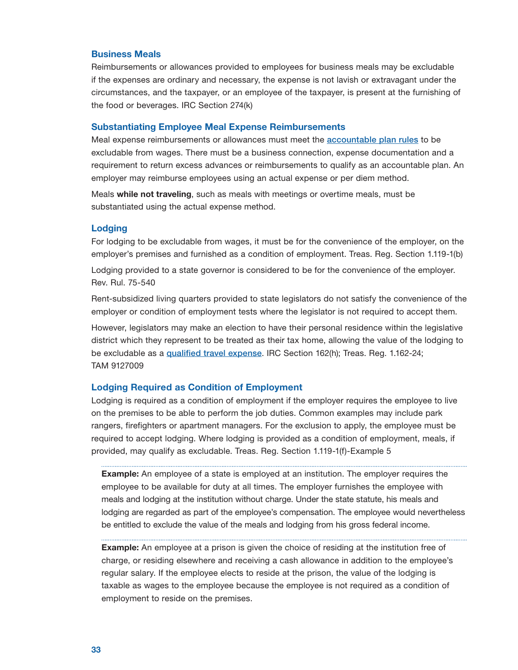#### <span id="page-34-0"></span>Business Meals

Reimbursements or allowances provided to employees for business meals may be excludable if the expenses are ordinary and necessary, the expense is not lavish or extravagant under the circumstances, and the taxpayer, or an employee of the taxpayer, is present at the furnishing of the food or beverages. IRC Section 274(k)

#### Substantiating Employee Meal Expense Reimbursements

Meal expense reimbursements or allowances must meet the **[accountable plan rules](#page-5-0)** to be excludable from wages. There must be a business connection, expense documentation and a requirement to return excess advances or reimbursements to qualify as an accountable plan. An employer may reimburse employees using an actual expense or per diem method.

 substantiated using the actual expense method. Meals while not traveling, such as meals with meetings or overtime meals, must be

## Lodging

For lodging to be excludable from wages, it must be for the convenience of the employer, on the employer's premises and furnished as a condition of employment. Treas. Reg. Section 1.119-1(b)

Lodging provided to a state governor is considered to be for the convenience of the employer. Rev. Rul. 75-540

Rent-subsidized living quarters provided to state legislators do not satisfy the convenience of the employer or condition of employment tests where the legislator is not required to accept them.

However, legislators may make an election to have their personal residence within the legislative district which they represent to be treated as their tax home, allowing the value of the lodging to be excludable as a [qualified travel expense](#page-19-0). IRC Section 162(h); Treas. Reg. 1.162-24; TAM 9127009

### Lodging Required as Condition of Employment

Lodging is required as a condition of employment if the employer requires the employee to live on the premises to be able to perform the job duties. Common examples may include park rangers, firefighters or apartment managers. For the exclusion to apply, the employee must be required to accept lodging. Where lodging is provided as a condition of employment, meals, if provided, may qualify as excludable. Treas. Reg. Section 1.119-1(f)-Example 5

**Example:** An employee of a state is employed at an institution. The employer requires the employee to be available for duty at all times. The employer furnishes the employee with meals and lodging at the institution without charge. Under the state statute, his meals and lodging are regarded as part of the employee's compensation. The employee would nevertheless be entitled to exclude the value of the meals and lodging from his gross federal income.

**Example:** An employee at a prison is given the choice of residing at the institution free of charge, or residing elsewhere and receiving a cash allowance in addition to the employee's regular salary. If the employee elects to reside at the prison, the value of the lodging is taxable as wages to the employee because the employee is not required as a condition of employment to reside on the premises.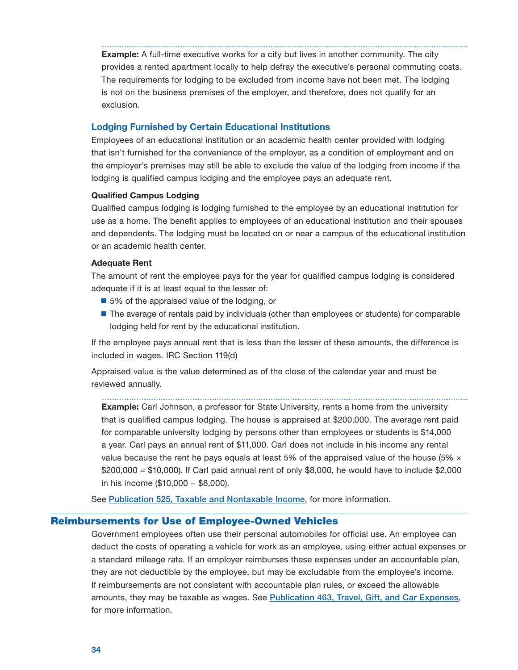<span id="page-35-0"></span>**Example:** A full-time executive works for a city but lives in another community. The city provides a rented apartment locally to help defray the executive's personal commuting costs. The requirements for lodging to be excluded from income have not been met. The lodging is not on the business premises of the employer, and therefore, does not qualify for an exclusion.

## Lodging Furnished by Certain Educational Institutions

Employees of an educational institution or an academic health center provided with lodging that isn't furnished for the convenience of the employer, as a condition of employment and on the employer's premises may still be able to exclude the value of the lodging from income if the lodging is qualified campus lodging and the employee pays an adequate rent.

## Qualified Campus Lodging

Qualified campus lodging is lodging furnished to the employee by an educational institution for use as a home. The benefit applies to employees of an educational institution and their spouses and dependents. The lodging must be located on or near a campus of the educational institution or an academic health center.

## Adequate Rent

The amount of rent the employee pays for the year for qualified campus lodging is considered adequate if it is at least equal to the lesser of:

- 5% of the appraised value of the lodging, or
- The average of rentals paid by individuals (other than employees or students) for comparable lodging held for rent by the educational institution.

If the employee pays annual rent that is less than the lesser of these amounts, the difference is included in wages. IRC Section 119(d)

Appraised value is the value determined as of the close of the calendar year and must be reviewed annually.

**Example:** Carl Johnson, a professor for State University, rents a home from the university that is qualified campus lodging. The house is appraised at \$200,000. The average rent paid for comparable university lodging by persons other than employees or students is \$14,000 a year. Carl pays an annual rent of \$11,000. Carl does not include in his income any rental value because the rent he pays equals at least 5% of the appraised value of the house (5%  $\times$ \$200,000 = \$10,000). If Carl paid annual rent of only \$8,000, he would have to include \$2,000 in his income (\$10,000 − \$8,000).

See [Publication 525, Taxable and Nontaxable Income](https://www.irs.gov/publications/p525), for more information.

## Reimbursements for Use of Employee-Owned Vehicles

Government employees often use their personal automobiles for official use. An employee can deduct the costs of operating a vehicle for work as an employee, using either actual expenses or a standard mileage rate. If an employer reimburses these expenses under an accountable plan, they are not deductible by the employee, but may be excludable from the employee's income. If reimbursements are not consistent with accountable plan rules, or exceed the allowable amounts, they may be taxable as wages. See [Publication 463, Travel, Gift, and Car Expenses](https://www.irs.gov/publications/p463), for more information.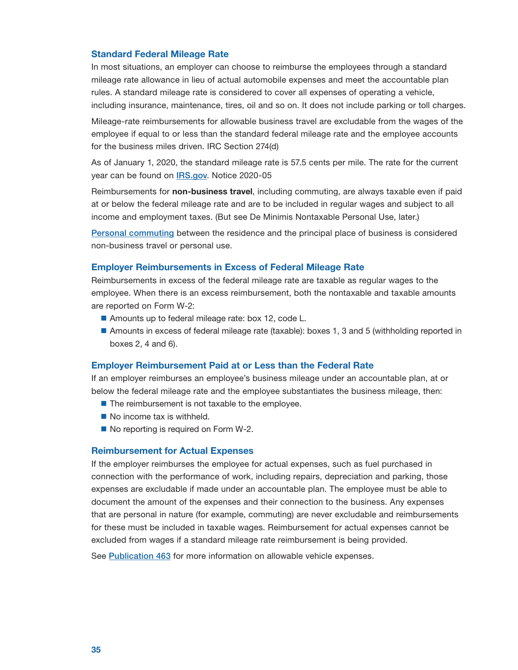## <span id="page-36-0"></span>Standard Federal Mileage Rate

In most situations, an employer can choose to reimburse the employees through a standard mileage rate allowance in lieu of actual automobile expenses and meet the accountable plan rules. A standard mileage rate is considered to cover all expenses of operating a vehicle, including insurance, maintenance, tires, oil and so on. It does not include parking or toll charges.

Mileage-rate reimbursements for allowable business travel are excludable from the wages of the employee if equal to or less than the standard federal mileage rate and the employee accounts for the business miles driven. IRC Section 274(d)

As of January 1, 2020, the standard mileage rate is 57.5 cents per mile. The rate for the current year can be found on **[IRS.gov](https://www.irs.gov/tax-professionals/standard-mileage-rates)**. Notice 2020-05

Reimbursements for non-business travel, including commuting, are always taxable even if paid at or below the federal mileage rate and are to be included in regular wages and subject to all income and employment taxes. (But see De Minimis Nontaxable Personal Use, later.)

[Personal commuting](#page-26-0) between the residence and the principal place of business is considered non-business travel or personal use.

## Employer Reimbursements in Excess of Federal Mileage Rate

Reimbursements in excess of the federal mileage rate are taxable as regular wages to the employee. When there is an excess reimbursement, both the nontaxable and taxable amounts are reported on Form W-2:

- Amounts up to federal mileage rate: box 12, code L.
- Amounts in excess of federal mileage rate (taxable): boxes 1, 3 and 5 (withholding reported in boxes 2, 4 and 6).

#### Employer Reimbursement Paid at or Less than the Federal Rate

If an employer reimburses an employee's business mileage under an accountable plan, at or below the federal mileage rate and the employee substantiates the business mileage, then:

- The reimbursement is not taxable to the employee.
- $\blacksquare$  No income tax is withheld.
- No reporting is required on Form W-2.

#### Reimbursement for Actual Expenses

If the employer reimburses the employee for actual expenses, such as fuel purchased in connection with the performance of work, including repairs, depreciation and parking, those expenses are excludable if made under an accountable plan. The employee must be able to document the amount of the expenses and their connection to the business. Any expenses that are personal in nature (for example, commuting) are never excludable and reimbursements for these must be included in taxable wages. Reimbursement for actual expenses cannot be excluded from wages if a standard mileage rate reimbursement is being provided.

See [Publication 463](https://www.irs.gov/publications/p463) for more information on allowable vehicle expenses.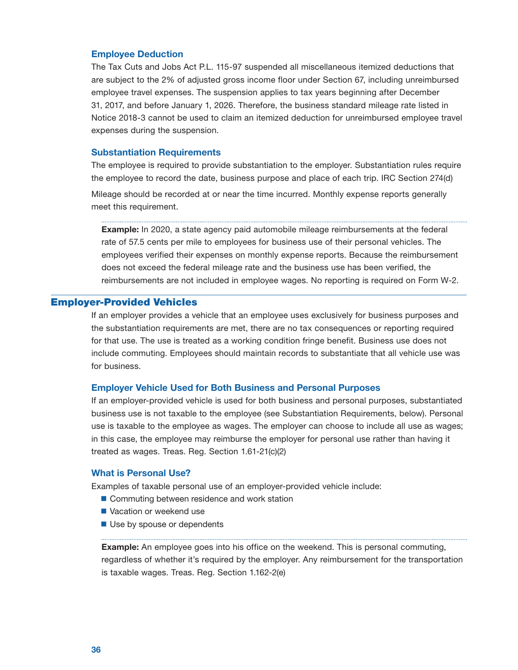#### <span id="page-37-0"></span>Employee Deduction

The Tax Cuts and Jobs Act P.L. 115-97 suspended all miscellaneous itemized deductions that are subject to the 2% of adjusted gross income floor under Section 67, including unreimbursed employee travel expenses. The suspension applies to tax years beginning after December 31, 2017, and before January 1, 2026. Therefore, the business standard mileage rate listed in Notice 2018-3 cannot be used to claim an itemized deduction for unreimbursed employee travel expenses during the suspension.

### Substantiation Requirements

The employee is required to provide substantiation to the employer. Substantiation rules require the employee to record the date, business purpose and place of each trip. IRC Section 274(d) Mileage should be recorded at or near the time incurred. Monthly expense reports generally meet this requirement.

 reimbursements are not included in employee wages. No reporting is required on Form W-2. **Example:** In 2020, a state agency paid automobile mileage reimbursements at the federal rate of 57.5 cents per mile to employees for business use of their personal vehicles. The employees verified their expenses on monthly expense reports. Because the reimbursement does not exceed the federal mileage rate and the business use has been verified, the

## Employer-Provided Vehicles

 for business. If an employer provides a vehicle that an employee uses exclusively for business purposes and the substantiation requirements are met, there are no tax consequences or reporting required for that use. The use is treated as a working condition fringe benefit. Business use does not include commuting. Employees should maintain records to substantiate that all vehicle use was

## Employer Vehicle Used for Both Business and Personal Purposes

If an employer-provided vehicle is used for both business and personal purposes, substantiated business use is not taxable to the employee (see Substantiation Requirements, below). Personal use is taxable to the employee as wages. The employer can choose to include all use as wages; in this case, the employee may reimburse the employer for personal use rather than having it treated as wages. Treas. Reg. Section 1.61-21(c)(2)

## What is Personal Use?

Examples of taxable personal use of an employer-provided vehicle include:

- Commuting between residence and work station
- Vacation or weekend use
- Use by spouse or dependents

**Example:** An employee goes into his office on the weekend. This is personal commuting, regardless of whether it's required by the employer. Any reimbursement for the transportation is taxable wages. Treas. Reg. Section 1.162-2(e)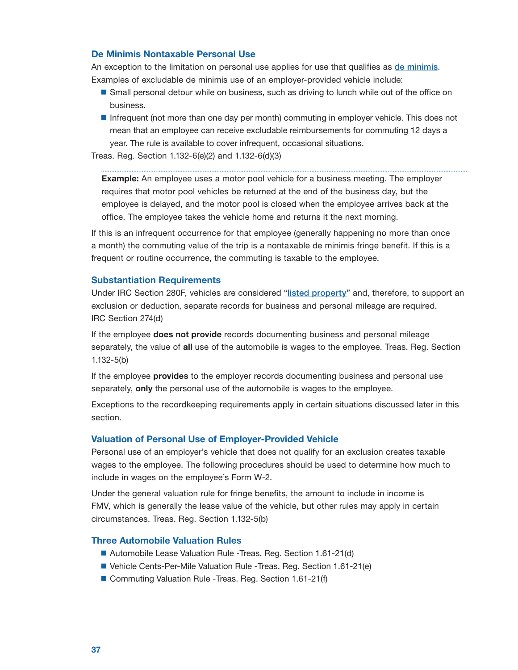## <span id="page-38-0"></span>De Minimis Nontaxable Personal Use

An exception to the limitation on personal use applies for use that qualifies as [de minimis](#page-9-0). Examples of excludable de minimis use of an employer-provided vehicle include:

- **Small personal detour while on business, such as driving to lunch while out of the office on** business.
- Infrequent (not more than one day per month) commuting in employer vehicle. This does not mean that an employee can receive excludable reimbursements for commuting 12 days a year. The rule is available to cover infrequent, occasional situations.

Treas. Reg. Section 1.132-6(e)(2) and 1.132-6(d)(3)

**Example:** An employee uses a motor pool vehicle for a business meeting. The employer requires that motor pool vehicles be returned at the end of the business day, but the employee is delayed, and the motor pool is closed when the employee arrives back at the office. The employee takes the vehicle home and returns it the next morning.

If this is an infrequent occurrence for that employee (generally happening no more than once a month) the commuting value of the trip is a nontaxable de minimis fringe benefit. If this is a frequent or routine occurrence, the commuting is taxable to the employee.

## Substantiation Requirements

Under IRC Section 280F, vehicles are considered "[listed property](#page-45-0)" and, therefore, to support an exclusion or deduction, separate records for business and personal mileage are required. IRC Section 274(d)

If the employee **does not provide** records documenting business and personal mileage separately, the value of all use of the automobile is wages to the employee. Treas. Reg. Section 1.132-5(b)

If the employee provides to the employer records documenting business and personal use separately, only the personal use of the automobile is wages to the employee.

Exceptions to the recordkeeping requirements apply in certain situations discussed later in this section.

## Valuation of Personal Use of Employer-Provided Vehicle

Personal use of an employer's vehicle that does not qualify for an exclusion creates taxable wages to the employee. The following procedures should be used to determine how much to include in wages on the employee's Form W-2.

Under the general valuation rule for fringe benefits, the amount to include in income is FMV, which is generally the lease value of the vehicle, but other rules may apply in certain circumstances. Treas. Reg. Section 1.132-5(b)

## Three Automobile Valuation Rules

- Automobile Lease Valuation Rule -Treas. Reg. Section 1.61-21(d)
- Vehicle Cents-Per-Mile Valuation Rule -Treas. Reg. Section 1.61-21(e)
- Commuting Valuation Rule -Treas. Reg. Section 1.61-21(f)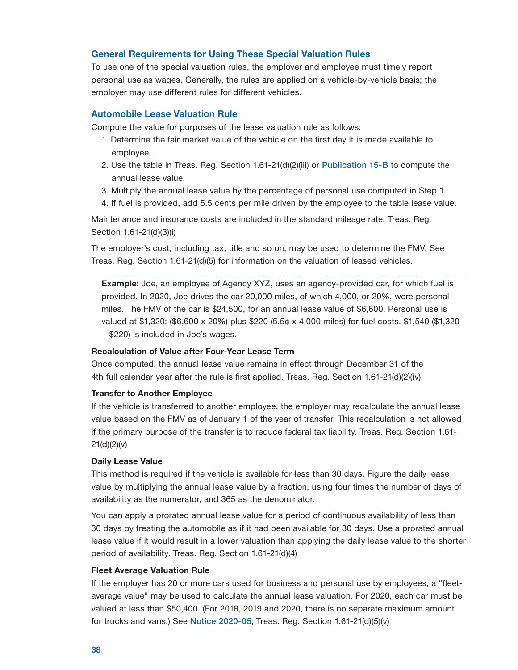## <span id="page-39-0"></span>General Requirements for Using These Special Valuation Rules

To use one of the special valuation rules, the employer and employee must timely report personal use as wages. Generally, the rules are applied on a vehicle-by-vehicle basis; the employer may use different rules for different vehicles.

## Automobile Lease Valuation Rule

Compute the value for purposes of the lease valuation rule as follows:

- 1. Determine the fair market value of the vehicle on the first day it is made available to employee.
- 2. Use the table in Treas. Reg. Section 1.61-21(d)(2)(iii) or [Publication 15-B](https://www.irs.gov/publications/p15b) to compute the annual lease value.
- 3. Multiply the annual lease value by the percentage of personal use computed in Step 1.
- 4. If fuel is provided, add 5.5 cents per mile driven by the employee to the table lease value.

Maintenance and insurance costs are included in the standard mileage rate. Treas. Reg. Section 1.61-21(d)(3)(i)

The employer's cost, including tax, title and so on, may be used to determine the FMV. See Treas. Reg. Section 1.61-21(d)(5) for information on the valuation of leased vehicles.

**Example:** Joe, an employee of Agency XYZ, uses an agency-provided car, for which fuel is provided. In 2020, Joe drives the car 20,000 miles, of which 4,000, or 20%, were personal miles. The FMV of the car is \$24,500, for an annual lease value of \$6,600. Personal use is valued at \$1,320: (\$6,600 x 20%) plus \$220 (5.5¢ x 4,000 miles) for fuel costs. \$1,540 (\$1,320 + \$220) is included in Joe's wages.

## Recalculation of Value after Four-Year Lease Term

Once computed, the annual lease value remains in effect through December 31 of the 4th full calendar year after the rule is first applied. Treas. Reg. Section 1.61-21(d)(2)(iv)

#### Transfer to Another Employee

If the vehicle is transferred to another employee, the employer may recalculate the annual lease value based on the FMV as of January 1 of the year of transfer. This recalculation is not allowed if the primary purpose of the transfer is to reduce federal tax liability. Treas. Reg. Section 1.61  $21(d)(2)(v)$ 

#### Daily Lease Value

This method is required if the vehicle is available for less than 30 days. Figure the daily lease value by multiplying the annual lease value by a fraction, using four times the number of days of availability as the numerator, and 365 as the denominator.

You can apply a prorated annual lease value for a period of continuous availability of less than 30 days by treating the automobile as if it had been available for 30 days. Use a prorated annual lease value if it would result in a lower valuation than applying the daily lease value to the shorter period of availability. Treas. Reg. Section 1.61-21(d)(4)

### Fleet Average Valuation Rule

If the employer has 20 or more cars used for business and personal use by employees, a "fleetaverage value" may be used to calculate the annual lease valuation. For 2020, each car must be valued at less than \$50,400. (For 2018, 2019 and 2020, there is no separate maximum amount for trucks and vans.) See **[Notice 2020-05](https://www.irs.gov/irb/2020-04_IRB#NOT-2020-5)**; Treas. Reg. Section  $1.61-21(d)(5)(v)$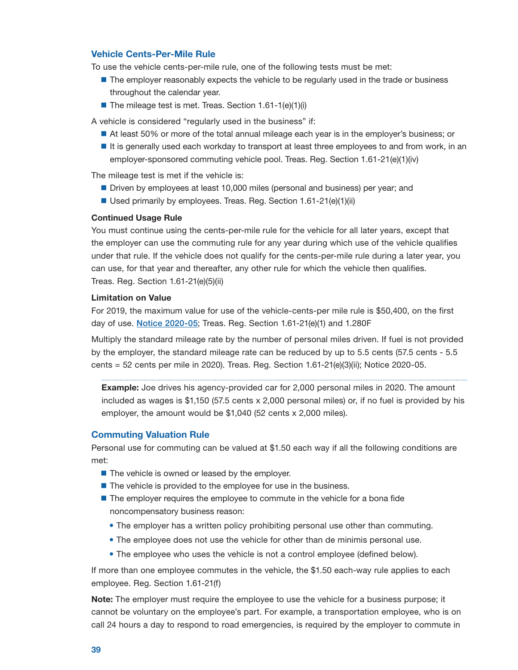## <span id="page-40-0"></span>Vehicle Cents-Per-Mile Rule

To use the vehicle cents-per-mile rule, one of the following tests must be met:

- **The employer reasonably expects the vehicle to be regularly used in the trade or business** throughout the calendar year.
- The mileage test is met. Treas. Section  $1.61-1(e)(1)(i)$

A vehicle is considered "regularly used in the business" if:

- At least 50% or more of the total annual mileage each year is in the employer's business; or
- $\blacksquare$  It is generally used each workday to transport at least three employees to and from work, in an employer-sponsored commuting vehicle pool. Treas. Reg. Section 1.61-21(e)(1)(iv)

The mileage test is met if the vehicle is:

- **Driven by employees at least 10,000 miles (personal and business) per year; and**
- Used primarily by employees. Treas. Reg. Section 1.61-21(e)(1)(ii)

### Continued Usage Rule

You must continue using the cents-per-mile rule for the vehicle for all later years, except that the employer can use the commuting rule for any year during which use of the vehicle qualifies under that rule. If the vehicle does not qualify for the cents-per-mile rule during a later year, you can use, for that year and thereafter, any other rule for which the vehicle then qualifies. Treas. Reg. Section 1.61-21(e)(5)(ii)

### Limitation on Value

For 2019, the maximum value for use of the vehicle-cents-per mile rule is \$50,400, on the first day of use. [Notice 2020-05](https://www.irs.gov/irb/2020-04_IRB#NOT-2020-5); Treas. Reg. Section 1.61-21(e)(1) and 1.280F

Multiply the standard mileage rate by the number of personal miles driven. If fuel is not provided by the employer, the standard mileage rate can be reduced by up to 5.5 cents (57.5 cents - 5.5 cents =  $52$  cents per mile in 2020). Treas. Reg. Section  $1.61-21(e)(3)(ii)$ ; Notice 2020-05.

**Example:** Joe drives his agency-provided car for 2,000 personal miles in 2020. The amount included as wages is \$1,150 (57.5 cents x 2,000 personal miles) or, if no fuel is provided by his employer, the amount would be \$1,040 (52 cents x 2,000 miles).

### Commuting Valuation Rule

Personal use for commuting can be valued at \$1.50 each way if all the following conditions are met:

- $\blacksquare$  The vehicle is owned or leased by the employer.
- The vehicle is provided to the employee for use in the business.
- The employer requires the employee to commute in the vehicle for a bona fide noncompensatory business reason:
	- The employer has a written policy prohibiting personal use other than commuting.
	- The employee does not use the vehicle for other than de minimis personal use.
	- The employee who uses the vehicle is not a control employee (defined below).

If more than one employee commutes in the vehicle, the \$1.50 each-way rule applies to each employee. Reg. Section 1.61-21(f)

Note: The employer must require the employee to use the vehicle for a business purpose; it cannot be voluntary on the employee's part. For example, a transportation employee, who is on call 24 hours a day to respond to road emergencies, is required by the employer to commute in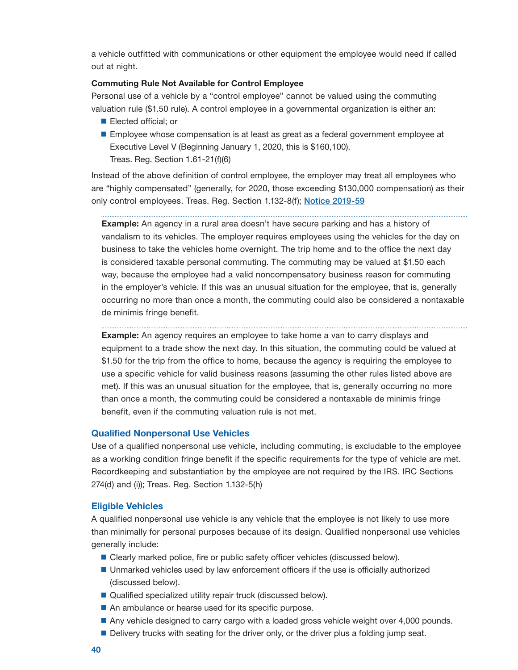<span id="page-41-0"></span>a vehicle outfitted with communications or other equipment the employee would need if called out at night.

## Commuting Rule Not Available for Control Employee

Personal use of a vehicle by a "control employee" cannot be valued using the commuting valuation rule (\$1.50 rule). A control employee in a governmental organization is either an:

- **Elected official; or**
- **Employee whose compensation is at least as great as a federal government employee at** Executive Level V (Beginning January 1, 2020, this is \$160,100). Treas. Reg. Section 1.61-21(f)(6)

Instead of the above definition of control employee, the employer may treat all employees who are "highly compensated" (generally, for 2020, those exceeding \$130,000 compensation) as their only control employees. Treas. Reg. Section 1.132-8(f); [Notice 2019-59](https://www.irs.gov/irb/2019-47_IRB#NOTE-2019-59)

**Example:** An agency in a rural area doesn't have secure parking and has a history of vandalism to its vehicles. The employer requires employees using the vehicles for the day on business to take the vehicles home overnight. The trip home and to the office the next day is considered taxable personal commuting. The commuting may be valued at \$1.50 each way, because the employee had a valid noncompensatory business reason for commuting in the employer's vehicle. If this was an unusual situation for the employee, that is, generally occurring no more than once a month, the commuting could also be considered a nontaxable de minimis fringe benefit.

**Example:** An agency requires an employee to take home a van to carry displays and

equipment to a trade show the next day. In this situation, the commuting could be valued at \$1.50 for the trip from the office to home, because the agency is requiring the employee to use a specific vehicle for valid business reasons (assuming the other rules listed above are met). If this was an unusual situation for the employee, that is, generally occurring no more than once a month, the commuting could be considered a nontaxable de minimis fringe benefit, even if the commuting valuation rule is not met.

### Qualified Nonpersonal Use Vehicles

Use of a qualified nonpersonal use vehicle, including commuting, is excludable to the employee as a working condition fringe benefit if the specific requirements for the type of vehicle are met. Recordkeeping and substantiation by the employee are not required by the IRS. IRC Sections 274(d) and (i)); Treas. Reg. Section 1.132-5(h)

### Eligible Vehicles

A qualified nonpersonal use vehicle is any vehicle that the employee is not likely to use more than minimally for personal purposes because of its design. Qualified nonpersonal use vehicles generally include:

- Clearly marked police, fire or public safety officer vehicles (discussed below).
- **Unmarked vehicles used by law enforcement officers if the use is officially authorized** (discussed below).
- Qualified specialized utility repair truck (discussed below).
- An ambulance or hearse used for its specific purpose.
- Any vehicle designed to carry cargo with a loaded gross vehicle weight over 4,000 pounds.
- Delivery trucks with seating for the driver only, or the driver plus a folding jump seat.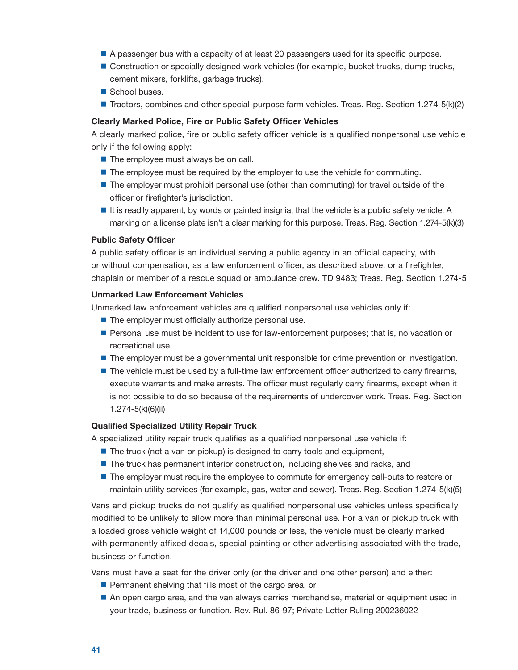- <span id="page-42-0"></span>A passenger bus with a capacity of at least 20 passengers used for its specific purpose.
- **Construction or specially designed work vehicles (for example, bucket trucks, dump trucks,** cement mixers, forklifts, garbage trucks).
- School buses.
- **Tractors, combines and other special-purpose farm vehicles. Treas. Reg. Section 1.274-5(k)(2)**

### Clearly Marked Police, Fire or Public Safety Officer Vehicles

A clearly marked police, fire or public safety officer vehicle is a qualified nonpersonal use vehicle only if the following apply:

- $\blacksquare$  The employee must always be on call.
- **The employee must be required by the employer to use the vehicle for commuting.**
- **The employer must prohibit personal use (other than commuting) for travel outside of the** officer or firefighter's jurisdiction.
- It is readily apparent, by words or painted insignia, that the vehicle is a public safety vehicle. A marking on a license plate isn't a clear marking for this purpose. Treas. Reg. Section 1.274-5(k)(3)

#### Public Safety Officer

A public safety officer is an individual serving a public agency in an official capacity, with or without compensation, as a law enforcement officer, as described above, or a firefighter, chaplain or member of a rescue squad or ambulance crew. TD 9483; Treas. Reg. Section 1.274-5

#### Unmarked Law Enforcement Vehicles

Unmarked law enforcement vehicles are qualified nonpersonal use vehicles only if:

- $\blacksquare$  The employer must officially authorize personal use.
- **Personal use must be incident to use for law-enforcement purposes; that is, no vacation or** recreational use.
- **The employer must be a governmental unit responsible for crime prevention or investigation.**
- **The vehicle must be used by a full-time law enforcement officer authorized to carry firearms,** execute warrants and make arrests. The officer must regularly carry firearms, except when it is not possible to do so because of the requirements of undercover work. Treas. Reg. Section 1.274-5(k)(6)(ii)

#### Qualified Specialized Utility Repair Truck

A specialized utility repair truck qualifies as a qualified nonpersonal use vehicle if:

- The truck (not a van or pickup) is designed to carry tools and equipment,
- **The truck has permanent interior construction, including shelves and racks, and**
- **The employer must require the employee to commute for emergency call-outs to restore or** maintain utility services (for example, gas, water and sewer). Treas. Reg. Section 1.274-5(k)(5)

Vans and pickup trucks do not qualify as qualified nonpersonal use vehicles unless specifically modified to be unlikely to allow more than minimal personal use. For a van or pickup truck with a loaded gross vehicle weight of 14,000 pounds or less, the vehicle must be clearly marked with permanently affixed decals, special painting or other advertising associated with the trade, business or function.

Vans must have a seat for the driver only (or the driver and one other person) and either:

- $\blacksquare$  Permanent shelving that fills most of the cargo area, or
- An open cargo area, and the van always carries merchandise, material or equipment used in your trade, business or function. Rev. Rul. 86-97; Private Letter Ruling 200236022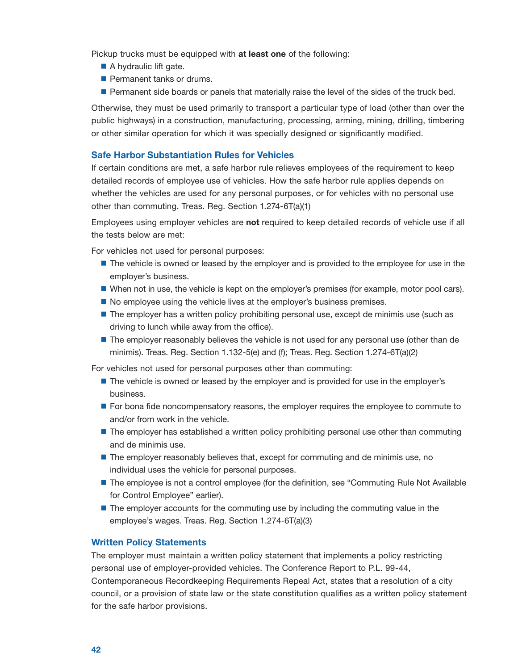Pickup trucks must be equipped with at least one of the following:

- A hydraulic lift gate.
- **Permanent tanks or drums.**
- **Permanent side boards or panels that materially raise the level of the sides of the truck bed.**

Otherwise, they must be used primarily to transport a particular type of load (other than over the public highways) in a construction, manufacturing, processing, arming, mining, drilling, timbering or other similar operation for which it was specially designed or significantly modified.

## Safe Harbor Substantiation Rules for Vehicles

If certain conditions are met, a safe harbor rule relieves employees of the requirement to keep detailed records of employee use of vehicles. How the safe harbor rule applies depends on whether the vehicles are used for any personal purposes, or for vehicles with no personal use other than commuting. Treas. Reg. Section 1.274-6T(a)(1)

Employees using employer vehicles are not required to keep detailed records of vehicle use if all the tests below are met:

For vehicles not used for personal purposes:

- **The vehicle is owned or leased by the employer and is provided to the employee for use in the** employer's business.
- When not in use, the vehicle is kept on the employer's premises (for example, motor pool cars).
- No employee using the vehicle lives at the employer's business premises.
- **The employer has a written policy prohibiting personal use, except de minimis use (such as** driving to lunch while away from the office).
- **The employer reasonably believes the vehicle is not used for any personal use (other than de** minimis). Treas. Reg. Section 1.132-5(e) and (f); Treas. Reg. Section 1.274-6T(a)(2)

For vehicles not used for personal purposes other than commuting:

- **The vehicle is owned or leased by the employer and is provided for use in the employer's** business.
- **For bona fide noncompensatory reasons, the employer requires the employee to commute to** and/or from work in the vehicle.
- **The employer has established a written policy prohibiting personal use other than commuting** and de minimis use.
- **The employer reasonably believes that, except for commuting and de minimis use, no** individual uses the vehicle for personal purposes.
- **The employee is not a control employee (for the definition, see "Commuting Rule Not Available** for Control Employee" earlier).
- **The employer accounts for the commuting use by including the commuting value in the** employee's wages. Treas. Reg. Section 1.274-6T(a)(3)

## Written Policy Statements

The employer must maintain a written policy statement that implements a policy restricting personal use of employer-provided vehicles. The Conference Report to P.L. 99-44, Contemporaneous Recordkeeping Requirements Repeal Act, states that a resolution of a city council, or a provision of state law or the state constitution qualifies as a written policy statement for the safe harbor provisions.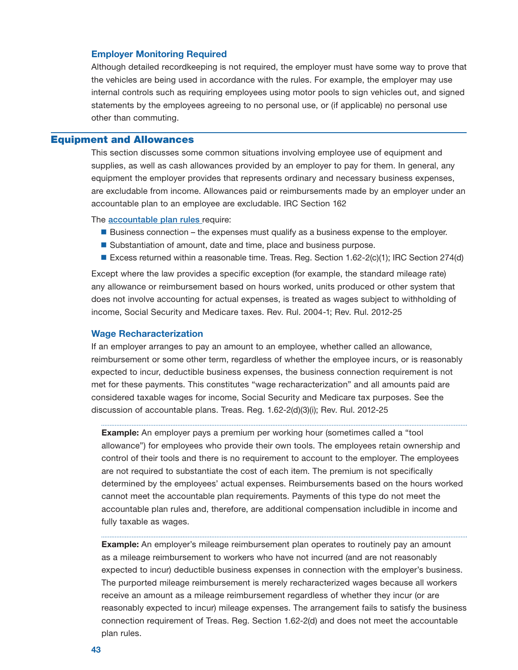### <span id="page-44-0"></span>Employer Monitoring Required

Although detailed recordkeeping is not required, the employer must have some way to prove that the vehicles are being used in accordance with the rules. For example, the employer may use internal controls such as requiring employees using motor pools to sign vehicles out, and signed statements by the employees agreeing to no personal use, or (if applicable) no personal use other than commuting.

## Equipment and Allowances

This section discusses some common situations involving employee use of equipment and supplies, as well as cash allowances provided by an employer to pay for them. In general, any equipment the employer provides that represents ordinary and necessary business expenses, are excludable from income. Allowances paid or reimbursements made by an employer under an accountable plan to an employee are excludable. IRC Section 162

The [accountable plan rules](#page-5-0) require:

- $\blacksquare$  Business connection the expenses must qualify as a business expense to the employer.
- Substantiation of amount, date and time, place and business purpose.
- Excess returned within a reasonable time. Treas. Reg. Section 1.62-2(c)(1); IRC Section 274(d)

Except where the law provides a specific exception (for example, the standard mileage rate) any allowance or reimbursement based on hours worked, units produced or other system that does not involve accounting for actual expenses, is treated as wages subject to withholding of income, Social Security and Medicare taxes. Rev. Rul. 2004-1; Rev. Rul. 2012-25

#### Wage Recharacterization

If an employer arranges to pay an amount to an employee, whether called an allowance, reimbursement or some other term, regardless of whether the employee incurs, or is reasonably expected to incur, deductible business expenses, the business connection requirement is not met for these payments. This constitutes "wage recharacterization" and all amounts paid are considered taxable wages for income, Social Security and Medicare tax purposes. See the discussion of accountable plans. Treas. Reg. 1.62-2(d)(3)(i); Rev. Rul. 2012-25

**Example:** An employer pays a premium per working hour (sometimes called a "tool allowance") for employees who provide their own tools. The employees retain ownership and control of their tools and there is no requirement to account to the employer. The employees are not required to substantiate the cost of each item. The premium is not specifically determined by the employees' actual expenses. Reimbursements based on the hours worked cannot meet the accountable plan requirements. Payments of this type do not meet the accountable plan rules and, therefore, are additional compensation includible in income and fully taxable as wages.

**Example:** An employer's mileage reimbursement plan operates to routinely pay an amount as a mileage reimbursement to workers who have not incurred (and are not reasonably expected to incur) deductible business expenses in connection with the employer's business. The purported mileage reimbursement is merely recharacterized wages because all workers receive an amount as a mileage reimbursement regardless of whether they incur (or are reasonably expected to incur) mileage expenses. The arrangement fails to satisfy the business connection requirement of Treas. Reg. Section 1.62-2(d) and does not meet the accountable plan rules.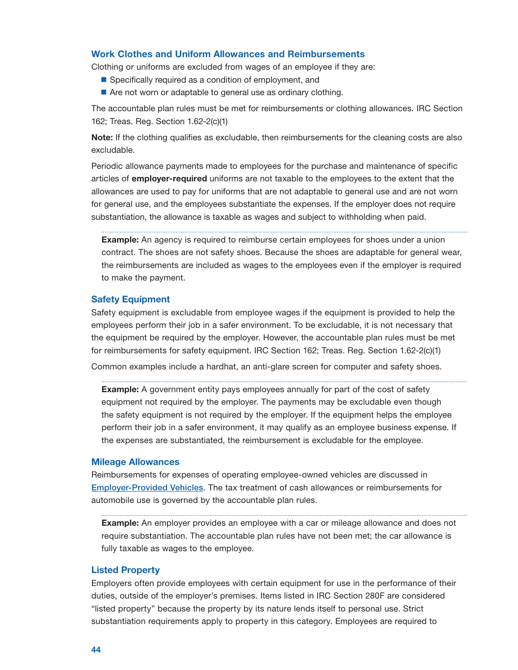## <span id="page-45-0"></span>Work Clothes and Uniform Allowances and Reimbursements

Clothing or uniforms are excluded from wages of an employee if they are:

- Specifically required as a condition of employment, and
- Are not worn or adaptable to general use as ordinary clothing.

The accountable plan rules must be met for reimbursements or clothing allowances. IRC Section 162; Treas. Reg. Section 1.62-2(c)(1)

Note: If the clothing qualifies as excludable, then reimbursements for the cleaning costs are also excludable.

 Periodic allowance payments made to employees for the purchase and maintenance of specific articles of **employer-required** uniforms are not taxable to the employees to the extent that the allowances are used to pay for uniforms that are not adaptable to general use and are not worn for general use, and the employees substantiate the expenses. If the employer does not require substantiation, the allowance is taxable as wages and subject to withholding when paid.

**Example:** An agency is required to reimburse certain employees for shoes under a union contract. The shoes are not safety shoes. Because the shoes are adaptable for general wear, the reimbursements are included as wages to the employees even if the employer is required to make the payment.

## Safety Equipment

Safety equipment is excludable from employee wages if the equipment is provided to help the employees perform their job in a safer environment. To be excludable, it is not necessary that the equipment be required by the employer. However, the accountable plan rules must be met for reimbursements for safety equipment. IRC Section 162; Treas. Reg. Section 1.62-2(c)(1)

Common examples include a hardhat, an anti-glare screen for computer and safety shoes.

**Example:** A government entity pays employees annually for part of the cost of safety equipment not required by the employer. The payments may be excludable even though the safety equipment is not required by the employer. If the equipment helps the employee perform their job in a safer environment, it may qualify as an employee business expense. If the expenses are substantiated, the reimbursement is excludable for the employee.

#### Mileage Allowances

Reimbursements for expenses of operating employee-owned vehicles are discussed in [Employer-Provided Vehicles](#page-37-0). The tax treatment of cash allowances or reimbursements for automobile use is governed by the accountable plan rules.

**Example:** An employer provides an employee with a car or mileage allowance and does not require substantiation. The accountable plan rules have not been met; the car allowance is fully taxable as wages to the employee.

### Listed Property

Employers often provide employees with certain equipment for use in the performance of their duties, outside of the employer's premises. Items listed in IRC Section 280F are considered "listed property" because the property by its nature lends itself to personal use. Strict substantiation requirements apply to property in this category. Employees are required to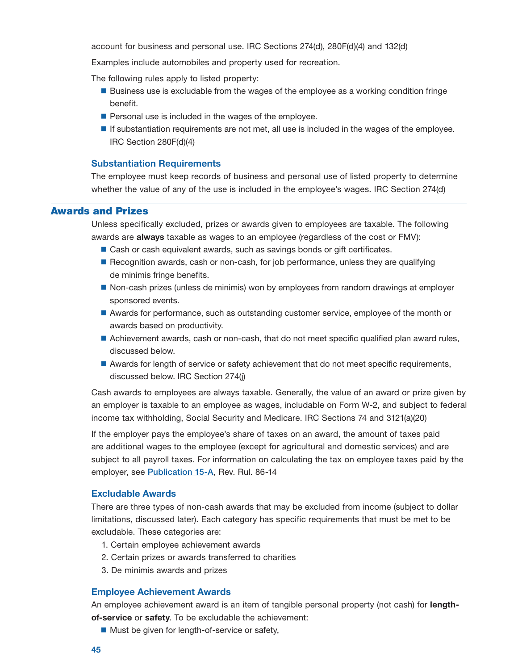<span id="page-46-0"></span>account for business and personal use. IRC Sections 274(d), 280F(d)(4) and 132(d)

Examples include automobiles and property used for recreation.

The following rules apply to listed property:

- **Business use is excludable from the wages of the employee as a working condition fringe** benefit.
- $\blacksquare$  Personal use is included in the wages of the employee.
- **If substantiation requirements are not met, all use is included in the wages of the employee.** IRC Section 280F(d)(4)

#### Substantiation Requirements

The employee must keep records of business and personal use of listed property to determine whether the value of any of the use is included in the employee's wages. IRC Section 274(d)

## Awards and Prizes

Unless specifically excluded, prizes or awards given to employees are taxable. The following awards are always taxable as wages to an employee (regardless of the cost or FMV):

- Cash or cash equivalent awards, such as savings bonds or gift certificates.
- Recognition awards, cash or non-cash, for job performance, unless they are qualifying de minimis fringe benefits.
- Non-cash prizes (unless de minimis) won by employees from random drawings at employer sponsored events.
- Awards for performance, such as outstanding customer service, employee of the month or awards based on productivity.
- Achievement awards, cash or non-cash, that do not meet specific qualified plan award rules, discussed below.
- Awards for length of service or safety achievement that do not meet specific requirements, discussed below. IRC Section 274(j)

Cash awards to employees are always taxable. Generally, the value of an award or prize given by an employer is taxable to an employee as wages, includable on Form W-2, and subject to federal income tax withholding, Social Security and Medicare. IRC Sections 74 and 3121(a)(20)

If the employer pays the employee's share of taxes on an award, the amount of taxes paid are additional wages to the employee (except for agricultural and domestic services) and are subject to all payroll taxes. For information on calculating the tax on employee taxes paid by the employer, see [Publication 15-A](https://www.irs.gov/publications/p15a), Rev. Rul. 86-14

#### Excludable Awards

There are three types of non-cash awards that may be excluded from income (subject to dollar limitations, discussed later). Each category has specific requirements that must be met to be excludable. These categories are:

- 1. Certain employee achievement awards
- 2. Certain prizes or awards transferred to charities
- 3. De minimis awards and prizes

### Employee Achievement Awards

An employee achievement award is an item of tangible personal property (not cash) for lengthof-service or safety. To be excludable the achievement:

■ Must be given for length-of-service or safety,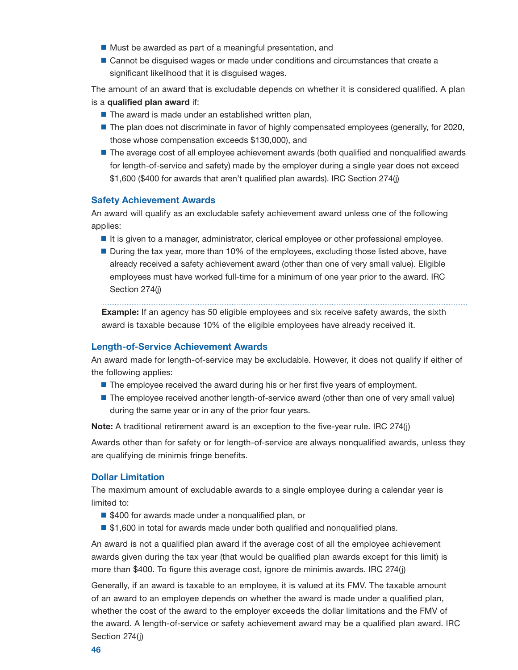- $\blacksquare$  Must be awarded as part of a meaningful presentation, and
- **Cannot be disguised wages or made under conditions and circumstances that create a** significant likelihood that it is disguised wages.

The amount of an award that is excludable depends on whether it is considered qualified. A plan is a qualified plan award if:

- $\blacksquare$  The award is made under an established written plan,
- **The plan does not discriminate in favor of highly compensated employees (generally, for 2020,** those whose compensation exceeds \$130,000), and
- **The average cost of all employee achievement awards (both qualified and nonqualified awards** for length-of-service and safety) made by the employer during a single year does not exceed \$1,600 (\$400 for awards that aren't qualified plan awards). IRC Section 274(j)

## Safety Achievement Awards

An award will qualify as an excludable safety achievement award unless one of the following applies:

- It is given to a manager, administrator, clerical employee or other professional employee.
- During the tax year, more than 10% of the employees, excluding those listed above, have already received a safety achievement award (other than one of very small value). Eligible employees must have worked full-time for a minimum of one year prior to the award. IRC Section 274(j)

**Example:** If an agency has 50 eligible employees and six receive safety awards, the sixth award is taxable because 10% of the eligible employees have already received it.

#### Length-of-Service Achievement Awards

An award made for length-of-service may be excludable. However, it does not qualify if either of the following applies:

- **The employee received the award during his or her first five years of employment.**
- **The employee received another length-of-service award (other than one of very small value)** during the same year or in any of the prior four years.

Note: A traditional retirement award is an exception to the five-year rule. IRC 274(j)

Awards other than for safety or for length-of-service are always nonqualified awards, unless they are qualifying de minimis fringe benefits.

### Dollar Limitation

The maximum amount of excludable awards to a single employee during a calendar year is limited to:

- \$400 for awards made under a nonqualified plan, or
- \$1,600 in total for awards made under both qualified and nonqualified plans.

An award is not a qualified plan award if the average cost of all the employee achievement awards given during the tax year (that would be qualified plan awards except for this limit) is more than \$400. To figure this average cost, ignore de minimis awards. IRC 274(j)

Generally, if an award is taxable to an employee, it is valued at its FMV. The taxable amount of an award to an employee depends on whether the award is made under a qualified plan, whether the cost of the award to the employer exceeds the dollar limitations and the FMV of the award. A length-of-service or safety achievement award may be a qualified plan award. IRC Section 274(j)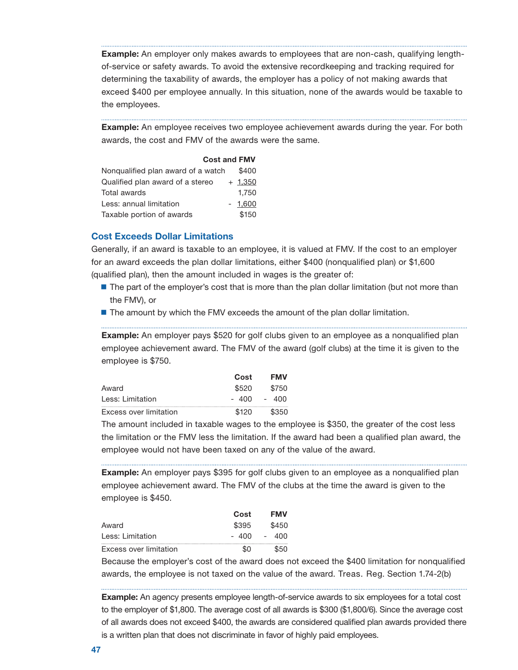**Example:** An employer only makes awards to employees that are non-cash, qualifying lengthof-service or safety awards. To avoid the extensive recordkeeping and tracking required for determining the taxability of awards, the employer has a policy of not making awards that exceed \$400 per employee annually. In this situation, none of the awards would be taxable to the employees.

**Example:** An employee receives two employee achievement awards during the year. For both awards, the cost and FMV of the awards were the same.

#### Cost and FMV

| Nonqualified plan award of a watch | \$400     |
|------------------------------------|-----------|
| Qualified plan award of a stereo   | $+ 1.350$ |
| Total awards                       | 1.750     |
| Less: annual limitation            | $-1.600$  |
| Taxable portion of awards          | \$150     |

## Cost Exceeds Dollar Limitations

Generally, if an award is taxable to an employee, it is valued at FMV. If the cost to an employer for an award exceeds the plan dollar limitations, either \$400 (nonqualified plan) or \$1,600 (qualified plan), then the amount included in wages is the greater of:

- **The part of the employer's cost that is more than the plan dollar limitation (but not more than** the FMV), or
- **The amount by which the FMV exceeds the amount of the plan dollar limitation.**

**Example:** An employer pays \$520 for golf clubs given to an employee as a nonqualified plan employee achievement award. The FMV of the award (golf clubs) at the time it is given to the employee is \$750.

|                        | Cost  | FMV   |
|------------------------|-------|-------|
| Award                  | \$520 | \$750 |
| Less: Limitation       | ⊿ററ   | - 400 |
| Excess over limitation | \$120 | \$350 |

The amount included in taxable wages to the employee is \$350, the greater of the cost less the limitation or the FMV less the limitation. If the award had been a qualified plan award, the employee would not have been taxed on any of the value of the award.

**Example:** An employer pays \$395 for golf clubs given to an employee as a nonqualified plan employee achievement award. The FMV of the clubs at the time the award is given to the employee is \$450.

|                        | Cost  | <b>FMV</b>                      |
|------------------------|-------|---------------------------------|
| Award                  | \$395 | \$450                           |
| Less: Limitation       | - 400 | 400<br>$\overline{\phantom{0}}$ |
| Excess over limitation | -SO   | ደ50                             |

Because the employer's cost of the award does not exceed the \$400 limitation for nonqualified awards, the employee is not taxed on the value of the award. Treas. Reg. Section 1.74-2(b)

Example: An agency presents employee length-of-service awards to six employees for a total cost to the employer of \$1,800. The average cost of all awards is \$300 (\$1,800/6). Since the average cost of all awards does not exceed \$400, the awards are considered qualified plan awards provided there is a written plan that does not discriminate in favor of highly paid employees.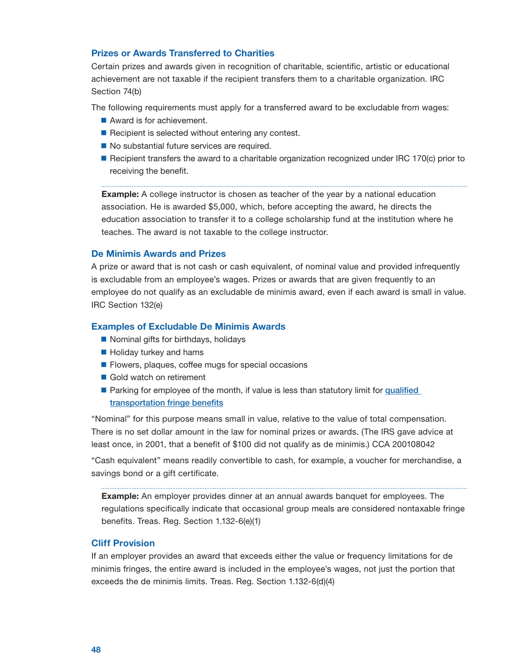## Prizes or Awards Transferred to Charities

Certain prizes and awards given in recognition of charitable, scientific, artistic or educational achievement are not taxable if the recipient transfers them to a charitable organization. IRC Section 74(b)

The following requirements must apply for a transferred award to be excludable from wages:

- Award is for achievement.
- $\blacksquare$  Recipient is selected without entering any contest.
- No substantial future services are required.
- Recipient transfers the award to a charitable organization recognized under IRC 170(c) prior to receiving the benefit.

**Example:** A college instructor is chosen as teacher of the year by a national education association. He is awarded \$5,000, which, before accepting the award, he directs the education association to transfer it to a college scholarship fund at the institution where he teaches. The award is not taxable to the college instructor.

## De Minimis Awards and Prizes

A prize or award that is not cash or cash equivalent, of nominal value and provided infrequently is excludable from an employee's wages. Prizes or awards that are given frequently to an employee do not qualify as an excludable de minimis award, even if each award is small in value. IRC Section 132(e)

## Examples of Excludable De Minimis Awards

- Nominal gifts for birthdays, holidays
- Holiday turkey and hams
- **Flowers, plaques, coffee mugs for special occasions**
- Gold watch on retirement
- Parking for employee of the month, if value is less than statutory limit for qualified transportation fringe benefits

"Nominal" for this purpose means small in value, relative to the value of total compensation. There is no set dollar amount in the law for nominal prizes or awards. (The IRS gave advice at least once, in 2001, that a benefit of \$100 did not qualify as de minimis.) CCA 200108042

"Cash equivalent" means readily convertible to cash, for example, a voucher for merchandise, a savings bond or a gift certificate.

**Example:** An employer provides dinner at an annual awards banquet for employees. The regulations specifically indicate that occasional group meals are considered nontaxable fringe benefits. Treas. Reg. Section 1.132-6(e)(1)

#### Cliff Provision

If an employer provides an award that exceeds either the value or frequency limitations for de minimis fringes, the entire award is included in the employee's wages, not just the portion that exceeds the de minimis limits. Treas. Reg. Section 1.132-6(d)(4)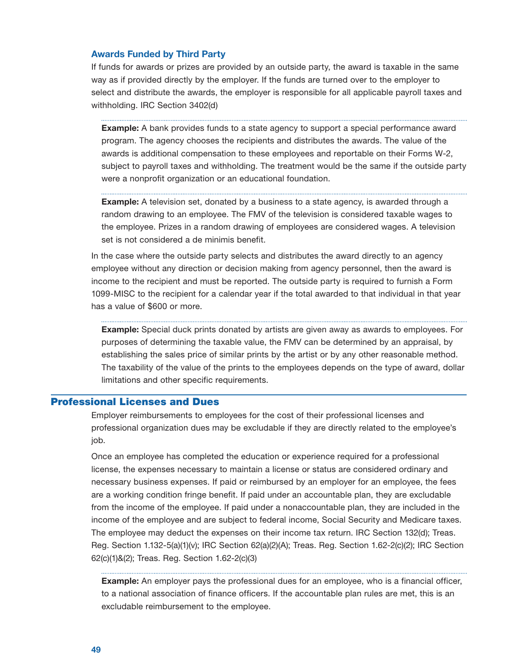### <span id="page-50-0"></span>Awards Funded by Third Party

If funds for awards or prizes are provided by an outside party, the award is taxable in the same way as if provided directly by the employer. If the funds are turned over to the employer to select and distribute the awards, the employer is responsible for all applicable payroll taxes and withholding. IRC Section 3402(d)

**Example:** A bank provides funds to a state agency to support a special performance award program. The agency chooses the recipients and distributes the awards. The value of the awards is additional compensation to these employees and reportable on their Forms W-2, subject to payroll taxes and withholding. The treatment would be the same if the outside party were a nonprofit organization or an educational foundation.

**Example:** A television set, donated by a business to a state agency, is awarded through a random drawing to an employee. The FMV of the television is considered taxable wages to the employee. Prizes in a random drawing of employees are considered wages. A television set is not considered a de minimis benefit.

In the case where the outside party selects and distributes the award directly to an agency employee without any direction or decision making from agency personnel, then the award is income to the recipient and must be reported. The outside party is required to furnish a Form 1099-MISC to the recipient for a calendar year if the total awarded to that individual in that year has a value of \$600 or more.

**Example:** Special duck prints donated by artists are given away as awards to employees. For purposes of determining the taxable value, the FMV can be determined by an appraisal, by establishing the sales price of similar prints by the artist or by any other reasonable method. The taxability of the value of the prints to the employees depends on the type of award, dollar limitations and other specific requirements.

## Professional Licenses and Dues

Employer reimbursements to employees for the cost of their professional licenses and professional organization dues may be excludable if they are directly related to the employee's job.

Once an employee has completed the education or experience required for a professional license, the expenses necessary to maintain a license or status are considered ordinary and necessary business expenses. If paid or reimbursed by an employer for an employee, the fees are a working condition fringe benefit. If paid under an accountable plan, they are excludable from the income of the employee. If paid under a nonaccountable plan, they are included in the income of the employee and are subject to federal income, Social Security and Medicare taxes. The employee may deduct the expenses on their income tax return. IRC Section 132(d); Treas. Reg. Section 1.132-5(a)(1)(v); IRC Section 62(a)(2)(A); Treas. Reg. Section 1.62-2(c)(2); IRC Section 62(c)(1)&(2); Treas. Reg. Section 1.62-2(c)(3)

**Example:** An employer pays the professional dues for an employee, who is a financial officer, to a national association of finance officers. If the accountable plan rules are met, this is an excludable reimbursement to the employee.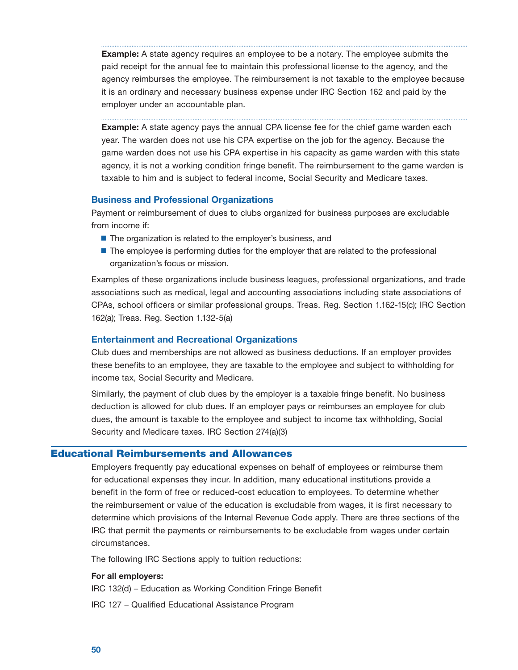<span id="page-51-0"></span>**Example:** A state agency requires an employee to be a notary. The employee submits the paid receipt for the annual fee to maintain this professional license to the agency, and the agency reimburses the employee. The reimbursement is not taxable to the employee because it is an ordinary and necessary business expense under IRC Section 162 and paid by the employer under an accountable plan.

**Example:** A state agency pays the annual CPA license fee for the chief game warden each year. The warden does not use his CPA expertise on the job for the agency. Because the game warden does not use his CPA expertise in his capacity as game warden with this state agency, it is not a working condition fringe benefit. The reimbursement to the game warden is taxable to him and is subject to federal income, Social Security and Medicare taxes.

## Business and Professional Organizations

Payment or reimbursement of dues to clubs organized for business purposes are excludable from income if:

- The organization is related to the employer's business, and
- **The employee is performing duties for the employer that are related to the professional** organization's focus or mission.

 CPAs, school officers or similar professional groups. Treas. Reg. Section 1.162-15(c); IRC Section Examples of these organizations include business leagues, professional organizations, and trade associations such as medical, legal and accounting associations including state associations of 162(a); Treas. Reg. Section 1.132-5(a)

## Entertainment and Recreational Organizations

 these benefits to an employee, they are taxable to the employee and subject to withholding for Club dues and memberships are not allowed as business deductions. If an employer provides income tax, Social Security and Medicare.

Similarly, the payment of club dues by the employer is a taxable fringe benefit. No business deduction is allowed for club dues. If an employer pays or reimburses an employee for club dues, the amount is taxable to the employee and subject to income tax withholding, Social Security and Medicare taxes. IRC Section 274(a)(3)

## Educational Reimbursements and Allowances

Employers frequently pay educational expenses on behalf of employees or reimburse them for educational expenses they incur. In addition, many educational institutions provide a benefit in the form of free or reduced-cost education to employees. To determine whether the reimbursement or value of the education is excludable from wages, it is first necessary to determine which provisions of the Internal Revenue Code apply. There are three sections of the IRC that permit the payments or reimbursements to be excludable from wages under certain circumstances.

The following IRC Sections apply to tuition reductions:

## For all employers:

IRC 132(d) – Education as Working Condition Fringe Benefit

IRC 127 – Qualified Educational Assistance Program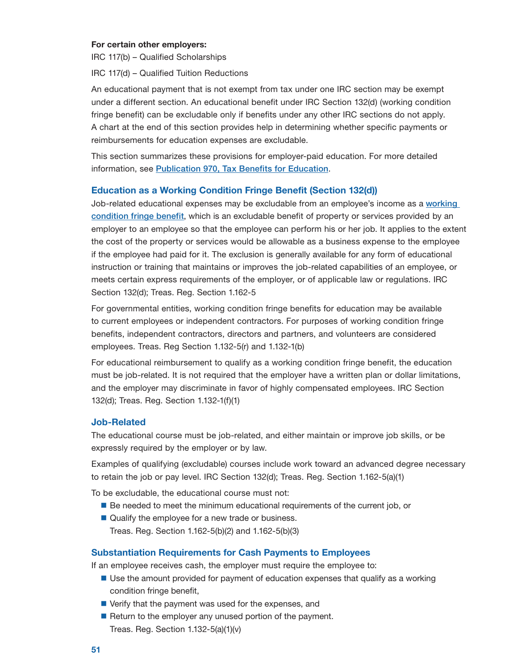#### <span id="page-52-0"></span>For certain other employers:

IRC 117(b) – Qualified Scholarships

IRC 117(d) – Qualified Tuition Reductions

An educational payment that is not exempt from tax under one IRC section may be exempt under a different section. An educational benefit under IRC Section 132(d) (working condition fringe benefit) can be excludable only if benefits under any other IRC sections do not apply. A chart at the end of this section provides help in determining whether specific payments or reimbursements for education expenses are excludable.

This section summarizes these provisions for employer-paid education. For more detailed information, see [Publication 970, Tax Benefits for Education](https://www.irs.gov/publications/p970).

## Education as a Working Condition Fringe Benefit (Section 132(d))

condition fringe benefit, which is an excludable benefit of property or services provided by an Job-related educational expenses may be excludable from an employee's income as a working employer to an employee so that the employee can perform his or her job. It applies to the extent the cost of the property or services would be allowable as a business expense to the employee if the employee had paid for it. The exclusion is generally available for any form of educational instruction or training that maintains or improves the job-related capabilities of an employee, or meets certain express requirements of the employer, or of applicable law or regulations. IRC Section 132(d); Treas. Reg. Section 1.162-5

For governmental entities, working condition fringe benefits for education may be available to current employees or independent contractors. For purposes of working condition fringe benefits, independent contractors, directors and partners, and volunteers are considered employees. Treas. Reg Section 1.132-5(r) and 1.132-1(b)

For educational reimbursement to qualify as a working condition fringe benefit, the education must be job-related. It is not required that the employer have a written plan or dollar limitations, and the employer may discriminate in favor of highly compensated employees. IRC Section 132(d); Treas. Reg. Section 1.132-1(f)(1)

## Job-Related

The educational course must be job-related, and either maintain or improve job skills, or be expressly required by the employer or by law.

Examples of qualifying (excludable) courses include work toward an advanced degree necessary to retain the job or pay level. IRC Section 132(d); Treas. Reg. Section 1.162-5(a)(1)

To be excludable, the educational course must not:

- **Be needed to meet the minimum educational requirements of the current job, or**
- Qualify the employee for a new trade or business. Treas. Reg. Section 1.162-5(b)(2) and 1.162-5(b)(3)

## Substantiation Requirements for Cash Payments to Employees

If an employee receives cash, the employer must require the employee to:

- Use the amount provided for payment of education expenses that qualify as a working condition fringe benefit,
- $\blacksquare$  Verify that the payment was used for the expenses, and
- Return to the employer any unused portion of the payment. Treas. Reg. Section 1.132-5(a)(1)(v)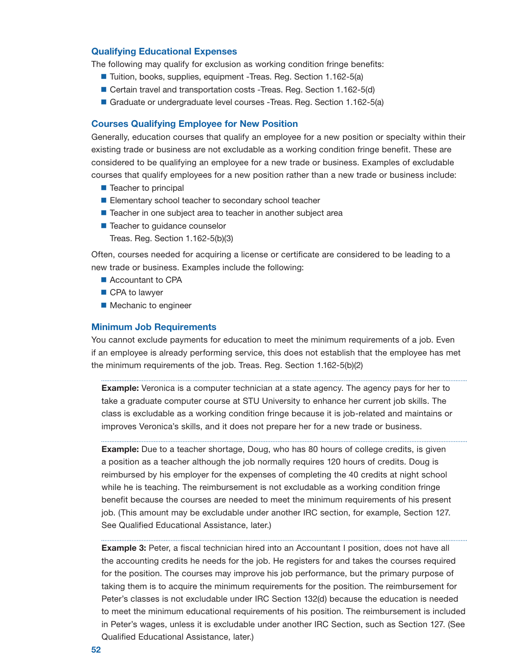## Qualifying Educational Expenses

The following may qualify for exclusion as working condition fringe benefits:

- Tuition, books, supplies, equipment -Treas. Reg. Section 1.162-5(a)
- Certain travel and transportation costs -Treas. Reg. Section 1.162-5(d)
- Graduate or undergraduate level courses -Treas. Reg. Section 1.162-5(a)

#### Courses Qualifying Employee for New Position

Generally, education courses that qualify an employee for a new position or specialty within their existing trade or business are not excludable as a working condition fringe benefit. These are considered to be qualifying an employee for a new trade or business. Examples of excludable courses that qualify employees for a new position rather than a new trade or business include:

- Teacher to principal
- Elementary school teacher to secondary school teacher
- Teacher in one subject area to teacher in another subject area
- Teacher to guidance counselor

Treas. Reg. Section 1.162-5(b)(3)

Often, courses needed for acquiring a license or certificate are considered to be leading to a new trade or business. Examples include the following:

- Accountant to CPA
- CPA to lawyer
- Mechanic to engineer

#### Minimum Job Requirements

You cannot exclude payments for education to meet the minimum requirements of a job. Even if an employee is already performing service, this does not establish that the employee has met the minimum requirements of the job. Treas. Reg. Section 1.162-5(b)(2)

**Example:** Veronica is a computer technician at a state agency. The agency pays for her to take a graduate computer course at STU University to enhance her current job skills. The class is excludable as a working condition fringe because it is job-related and maintains or improves Veronica's skills, and it does not prepare her for a new trade or business.

**Example:** Due to a teacher shortage, Doug, who has 80 hours of college credits, is given a position as a teacher although the job normally requires 120 hours of credits. Doug is reimbursed by his employer for the expenses of completing the 40 credits at night school while he is teaching. The reimbursement is not excludable as a working condition fringe benefit because the courses are needed to meet the minimum requirements of his present job. (This amount may be excludable under another IRC section, for example, Section 127. See Qualified Educational Assistance, later.)

**Example 3:** Peter, a fiscal technician hired into an Accountant I position, does not have all the accounting credits he needs for the job. He registers for and takes the courses required for the position. The courses may improve his job performance, but the primary purpose of taking them is to acquire the minimum requirements for the position. The reimbursement for Peter's classes is not excludable under IRC Section 132(d) because the education is needed to meet the minimum educational requirements of his position. The reimbursement is included in Peter's wages, unless it is excludable under another IRC Section, such as Section 127. (See Qualified Educational Assistance, later.)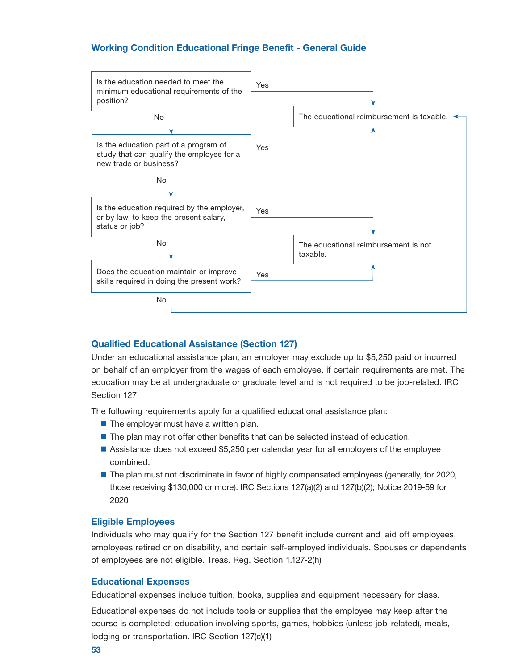## Working Condition Educational Fringe Benefit - General Guide



## Qualified Educational Assistance (Section 127)

Under an educational assistance plan, an employer may exclude up to \$5,250 paid or incurred on behalf of an employer from the wages of each employee, if certain requirements are met. The education may be at undergraduate or graduate level and is not required to be job-related. IRC Section 127

The following requirements apply for a qualified educational assistance plan:

- $\blacksquare$  The employer must have a written plan.
- $\blacksquare$  The plan may not offer other benefits that can be selected instead of education.
- Assistance does not exceed \$5,250 per calendar year for all employers of the employee combined.
- **The plan must not discriminate in favor of highly compensated employees (generally, for 2020,** those receiving \$130,000 or more). IRC Sections 127(a)(2) and 127(b)(2); Notice 2019-59 for 2020

## Eligible Employees

Individuals who may qualify for the Section 127 benefit include current and laid off employees, employees retired or on disability, and certain self-employed individuals. Spouses or dependents of employees are not eligible. Treas. Reg. Section 1.127-2(h)

## Educational Expenses

Educational expenses include tuition, books, supplies and equipment necessary for class.

Educational expenses do not include tools or supplies that the employee may keep after the course is completed; education involving sports, games, hobbies (unless job-related), meals, lodging or transportation. IRC Section 127(c)(1)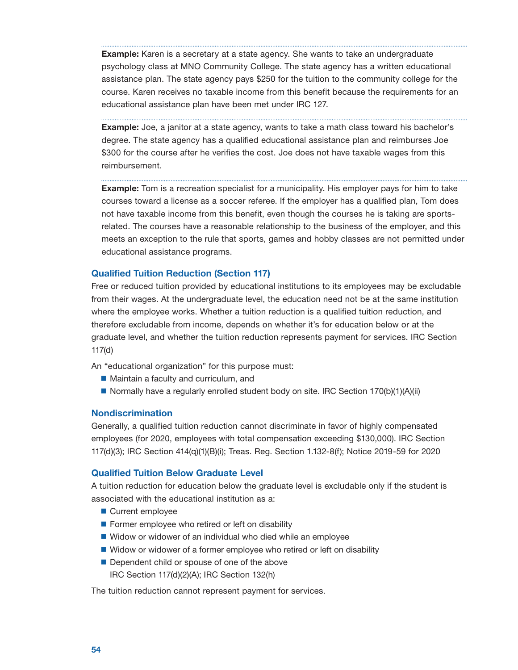<span id="page-55-0"></span>**Example:** Karen is a secretary at a state agency. She wants to take an undergraduate psychology class at MNO Community College. The state agency has a written educational assistance plan. The state agency pays \$250 for the tuition to the community college for the course. Karen receives no taxable income from this benefit because the requirements for an educational assistance plan have been met under IRC 127.

**Example:** Joe, a janitor at a state agency, wants to take a math class toward his bachelor's degree. The state agency has a qualified educational assistance plan and reimburses Joe \$300 for the course after he verifies the cost. Joe does not have taxable wages from this reimbursement.

**Example:** Tom is a recreation specialist for a municipality. His employer pays for him to take courses toward a license as a soccer referee. If the employer has a qualified plan, Tom does not have taxable income from this benefit, even though the courses he is taking are sportsrelated. The courses have a reasonable relationship to the business of the employer, and this meets an exception to the rule that sports, games and hobby classes are not permitted under educational assistance programs.

### Qualified Tuition Reduction (Section 117)

Free or reduced tuition provided by educational institutions to its employees may be excludable from their wages. At the undergraduate level, the education need not be at the same institution where the employee works. Whether a tuition reduction is a qualified tuition reduction, and therefore excludable from income, depends on whether it's for education below or at the graduate level, and whether the tuition reduction represents payment for services. IRC Section 117(d)

An "educational organization" for this purpose must:

- **Maintain a faculty and curriculum, and**
- Normally have a regularly enrolled student body on site. IRC Section  $170(b)(1)(A)(ii)$

#### Nondiscrimination

Generally, a qualified tuition reduction cannot discriminate in favor of highly compensated employees (for 2020, employees with total compensation exceeding \$130,000). IRC Section 117(d)(3); IRC Section 414(q)(1)(B)(i); Treas. Reg. Section 1.132-8(f); Notice 2019-59 for 2020

## Qualified Tuition Below Graduate Level

A tuition reduction for education below the graduate level is excludable only if the student is associated with the educational institution as a:

- Current employee
- **Former employee who retired or left on disability**
- Widow or widower of an individual who died while an employee
- Widow or widower of a former employee who retired or left on disability
- Dependent child or spouse of one of the above IRC Section 117(d)(2)(A); IRC Section 132(h)

The tuition reduction cannot represent payment for services.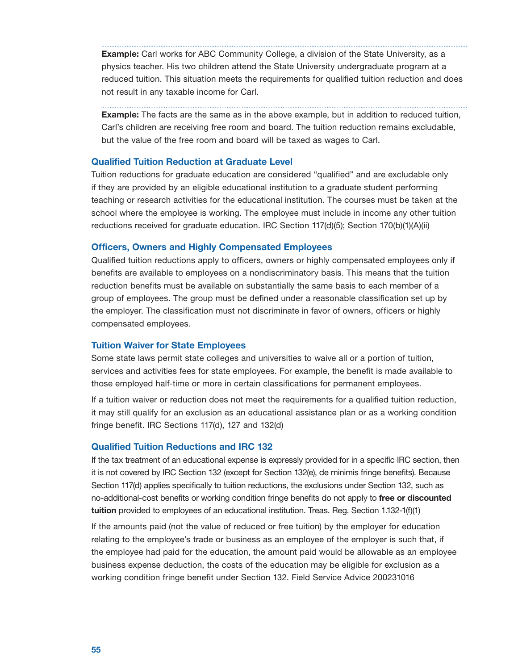<span id="page-56-0"></span>**Example:** Carl works for ABC Community College, a division of the State University, as a physics teacher. His two children attend the State University undergraduate program at a reduced tuition. This situation meets the requirements for qualified tuition reduction and does not result in any taxable income for Carl.

**Example:** The facts are the same as in the above example, but in addition to reduced tuition, Carl's children are receiving free room and board. The tuition reduction remains excludable, but the value of the free room and board will be taxed as wages to Carl.

## Qualified Tuition Reduction at Graduate Level

Tuition reductions for graduate education are considered "qualified" and are excludable only if they are provided by an eligible educational institution to a graduate student performing teaching or research activities for the educational institution. The courses must be taken at the school where the employee is working. The employee must include in income any other tuition reductions received for graduate education. IRC Section 117(d)(5); Section 170(b)(1)(A)(ii)

### Officers, Owners and Highly Compensated Employees

Qualified tuition reductions apply to officers, owners or highly compensated employees only if benefits are available to employees on a nondiscriminatory basis. This means that the tuition reduction benefits must be available on substantially the same basis to each member of a group of employees. The group must be defined under a reasonable classification set up by the employer. The classification must not discriminate in favor of owners, officers or highly compensated employees.

#### Tuition Waiver for State Employees

Some state laws permit state colleges and universities to waive all or a portion of tuition, services and activities fees for state employees. For example, the benefit is made available to those employed half-time or more in certain classifications for permanent employees.

If a tuition waiver or reduction does not meet the requirements for a qualified tuition reduction, it may still qualify for an exclusion as an educational assistance plan or as a working condition fringe benefit. IRC Sections 117(d), 127 and 132(d)

## Qualified Tuition Reductions and IRC 132

If the tax treatment of an educational expense is expressly provided for in a specific IRC section, then it is not covered by IRC Section 132 (except for Section 132(e), de minimis fringe benefits). Because Section 117(d) applies specifically to tuition reductions, the exclusions under Section 132, such as no-additional-cost benefits or working condition fringe benefits do not apply to free or discounted tuition provided to employees of an educational institution. Treas. Reg. Section 1.132-1(f)(1)

If the amounts paid (not the value of reduced or free tuition) by the employer for education relating to the employee's trade or business as an employee of the employer is such that, if the employee had paid for the education, the amount paid would be allowable as an employee business expense deduction, the costs of the education may be eligible for exclusion as a working condition fringe benefit under Section 132. Field Service Advice 200231016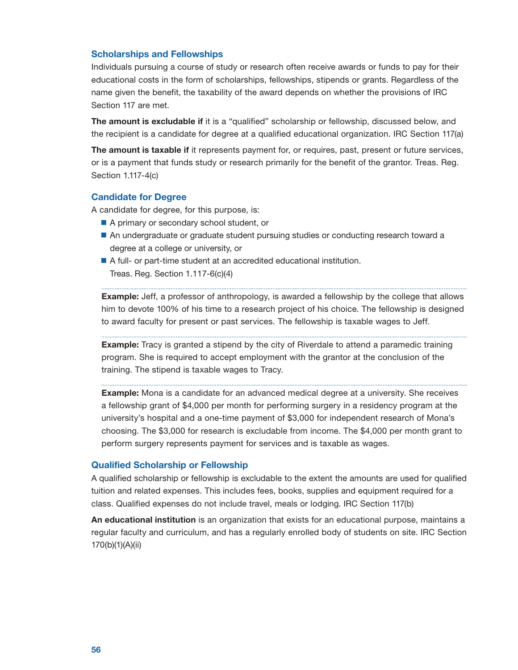## <span id="page-57-0"></span>Scholarships and Fellowships

 Individuals pursuing a course of study or research often receive awards or funds to pay for their educational costs in the form of scholarships, fellowships, stipends or grants. Regardless of the name given the benefit, the taxability of the award depends on whether the provisions of IRC Section 117 are met.

The amount is excludable if it is a "qualified" scholarship or fellowship, discussed below, and the recipient is a candidate for degree at a qualified educational organization. IRC Section 117(a)

The amount is taxable if it represents payment for, or requires, past, present or future services, or is a payment that funds study or research primarily for the benefit of the grantor. Treas. Reg. Section 1.117-4(c)

## Candidate for Degree

A candidate for degree, for this purpose, is:

- A primary or secondary school student, or
- An undergraduate or graduate student pursuing studies or conducting research toward a degree at a college or university, or
- A full- or part-time student at an accredited educational institution. Treas. Reg. Section 1.117-6(c)(4)

**Example:** Jeff, a professor of anthropology, is awarded a fellowship by the college that allows him to devote 100% of his time to a research project of his choice. The fellowship is designed to award faculty for present or past services. The fellowship is taxable wages to Jeff.

**Example:** Tracy is granted a stipend by the city of Riverdale to attend a paramedic training program. She is required to accept employment with the grantor at the conclusion of the training. The stipend is taxable wages to Tracy.

**Example:** Mona is a candidate for an advanced medical degree at a university. She receives a fellowship grant of \$4,000 per month for performing surgery in a residency program at the university's hospital and a one-time payment of \$3,000 for independent research of Mona's choosing. The \$3,000 for research is excludable from income. The \$4,000 per month grant to perform surgery represents payment for services and is taxable as wages.

## Qualified Scholarship or Fellowship

 class. Qualified expenses do not include travel, meals or lodging. IRC Section 117(b) A qualified scholarship or fellowship is excludable to the extent the amounts are used for qualified tuition and related expenses. This includes fees, books, supplies and equipment required for a

An educational institution is an organization that exists for an educational purpose, maintains a regular faculty and curriculum, and has a regularly enrolled body of students on site. IRC Section 170(b)(1)(A)(ii)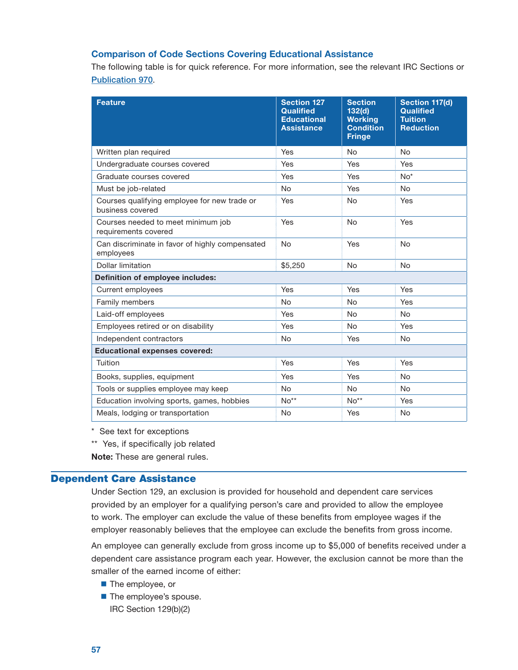## <span id="page-58-0"></span>Comparison of Code Sections Covering Educational Assistance

 The following table is for quick reference. For more information, see the relevant IRC Sections or [Publication 970](https://www.irs.gov/publications/p970).

| <b>Feature</b>                                                   | <b>Section 127</b><br><b>Qualified</b><br><b>Educational</b><br><b>Assistance</b> | <b>Section</b><br>132(d)<br><b>Working</b><br><b>Condition</b><br><b>Fringe</b> | Section 117(d)<br><b>Qualified</b><br><b>Tuition</b><br><b>Reduction</b> |
|------------------------------------------------------------------|-----------------------------------------------------------------------------------|---------------------------------------------------------------------------------|--------------------------------------------------------------------------|
| Written plan required                                            | Yes                                                                               | <b>No</b>                                                                       | <b>No</b>                                                                |
| Undergraduate courses covered                                    | Yes                                                                               | Yes                                                                             | Yes                                                                      |
| Graduate courses covered                                         | Yes                                                                               | Yes                                                                             | $No*$                                                                    |
| Must be job-related                                              | <b>No</b>                                                                         | Yes                                                                             | <b>No</b>                                                                |
| Courses qualifying employee for new trade or<br>business covered | Yes                                                                               | <b>No</b>                                                                       | Yes                                                                      |
| Courses needed to meet minimum job<br>requirements covered       | Yes                                                                               | <b>No</b>                                                                       | Yes                                                                      |
| Can discriminate in favor of highly compensated<br>employees     | <b>No</b>                                                                         | Yes                                                                             | No                                                                       |
| Dollar limitation                                                | \$5,250                                                                           | <b>No</b>                                                                       | No                                                                       |
| <b>Definition of employee includes:</b>                          |                                                                                   |                                                                                 |                                                                          |
| Current employees                                                | Yes                                                                               | Yes                                                                             | Yes                                                                      |
| Family members                                                   | <b>No</b>                                                                         | <b>No</b>                                                                       | Yes                                                                      |
| Laid-off employees                                               | Yes                                                                               | <b>No</b>                                                                       | <b>No</b>                                                                |
| Employees retired or on disability                               | Yes                                                                               | No                                                                              | Yes                                                                      |
| Independent contractors                                          | <b>No</b>                                                                         | Yes                                                                             | No                                                                       |
| <b>Educational expenses covered:</b>                             |                                                                                   |                                                                                 |                                                                          |
| Tuition                                                          | Yes                                                                               | Yes                                                                             | Yes                                                                      |
| Books, supplies, equipment                                       | Yes                                                                               | Yes                                                                             | No                                                                       |
| Tools or supplies employee may keep                              | <b>No</b>                                                                         | <b>No</b>                                                                       | <b>No</b>                                                                |
| Education involving sports, games, hobbies                       | $No**$                                                                            | $No**$                                                                          | Yes                                                                      |
| Meals, lodging or transportation                                 | No                                                                                | Yes                                                                             | No                                                                       |

\* See text for exceptions

\*\* Yes, if specifically job related

Note: These are general rules.

## Dependent Care Assistance

Under Section 129, an exclusion is provided for household and dependent care services provided by an employer for a qualifying person's care and provided to allow the employee to work. The employer can exclude the value of these benefits from employee wages if the employer reasonably believes that the employee can exclude the benefits from gross income.

An employee can generally exclude from gross income up to \$5,000 of benefits received under a dependent care assistance program each year. However, the exclusion cannot be more than the smaller of the earned income of either:

- The employee, or
- The employee's spouse. IRC Section 129(b)(2)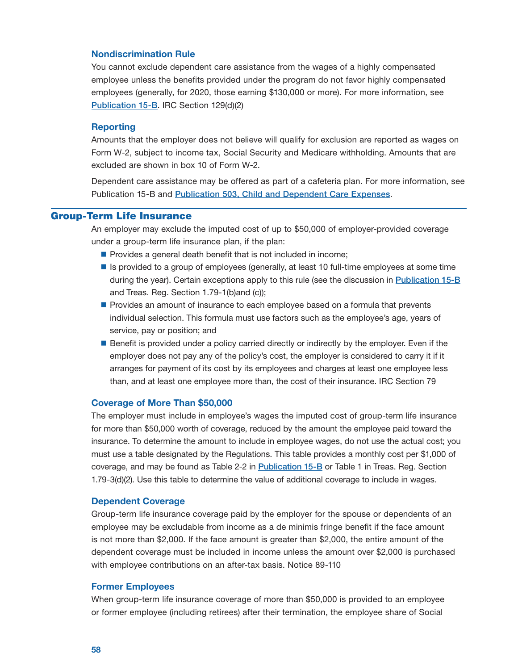## <span id="page-59-0"></span>Nondiscrimination Rule

You cannot exclude dependent care assistance from the wages of a highly compensated employee unless the benefits provided under the program do not favor highly compensated employees (generally, for 2020, those earning \$130,000 or more). For more information, see [Publication 15-B](https://www.irs.gov/publications/p15b). IRC Section 129(d)(2)

#### Reporting

Amounts that the employer does not believe will qualify for exclusion are reported as wages on Form W-2, subject to income tax, Social Security and Medicare withholding. Amounts that are excluded are shown in box 10 of Form W-2.

Dependent care assistance may be offered as part of a cafeteria plan. For more information, see Publication 15-B and [Publication 503, Child and Dependent Care Expenses](https://www.irs.gov/publications/p503).

## Group-Term Life Insurance

An employer may exclude the imputed cost of up to \$50,000 of employer-provided coverage under a group-term life insurance plan, if the plan:

- $\blacksquare$  Provides a general death benefit that is not included in income;
- Is provided to a group of employees (generally, at least 10 full-time employees at some time during the year). Certain exceptions apply to this rule (see the discussion in [Publication 15-B](https://www.irs.gov/publications/p15b) and Treas. Reg. Section 1.79-1(b)and (c));
- **Provides an amount of insurance to each employee based on a formula that prevents** individual selection. This formula must use factors such as the employee's age, years of service, pay or position; and
- Benefit is provided under a policy carried directly or indirectly by the employer. Even if the employer does not pay any of the policy's cost, the employer is considered to carry it if it arranges for payment of its cost by its employees and charges at least one employee less than, and at least one employee more than, the cost of their insurance. IRC Section 79

### Coverage of More Than \$50,000

The employer must include in employee's wages the imputed cost of group-term life insurance for more than \$50,000 worth of coverage, reduced by the amount the employee paid toward the insurance. To determine the amount to include in employee wages, do not use the actual cost; you must use a table designated by the Regulations. This table provides a monthly cost per \$1,000 of coverage, and may be found as Table 2-2 in [Publication 15-B](https://www.irs.gov/publications/p15b) or Table 1 in Treas. Reg. Section 1.79-3(d)(2). Use this table to determine the value of additional coverage to include in wages.

## Dependent Coverage

Group-term life insurance coverage paid by the employer for the spouse or dependents of an employee may be excludable from income as a de minimis fringe benefit if the face amount is not more than \$2,000. If the face amount is greater than \$2,000, the entire amount of the dependent coverage must be included in income unless the amount over \$2,000 is purchased with employee contributions on an after-tax basis. Notice 89-110

## Former Employees

When group-term life insurance coverage of more than \$50,000 is provided to an employee or former employee (including retirees) after their termination, the employee share of Social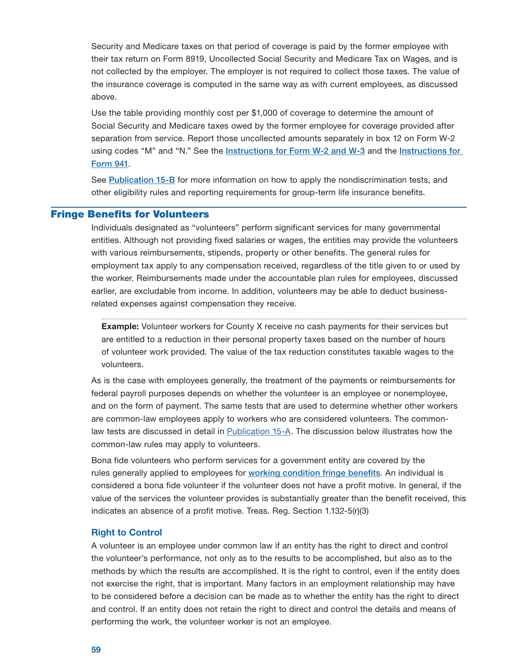<span id="page-60-0"></span>Security and Medicare taxes on that period of coverage is paid by the former employee with their tax return on Form 8919, Uncollected Social Security and Medicare Tax on Wages, and is not collected by the employer. The employer is not required to collect those taxes. The value of the insurance coverage is computed in the same way as with current employees, as discussed above.

Use the table providing monthly cost per \$1,000 of coverage to determine the amount of Social Security and Medicare taxes owed by the former employee for coverage provided after separation from service. Report those uncollected amounts separately in box 12 on Form W-2 using codes "M" and "N." See the [Instructions for Form W-2 and W-3](https://www.irs.gov/instructions/iw2w3) and the [Instructions for](https://www.irs.gov/instructions/i941)  Form 941.

See [Publication 15-B](https://www.irs.gov/publications/p15b) for more information on how to apply the nondiscrimination tests, and other eligibility rules and reporting requirements for group-term life insurance benefits.

## Fringe Benefits for Volunteers

Individuals designated as "volunteers" perform significant services for many governmental entities. Although not providing fixed salaries or wages, the entities may provide the volunteers with various reimbursements, stipends, property or other benefits. The general rules for employment tax apply to any compensation received, regardless of the title given to or used by the worker. Reimbursements made under the accountable plan rules for employees, discussed earlier, are excludable from income. In addition, volunteers may be able to deduct businessrelated expenses against compensation they receive.

**Example:** Volunteer workers for County X receive no cash payments for their services but are entitled to a reduction in their personal property taxes based on the number of hours of volunteer work provided. The value of the tax reduction constitutes taxable wages to the volunteers.

As is the case with employees generally, the treatment of the payments or reimbursements for federal payroll purposes depends on whether the volunteer is an employee or nonemployee, and on the form of payment. The same tests that are used to determine whether other workers are common-law employees apply to workers who are considered volunteers. The commonlaw tests are discussed in detail in [Publication 15-A.](https://www.irs.gov/publications/p15a) The discussion below illustrates how the common-law rules may apply to volunteers.

Bona fide volunteers who perform services for a government entity are covered by the rules generally applied to employees for [working condition fringe benefits](#page-9-0). An individual is considered a bona fide volunteer if the volunteer does not have a profit motive. In general, if the value of the services the volunteer provides is substantially greater than the benefit received, this indicates an absence of a profit motive. Treas. Reg. Section 1.132-5(r)(3)

#### Right to Control

A volunteer is an employee under common law if an entity has the right to direct and control the volunteer's performance, not only as to the results to be accomplished, but also as to the methods by which the results are accomplished. It is the right to control, even if the entity does not exercise the right, that is important. Many factors in an employment relationship may have to be considered before a decision can be made as to whether the entity has the right to direct and control. If an entity does not retain the right to direct and control the details and means of performing the work, the volunteer worker is not an employee.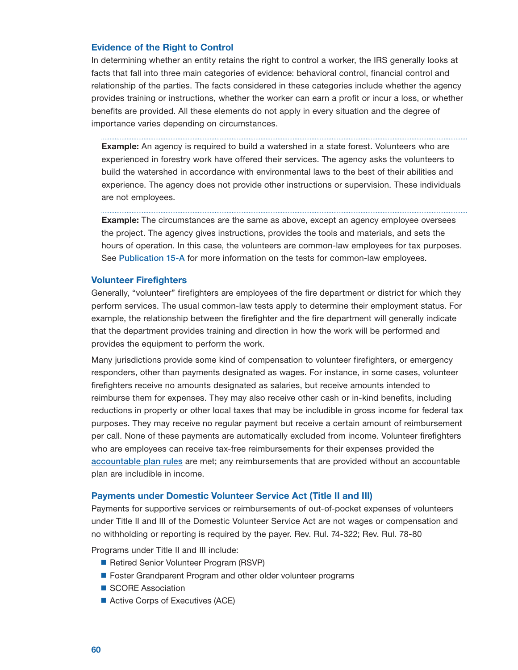## <span id="page-61-0"></span>Evidence of the Right to Control

In determining whether an entity retains the right to control a worker, the IRS generally looks at facts that fall into three main categories of evidence: behavioral control, financial control and relationship of the parties. The facts considered in these categories include whether the agency provides training or instructions, whether the worker can earn a profit or incur a loss, or whether benefits are provided. All these elements do not apply in every situation and the degree of importance varies depending on circumstances.

**Example:** An agency is required to build a watershed in a state forest. Volunteers who are experienced in forestry work have offered their services. The agency asks the volunteers to build the watershed in accordance with environmental laws to the best of their abilities and experience. The agency does not provide other instructions or supervision. These individuals are not employees.

**Example:** The circumstances are the same as above, except an agency employee oversees the project. The agency gives instructions, provides the tools and materials, and sets the hours of operation. In this case, the volunteers are common-law employees for tax purposes. See [Publication 15-A](https://www.irs.gov/publications/p15a) for more information on the tests for common-law employees.

## Volunteer Firefighters

Generally, "volunteer" firefighters are employees of the fire department or district for which they perform services. The usual common-law tests apply to determine their employment status. For example, the relationship between the firefighter and the fire department will generally indicate that the department provides training and direction in how the work will be performed and provides the equipment to perform the work.

Many jurisdictions provide some kind of compensation to volunteer firefighters, or emergency responders, other than payments designated as wages. For instance, in some cases, volunteer firefighters receive no amounts designated as salaries, but receive amounts intended to reimburse them for expenses. They may also receive other cash or in-kind benefits, including reductions in property or other local taxes that may be includible in gross income for federal tax purposes. They may receive no regular payment but receive a certain amount of reimbursement per call. None of these payments are automatically excluded from income. Volunteer firefighters who are employees can receive tax-free reimbursements for their expenses provided the [accountable plan rules](#page-5-0) are met; any reimbursements that are provided without an accountable plan are includible in income.

#### Payments under Domestic Volunteer Service Act (Title II and III)

Payments for supportive services or reimbursements of out-of-pocket expenses of volunteers under Title II and III of the Domestic Volunteer Service Act are not wages or compensation and no withholding or reporting is required by the payer. Rev. Rul. 74-322; Rev. Rul. 78-80

Programs under Title II and III include:

- Retired Senior Volunteer Program (RSVP)
- Foster Grandparent Program and other older volunteer programs
- SCORE Association
- Active Corps of Executives (ACE)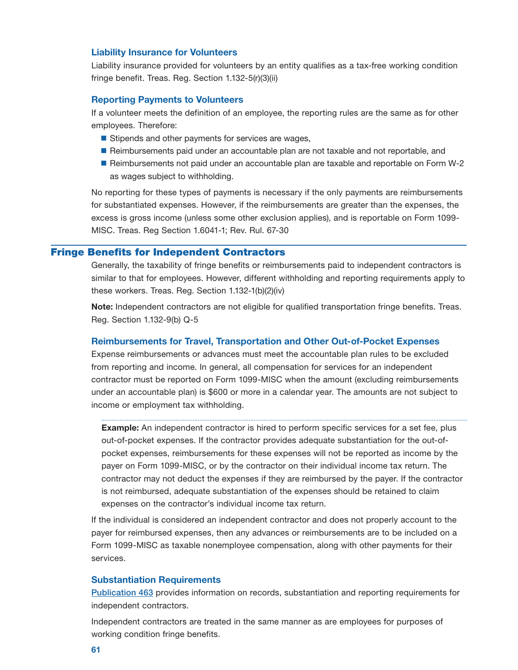### <span id="page-62-0"></span>Liability Insurance for Volunteers

Liability insurance provided for volunteers by an entity qualifies as a tax-free working condition fringe benefit. Treas. Reg. Section 1.132-5(r)(3)(ii)

## Reporting Payments to Volunteers

If a volunteer meets the definition of an employee, the reporting rules are the same as for other employees. Therefore:

- $\blacksquare$  Stipends and other payments for services are wages,
- Reimbursements paid under an accountable plan are not taxable and not reportable, and
- Reimbursements not paid under an accountable plan are taxable and reportable on Form W-2 as wages subject to withholding.

No reporting for these types of payments is necessary if the only payments are reimbursements for substantiated expenses. However, if the reimbursements are greater than the expenses, the excess is gross income (unless some other exclusion applies), and is reportable on Form 1099 MISC. Treas. Reg Section 1.6041-1; Rev. Rul. 67-30

## Fringe Benefits for Independent Contractors

Generally, the taxability of fringe benefits or reimbursements paid to independent contractors is similar to that for employees. However, different withholding and reporting requirements apply to these workers. Treas. Reg. Section 1.132-1(b)(2)(iv)

Note: Independent contractors are not eligible for qualified transportation fringe benefits. Treas. Reg. Section 1.132-9(b) Q-5

## Reimbursements for Travel, Transportation and Other Out-of-Pocket Expenses

Expense reimbursements or advances must meet the accountable plan rules to be excluded from reporting and income. In general, all compensation for services for an independent contractor must be reported on Form 1099-MISC when the amount (excluding reimbursements under an accountable plan) is \$600 or more in a calendar year. The amounts are not subject to income or employment tax withholding.

**Example:** An independent contractor is hired to perform specific services for a set fee, plus out-of-pocket expenses. If the contractor provides adequate substantiation for the out-ofpocket expenses, reimbursements for these expenses will not be reported as income by the payer on Form 1099-MISC, or by the contractor on their individual income tax return. The contractor may not deduct the expenses if they are reimbursed by the payer. If the contractor is not reimbursed, adequate substantiation of the expenses should be retained to claim expenses on the contractor's individual income tax return.

If the individual is considered an independent contractor and does not properly account to the payer for reimbursed expenses, then any advances or reimbursements are to be included on a Form 1099-MISC as taxable nonemployee compensation, along with other payments for their services.

### Substantiation Requirements

[Publication 463](https://www.irs.gov/publications/p463) provides information on records, substantiation and reporting requirements for independent contractors.

Independent contractors are treated in the same manner as are employees for purposes of working condition fringe benefits.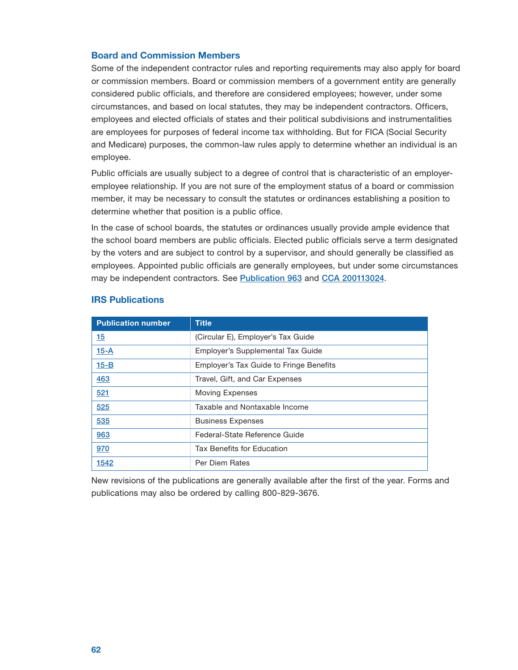## <span id="page-63-0"></span>Board and Commission Members

Some of the independent contractor rules and reporting requirements may also apply for board or commission members. Board or commission members of a government entity are generally considered public officials, and therefore are considered employees; however, under some circumstances, and based on local statutes, they may be independent contractors. Officers, employees and elected officials of states and their political subdivisions and instrumentalities are employees for purposes of federal income tax withholding. But for FICA (Social Security and Medicare) purposes, the common-law rules apply to determine whether an individual is an employee.

Public officials are usually subject to a degree of control that is characteristic of an employeremployee relationship. If you are not sure of the employment status of a board or commission member, it may be necessary to consult the statutes or ordinances establishing a position to determine whether that position is a public office.

In the case of school boards, the statutes or ordinances usually provide ample evidence that the school board members are public officials. Elected public officials serve a term designated by the voters and are subject to control by a supervisor, and should generally be classified as employees. Appointed public officials are generally employees, but under some circumstances may be independent contractors. See [Publication 963](http://www.irs.gov/pub/irs-pdf/p963.pdf) and [CCA 200113024](https://www.irs.gov/pub/irs-wd/0113024.pdf).

| <b>Publication number</b> | <b>Title</b>                            |
|---------------------------|-----------------------------------------|
| 15                        | (Circular E), Employer's Tax Guide      |
| $15 - A$                  | Employer's Supplemental Tax Guide       |
| $15 - B$                  | Employer's Tax Guide to Fringe Benefits |
| 463                       | Travel, Gift, and Car Expenses          |
| 521                       | <b>Moving Expenses</b>                  |
| 525                       | Taxable and Nontaxable Income           |
| 535                       | <b>Business Expenses</b>                |
| 963                       | Federal-State Reference Guide           |
| 970                       | <b>Tax Benefits for Education</b>       |
| 1542                      | Per Diem Rates                          |

## IRS Publications

New revisions of the publications are generally available after the first of the year. Forms and publications may also be ordered by calling 800-829-3676.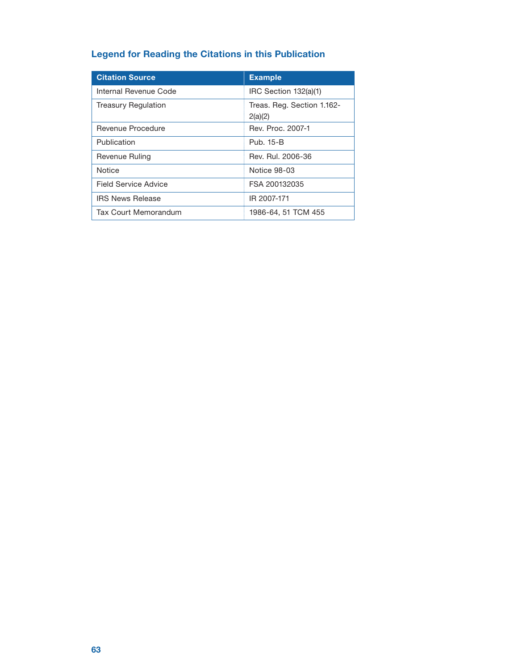## Legend for Reading the Citations in this Publication

| <b>Citation Source</b>     | <b>Example</b>                        |
|----------------------------|---------------------------------------|
| Internal Revenue Code      | IRC Section 132(a)(1)                 |
| <b>Treasury Regulation</b> | Treas. Reg. Section 1.162-<br>2(a)(2) |
| Revenue Procedure          | Rev. Proc. 2007-1                     |
| Publication                | Pub. 15-B                             |
| Revenue Ruling             | Rev. Rul. 2006-36                     |
| Notice                     | Notice 98-03                          |
| Field Service Advice       | FSA 200132035                         |
| <b>IRS News Release</b>    | IR 2007-171                           |
| Tax Court Memorandum       | 1986-64, 51 TCM 455                   |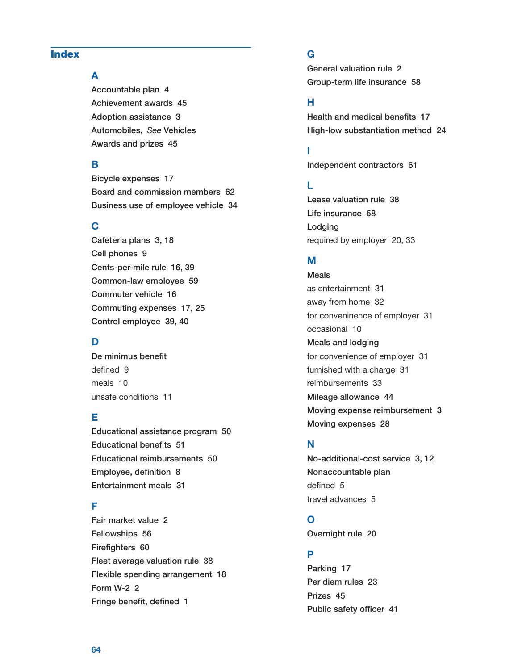## <span id="page-65-0"></span>Index

## A

Accountable plan [4](#page-5-0) Achievement awards [45](#page-46-0) Adoption assistance [3](#page-4-0) Automobiles, *See* Vehicles Awards and prizes [45](#page-46-0) 

## B

Bicycle expenses [17](#page-18-0) Board and commission members [62](#page-63-0) Business use of employee vehicle [34](#page-35-0) 

## C

Cafeteria plans [3,](#page-4-0) [18](#page-19-0) Cell phones [9](#page-10-0) Cents-per-mile rule [16](#page-17-0), [39](#page-40-0) Common-law employee [59](#page-60-0) Commuter vehicle [16](#page-17-0) Commuting expenses [17](#page-18-0), [25](#page-26-0) Control employee [39](#page-40-0), [40](#page-41-0)

## D

De minimus benefit defined [9](#page-10-0) meals [10](#page-11-0) unsafe conditions [11](#page-12-0) 

## E

Educational assistance program [50](#page-51-0) Educational benefits [51](#page-52-0) Educational reimbursements [50](#page-51-0) Employee, definition [8](#page-9-0) Entertainment meals [31](#page-32-0) 

## F

Fair market value [2](#page-3-0) Fellowships [56](#page-57-0) Firefighters [60](#page-61-0) Fleet average valuation rule [38](#page-39-0) Flexible spending arrangement [18](#page-19-0) Form W-2 [2](#page-3-0) Fringe benefit, defined [1](#page-2-0)

## G

General valuation rule [2](#page-3-0) Group-term life insurance [58](#page-59-0)

## H

Health and medical benefits [17](#page-18-0) High-low substantiation method [24](#page-25-0)

## I

Independent contractors [61](#page-62-0) 

## L

Lease valuation rule [38](#page-39-0) Life insurance [58](#page-59-0) Lodging required by employer [20](#page-21-0), [33](#page-34-0)

## M

Meals as entertainment [31](#page-32-0) away from home [32](#page-33-0) for conveninence of employer [31](#page-32-0) occasional [10](#page-11-0) Meals and lodging for convenience of employer [31](#page-32-0) furnished with a charge [31](#page-32-0) reimbursements [33](#page-34-0) Mileage allowance [44](#page-45-0) Moving expense reimbursement [3](#page-4-0) Moving expenses [28](#page-29-0) 

## N

No-additional-cost service [3](#page-4-0), [12](#page-13-0) Nonaccountable plan defined [5](#page-6-0) travel advances [5](#page-6-0)

## O

Overnight rule [20](#page-21-0) 

## P

Parking [17](#page-18-0) Per diem rules [23](#page-24-0) Prizes [45](#page-46-0) Public safety officer [41](#page-42-0)